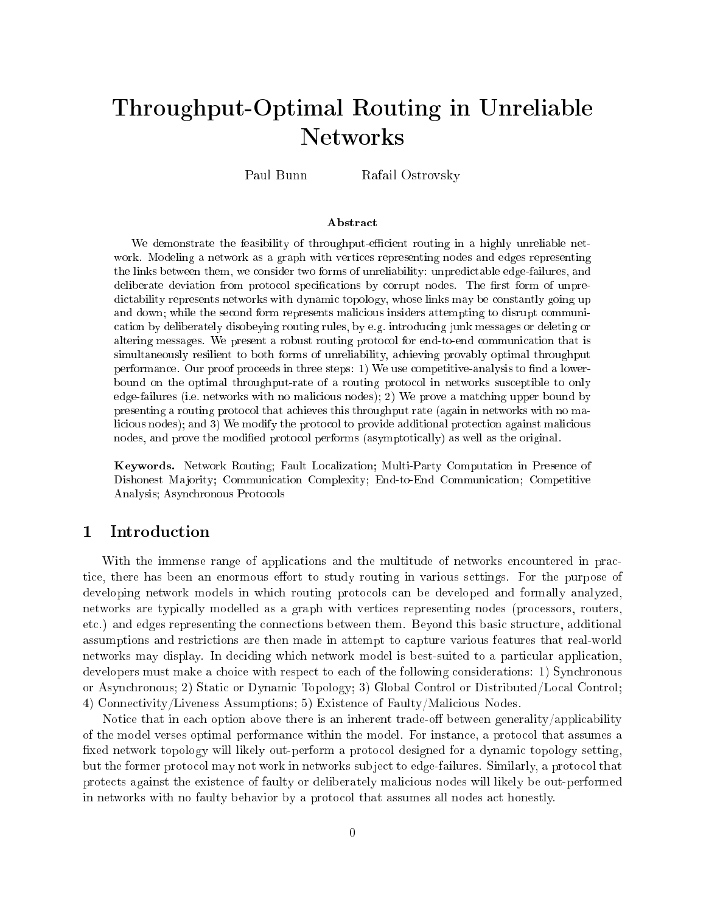# Throughput-Optimal Routing in Unreliable

Paul Bunn Rafail Ostrovsky

# Abstract

We demonstrate the feasibility of throughput-efficient routing in a highly unreliable network. Modeling a network as a graph with vertices representing nodes and edges representing the links between them, we consider two forms of unreliability: unpredictable edge-failures, and deliberate deviation from protocol specifications by corrupt nodes. The first form of unpredictability represents networks with dynamic topology, whose links may be constantly going up and down; while the second form represents malicious insiders attempting to disrupt communication by deliberately disobeying routing rules, by e.g. introducing junk messages or deleting or altering messages. We present a robust routing protocol for end-to-end communication that is simultaneously resilient to both forms of unreliability, achieving provably optimal throughput performance. Our proof proceeds in three steps: 1) We use competitive-analysis to find a lowerbound on the optimal throughput-rate of a routing protocol in networks susceptible to only edge-failures (i.e. networks with no malicious nodes); 2) We prove <sup>a</sup> matching upper bound by presenting a routing protocol that achieves this throughput rate (again in networks with no malicious nodes); and 3) We modify the protocol to provide additional protection against malicious nodes, and prove the modified protocol performs (asymptotically) as well as the original.

Keywords. Network Routing; Fault Localization; Multi-Party Computation in Presence of Dishonest Ma jority; Communication Complexity; End-to-End Communication; Competitive Analysis; Asynchronous Protocols

# 1 Introduction

With the immense range of applications and the multitude of networks encountered in practice, there has been an enormous effort to study routing in various settings. For the purpose of developing network models in which routing protocols can be developed and formally analyzed, networks are typically modelled as a graph with vertices representing nodes (processors, routers, etc.) and edges representing the connections between them. Beyond this basic structure, additional assumptions and restrictions are then made in attempt to capture various features that real-world networks may display. In deciding which network model is best-suited to a particular application, developers must make a choice with respect to each of the following considerations: 1) Synchronous or Asynchronous; 2) Static or Dynamic Topology; 3) Global Control or Distributed/Local Control; 4) Connectivity/Liveness Assumptions; 5) Existence of Faulty/Malicious Nodes.

Notice that in each option above there is an inherent trade-off between generality/applicability of the model verses optimal performance within the model. For instance, a protocol that assumes a fixed network topology will likely out-perform a protocol designed for a dynamic topology setting, but the former protocol may not work in networks sub ject to edge-failures. Similarly, a protocol that protects against the existence of faulty or deliberately malicious nodes will likely be out-performed in networks with no faulty behavior by a protocol that assumes all nodes act honestly.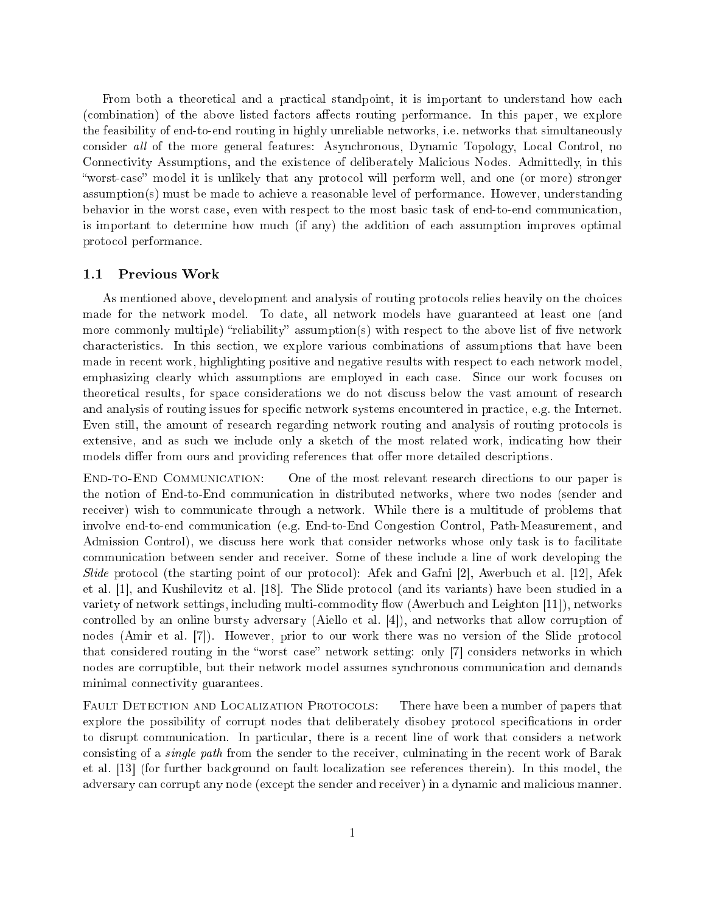From both a theoretical and a practical standpoint, it is important to understand how each (combination) of the above listed factors affects routing performance. In this paper, we explore the feasibility of end-to-end routing in highly unreliable networks, i.e. networks that simultaneously consider all of the more general features: Asynchronous, Dynamic Topology, Local Control, no Connectivity Assumptions, and the existence of deliberately Malicious Nodes. Admittedly, in this "worst-case" model it is unlikely that any protocol will perform well, and one (or more) stronger assumption(s) must be made to achieve a reasonable level of performance. However, understanding behavior in the worst case, even with respect to the most basic task of end-to-end communication, is important to determine how much (if any) the addition of each assumption improves optimal protocol performance.

## 1.1 Previous Work

As mentioned above, development and analysis of routing protocols relies heavily on the choices made for the network model. To date, all network models have guaranteed at least one (and more commonly multiple) "reliability" assumption(s) with respect to the above list of five network characteristics. In this section, we explore various combinations of assumptions that have been made in recent work, highlighting positive and negative results with respect to each network model, emphasizing clearly which assumptions are employed in each case. Since our work focuses on theoretical results, for space considerations we do not discuss below the vast amount of research and analysis of routing issues for specific network systems encountered in practice, e.g. the Internet. Even still, the amount of research regarding network routing and analysis of routing protocols is extensive, and as such we include only a sketch of the most related work, indicating how their models differ from ours and providing references that offer more detailed descriptions.

End-to-End Communication: One of the most relevant research directions to our paper is the notion of End-to-End communication in distributed networks, where two nodes (sender and receiver) wish to communicate through a network. While there is a multitude of problems that involve end-to-end communication (e.g. End-to-End Congestion Control, Path-Measurement, and Admission Control), we discuss here work that consider networks whose only task is to facilitate communication between sender and receiver. Some of these include a line of work developing the Slide protocol (the starting point of our protocol): Afek and Gafni [2], Awerbuch et al. [12], Afek et al. [1], and Kushilevitz et al. [18]. The Slide protocol (and its variants) have been studied in a variety of network settings, including multi-commodity flow (Awerbuch and Leighton  $|11|$ ), networks controlled by an online bursty adversary (Aiello et al. [4]), and networks that allow corruption of nodes (Amir et al. [7]). However, prior to our work there was no version of the Slide protocol that considered routing in the "worst case" network setting: only [7] considers networks in which nodes are corruptible, but their network model assumes synchronous communication and demands minimal connectivity guarantees.

FAULT DETECTION AND LOCALIZATION PROTOCOLS: There have been a number of papers that explore the possibility of corrupt nodes that deliberately disobey protocol specifications in order to disrupt communication. In particular, there is a recent line of work that considers a network consisting of a single path from the sender to the receiver, culminating in the recent work of Barak et al. [13] (for further background on fault localization see references therein). In this model, the adversary can corrupt any node (except the sender and receiver) in a dynamic and malicious manner.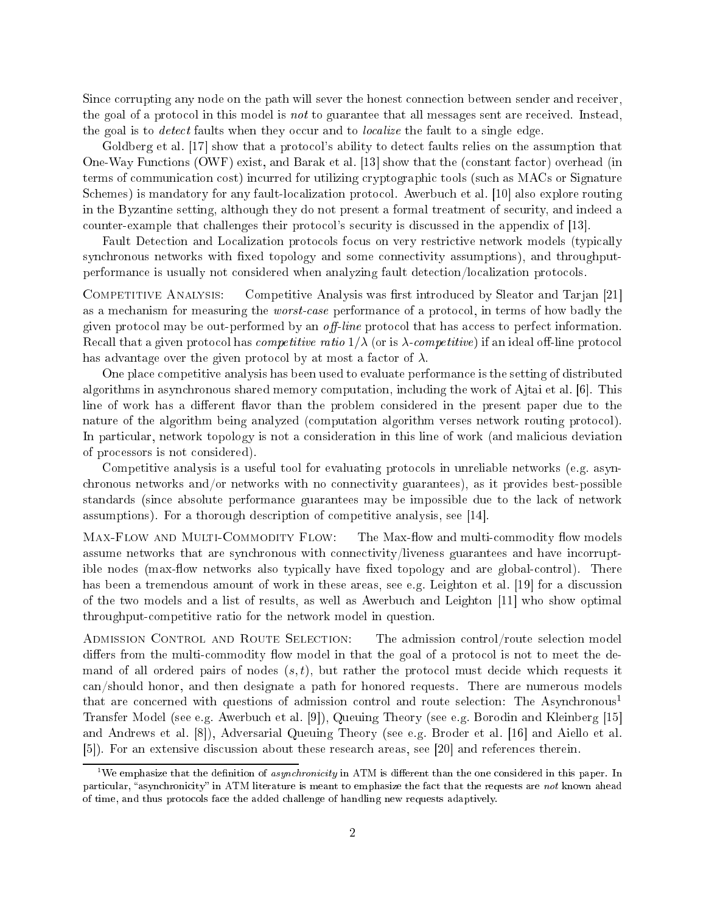Since corrupting any node on the path will sever the honest connection between sender and receiver, the goal of a protocol in this model is not to guarantee that all messages sent are received. Instead, the goal is to *detect* faults when they occur and to *localize* the fault to a single edge.

Goldberg et al. [17] show that a protocol's ability to detect faults relies on the assumption that One-Way Functions (OWF) exist, and Barak et al. [13] show that the (constant factor) overhead (in terms of communication cost) incurred for utilizing cryptographic tools (such as MACs or Signature Schemes) is mandatory for any fault-localization protocol. Awerbuch et al. [10] also explore routing in the Byzantine setting, although they do not present a formal treatment of security, and indeed a counter-example that challenges their protocol's security is discussed in the appendix of [13].

Fault Detection and Localization protocols focus on very restrictive network models (typically synchronous networks with fixed topology and some connectivity assumptions), and throughputperformance is usually not considered when analyzing fault detection/localization protocols.

COMPETITIVE ANALYSIS: Competitive Analysis was first introduced by Sleator and Tarjan [21] as a mechanism for measuring the worst-case performance of a protocol, in terms of how badly the given protocol may be out-performed by an *off-line* protocol that has access to perfect information. Recall that a given protocol has *competitive ratio*  $1/\lambda$  (or is  $\lambda$ -*competitive*) if an ideal off-line protocol has advantage over the given protocol by at most a factor of  $\lambda$ .

One place competitive analysis has been used to evaluate performance is the setting of distributed algorithms in asynchronous shared memory computation, including the work of Ajtai et al. [6]. This line of work has a different flavor than the problem considered in the present paper due to the nature of the algorithm being analyzed (computation algorithm verses network routing protocol). In particular, network topology is not a consideration in this line of work (and malicious deviation of processors is not considered).

Competitive analysis is a useful tool for evaluating protocols in unreliable networks (e.g. asynchronous networks and/or networks with no connectivity guarantees), as it provides best-possible standards (since absolute performance guarantees may be impossible due to the lack of network assumptions). For a thorough description of competitive analysis, see [14].

MAX-FLOW AND MULTI-COMMODITY FLOW: The Max-flow and multi-commodity flow models assume networks that are synchronous with connectivity/liveness guarantees and have incorruptible nodes (max-flow networks also typically have fixed topology and are global-control). There has been a tremendous amount of work in these areas, see e.g. Leighton et al. [19] for <sup>a</sup> discussion of the two models and a list of results, as well as Awerbuch and Leighton [11] who show optimal throughput-competitive ratio for the network model in question.

Admission Control and Route Selection: The admission control/route selection model differs from the multi-commodity flow model in that the goal of a protocol is not to meet the demand of all ordered pairs of nodes  $(s, t)$ , but rather the protocol must decide which requests it can/should honor, and then designate a path for honored requests. There are numerous models that are concerned with questions of admission control and route selection: The Asynchronous<sup>1</sup> Transfer Model (see e.g. Awerbuch et al. [9]), Queuing Theory (see e.g. Borodin and Kleinberg [15] and Andrews et al. [8]), Adversarial Queuing Theory (see e.g. Broder et al. [16] and Aiello et al. [5]). For an extensive discussion about these research areas, see [20] and references therein.

<sup>&</sup>lt;sup>1</sup>We emphasize that the definition of *asynchronicity* in ATM is different than the one considered in this paper. In particular, "asynchronicity" in ATM literature is meant to emphasize the fact that the requests are not known ahead of time, and thus protocols face the added challenge of handling new requests adaptively.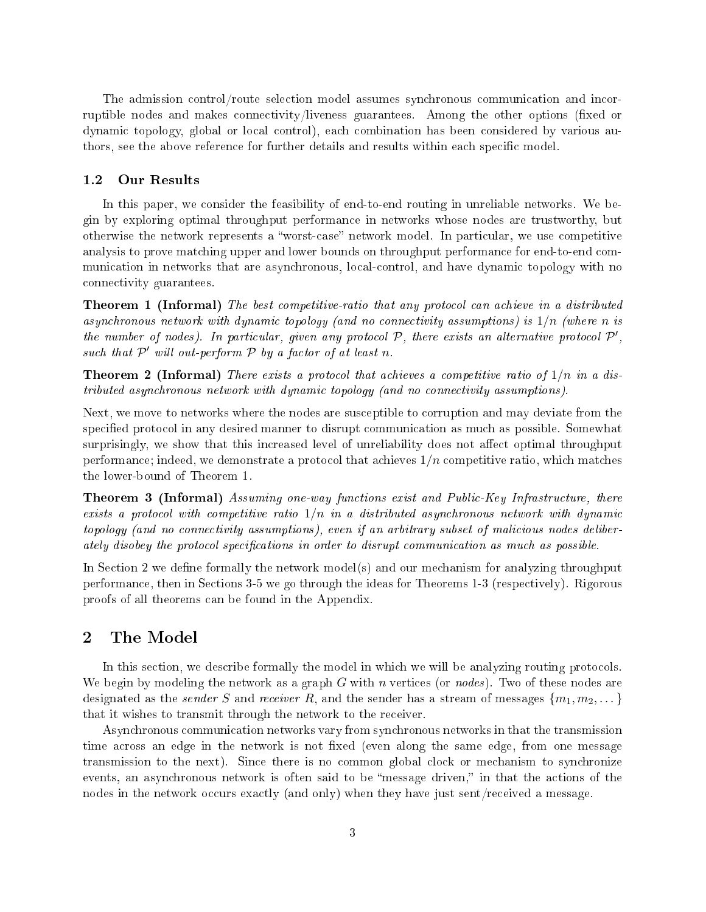The admission control/route selection model assumes synchronous communication and incorruptible nodes and makes connectivity/liveness guarantees. Among the other options (fixed or dynamic topology, global or local control), each combination has been considered by various authors, see the above reference for further details and results within each specific model.

# 1.2 Our Results

In this paper, we consider the feasibility of end-to-end routing in unreliable networks. We begin by exploring optimal throughput performance in networks whose nodes are trustworthy, but otherwise the network represents a "worst-case" network model. In particular, we use competitive analysis to prove matching upper and lower bounds on throughput performance for end-to-end communication in networks that are asynchronous, local-control, and have dynamic topology with no connectivity guarantees.

**Theorem 1 (Informal)** The best competitive-ratio that any protocol can achieve in a distributed asynchronous network with dynamic topology (and no connectivity assumptions) is  $1/n$  (where n is the number of nodes). In particular, given any protocol  $P$ , there exists an alternative protocol  $P'$ , such that  $\mathcal{P}'$  will out-perform  $\mathcal P$  by a factor of at least n.

**Theorem 2 (Informal)** There exists a protocol that achieves a competitive ratio of  $1/n$  in a distributed asynchronous network with dynamic topology (and no connectivity assumptions).

Next, we move to networks where the nodes are susceptible to corruption and may deviate from the specified protocol in any desired manner to disrupt communication as much as possible. Somewhat surprisingly, we show that this increased level of unreliability does not affect optimal throughput performance; indeed, we demonstrate a protocol that achieves  $1/n$  competitive ratio, which matches the lower-bound of Theorem 1.

Theorem 3 (Informal) Assuming one-way functions exist and Public-Key Infrastructure, there exists a protocol with competitive ratio  $1/n$  in a distributed asynchronous network with dynamic topology (and no connectivity assumptions), even if an arbitrary subset of malicious nodes deliberately disobey the protocol specifications in order to disrupt communication as much as possible.

In Section 2 we define formally the network model(s) and our mechanism for analyzing throughput performance, then in Sections 3-5 we go through the ideas for Theorems 1-3 (respectively). Rigorous proofs of all theorems can be found in the Appendix.

# 2 The Model

In this section, we describe formally the model in which we will be analyzing routing protocols. We begin by modeling the network as a graph  $G$  with n vertices (or nodes). Two of these nodes are designated as the *sender* S and *receiver* R, and the sender has a stream of messages  $\{m_1, m_2, \dots\}$ that it wishes to transmit through the network to the receiver.

Asynchronous communication networks vary from synchronous networks in that the transmission time across an edge in the network is not fixed (even along the same edge, from one message transmission to the next). Since there is no common global clock or mechanism to synchronize events, an asynchronous network is often said to be "message driven," in that the actions of the nodes in the network occurs exactly (and only) when they have just sent/received a message.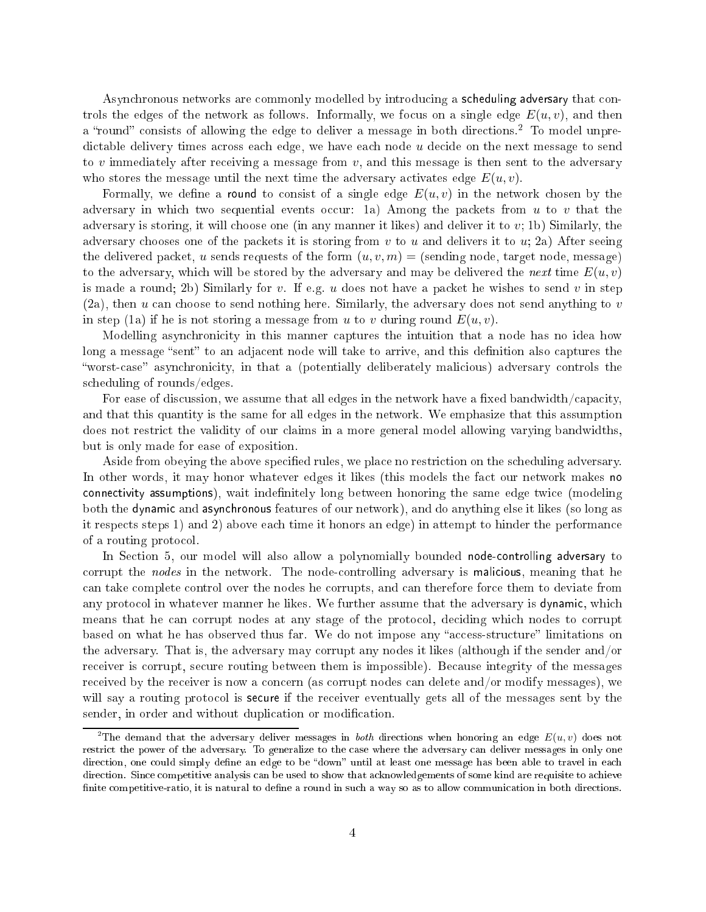Asynchronous networks are commonly modelled by introducing a scheduling adversary that controls the edges of the network as follows. Informally, we focus on a single edge  $E(u, v)$ , and then a round consists of allowing the edge to deliver a message in both directions.2 To model unpredictable delivery times across each edge, we have each node  $u$  decide on the next message to send to  $v$  immediately after receiving a message from  $v$ , and this message is then sent to the adversary who stores the message until the next time the adversary activates edge  $E(u, v)$ .

Formally, we define a round to consist of a single edge  $E(u, v)$  in the network chosen by the adversary in which two sequential events occur: 1a) Among the packets from  $u$  to  $v$  that the adversary is storing, it will choose one (in any manner it likes) and deliver it to  $v$ ; 1b) Similarly, the adversary chooses one of the packets it is storing from  $v$  to  $u$  and delivers it to  $u$ ; 2a) After seeing the delivered packet, u sends requests of the form  $(u, v, m) =$  (sending node, target node, message) to the adversary, which will be stored by the adversary and may be delivered the next time  $E(u, v)$ is made a round; 2b) Similarly for v. If e.g. u does not have a packet he wishes to send v in step  $(2a)$ , then u can choose to send nothing here. Similarly, the adversary does not send anything to v in step (1a) if he is not storing a message from u to v during round  $E(u, v)$ .

Modelling asynchronicity in this manner captures the intuition that a node has no idea how long a message "sent" to an adjacent node will take to arrive, and this definition also captures the "worst-case" asynchronicity, in that a (potentially deliberately malicious) adversary controls the scheduling of rounds/edges.

For ease of discussion, we assume that all edges in the network have a fixed bandwidth/capacity, and that this quantity is the same for all edges in the network. We emphasize that this assumption does not restrict the validity of our claims in a more general model allowing varying bandwidths, but is only made for ease of exposition.

Aside from obeying the above specified rules, we place no restriction on the scheduling adversary. In other words, it may honor whatever edges it likes (this models the fact our network makes no connectivity assumptions), wait indefinitely long between honoring the same edge twice (modeling both the dynamic and asynchronous features of our network), and do anything else it likes (so long as it respects steps 1) and 2) above each time it honors an edge) in attempt to hinder the performance of a routing protocol.

In Section 5, our model will also allow a polynomially bounded node-controlling adversary to corrupt the nodes in the network. The node-controlling adversary is malicious, meaning that he can take complete control over the nodes he corrupts, and can therefore force them to deviate from any protocol in whatever manner he likes. We further assume that the adversary is dynamic, which means that he can corrupt nodes at any stage of the protocol, deciding which nodes to corrupt based on what he has observed thus far. We do not impose any "access-structure" limitations on the adversary. That is, the adversary may corrupt any nodes it likes (although if the sender and/or receiver is corrupt, secure routing between them is impossible). Because integrity of the messages received by the receiver is now a concern (as corrupt nodes can delete and/or modify messages), we will say a routing protocol is **secure** if the receiver eventually gets all of the messages sent by the sender, in order and without duplication or modification.

<sup>&</sup>lt;sup>2</sup>The demand that the adversary deliver messages in both directions when honoring an edge  $E(u, v)$  does not restrict the power of the adversary. To generalize to the case where the adversary can deliver messages in only one direction, one could simply define an edge to be "down" until at least one message has been able to travel in each direction. Since competitive analysis can be used to show that acknowledgements of some kind are requisite to achieve finite competitive-ratio, it is natural to define a round in such a way so as to allow communication in both directions.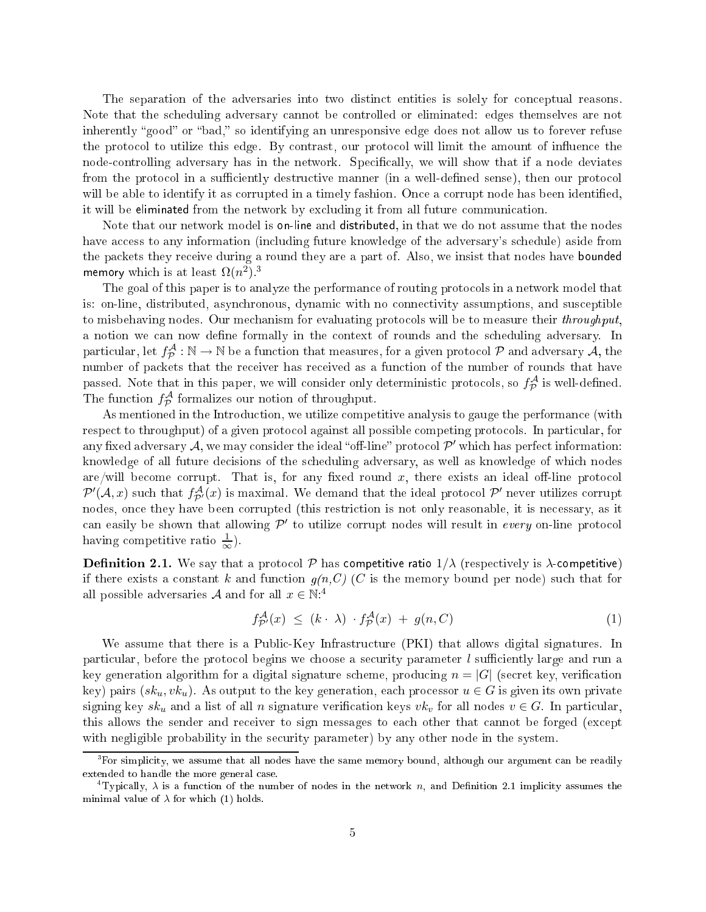The separation of the adversaries into two distinct entities is solely for conceptual reasons. Note that the scheduling adversary cannot be controlled or eliminated: edges themselves are not inherently "good" or "bad," so identifying an unresponsive edge does not allow us to forever refuse the protocol to utilize this edge. By contrast, our protocol will limit the amount of influence the node-controlling adversary has in the network. Specifically, we will show that if a node deviates from the protocol in a sufficiently destructive manner (in a well-defined sense), then our protocol will be able to identify it as corrupted in a timely fashion. Once a corrupt node has been identified, it will be eliminated from the network by excluding it from all future communication.

Note that our network model is on-line and distributed, in that we do not assume that the nodes have access to any information (including future knowledge of the adversary's schedule) aside from the packets they receive during a round they are a part of. Also, we insist that nodes have bounded memory which is at least  $\Omega(n^2)$ .<sup>3</sup>

The goal of this paper is to analyze the performance of routing protocols in a network model that is: on-line, distributed, asynchronous, dynamic with no connectivity assumptions, and susceptible to misbehaving nodes. Our mechanism for evaluating protocols will be to measure their *throughput*. a notion we can now define formally in the context of rounds and the scheduling adversary. In particular, let  $f^{\mathcal{A}}_{\mathcal{P}}:\mathbb{N}\to\mathbb{N}$  be a function that measures, for a given protocol  $\mathcal P$  and adversary  $\mathcal A$ , the number of packets that the receiver has received as a function of the number of rounds that have passed. Note that in this paper, we will consider only deterministic protocols, so  $f_{\mathcal{P}}^{\mathcal{A}}$  is well-defined. The function  $f_{\mathcal{P}}^{\mathcal{A}}$  formalizes our notion of throughput.

As mentioned in the Introduction, we utilize competitive analysis to gauge the performance (with respect to throughput) of a given protocol against all possible competing protocols. In particular, for any fixed adversary  ${\cal A},$  we may consider the ideal "off-line" protocol  ${\cal P}'$  which has perfect information: knowledge of all future decisions of the scheduling adversary, as well as knowledge of which nodes are/will become corrupt. That is, for any fixed round x, there exists an ideal off-line protocol  $\mathcal{P}'(\mathcal{A},x)$  such that  $f^{\mathcal{A}}_{\mathcal{P}'}(x)$  is maximal. We demand that the ideal protocol  $\mathcal{P}'$  never utilizes corrupt nodes, once they have been corrupted (this restriction is not only reasonable, it is necessary, as it can easily be shown that allowing  $\mathcal{P}'$  to utilize corrupt nodes will result in every on-line protocol having competitive ratio  $\frac{1}{\infty}$ ).

**Definition 2.1.** We say that a protocol P has competitive ratio  $1/\lambda$  (respectively is  $\lambda$ -competitive) if there exists a constant k and function  $g(n, C)$  (C is the memory bound per node) such that for all possible adversaries  ${\mathcal A}$  and for all  $x\in{\mathbb N}^{.4}$ 

$$
f_{\mathcal{P}'}^{\mathcal{A}}(x) \leq (k \cdot \lambda) \cdot f_{\mathcal{P}}^{\mathcal{A}}(x) + g(n, C) \tag{1}
$$

We assume that there is a Public-Key Infrastructure (PKI) that allows digital signatures. In particular, before the protocol begins we choose a security parameter  $l$  sufficiently large and run a key generation algorithm for a digital signature scheme, producing  $n = |G|$  (secret key, verification key) pairs  $(sk_u, vk_u)$ . As output to the key generation, each processor  $u \in G$  is given its own private signing key sk<sub>u</sub> and a list of all n signature verification keys vk<sub>v</sub> for all nodes  $v \in G$ . In particular, this allows the sender and receiver to sign messages to each other that cannot be forged (except with negligible probability in the security parameter) by any other node in the system.

<sup>-</sup> For simplicity, we assume that all nodes have the same memory bound, although our argument can be readily extended to handle the more general case.

<sup>&</sup>lt;sup>4</sup>Typically,  $\lambda$  is a function of the number of nodes in the network n, and Definition 2.1 implicity assumes the minimal value of  $\lambda$  for which (1) holds.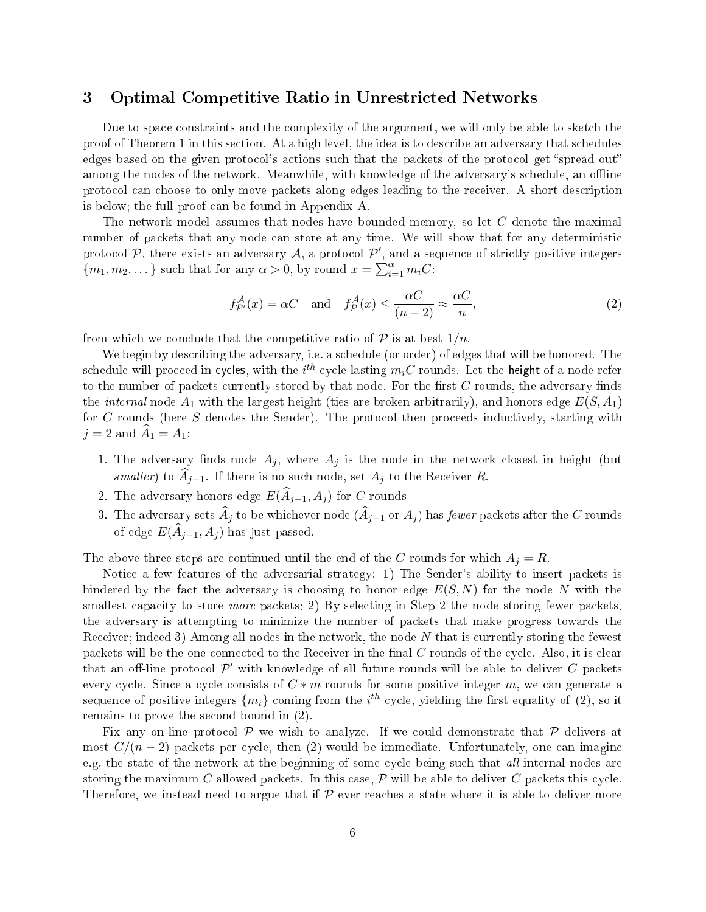# 3 Optimal Competitive Ratio in Unrestricted Networks

Due to space constraints and the complexity of the argument, we will only be able to sketch the proof of Theorem 1 in this section. At a high level, the idea is to describe an adversary that schedules edges based on the given protocol's actions such that the packets of the protocol get "spread out" among the nodes of the network. Meanwhile, with knowledge of the adversary's schedule, an offline protocol can choose to only move packets along edges leading to the receiver. A short description is below; the full proof can be found in Appendix A.

The network model assumes that nodes have bounded memory, so let C denote the maximal number of packets that any node can store at any time. We will show that for any deterministic protocol  $P$ , there exists an adversary  $\mathcal{A}$ , a protocol  $\mathcal{P}'$ , and a sequence of strictly positive integers  ${m_1, m_2,...}$  such that for any  $\alpha > 0$ , by round  $x = \sum_{i=1}^{\alpha} m_i C$ :

$$
f_{\mathcal{P}'}^{\mathcal{A}}(x) = \alpha C \text{ and } f_{\mathcal{P}}^{\mathcal{A}}(x) \le \frac{\alpha C}{(n-2)} \approx \frac{\alpha C}{n},
$$
 (2)

from which we conclude that the competitive ratio of  $P$  is at best  $1/n$ .

We begin by describing the adversary, i.e. <sup>a</sup> schedule (or order) of edges that will be honored. The schedule will proceed in cycles, with the  $i^{th}$  cycle lasting  $m_iC$  rounds. Let the height of a node refer to the number of packets currently stored by that node. For the first  $C$  rounds, the adversary finds the *internal* node  $A_1$  with the largest height (ties are broken arbitrarily), and honors edge  $E(S, A_1)$ for  $C$  rounds (here  $S$  denotes the Sender). The protocol then proceeds inductively, starting with  $j = 2$  and  $A_1 = A_1$ :

- 1. The adversary finds node  $A_j$ , where  $A_j$  is the node in the network closest in height (but smaller) to  $A_{j-1}$ . If there is no such node, set  $A_j$  to the Receiver R.
- 2. The adversary honors edge  $E(\widehat{A}_{j-1}, A_j)$  for C rounds
- 3. The adversary sets  $\widehat{A}_j$  to be whichever node  $(\widehat{A}_{j-1}$  or  $A_j)$  has fewer packets after the C rounds of edge  $E(\widehat{A}_{i-1}, A_i)$  has just passed.

The above three steps are continued until the end of the C rounds for which  $A_i = R$ .

Notice a few features of the adversarial strategy: 1) The Sender's ability to insert packets is hindered by the fact the adversary is choosing to honor edge  $E(S, N)$  for the node N with the smallest capacity to store *more* packets; 2) By selecting in Step 2 the node storing fewer packets. the adversary is attempting to minimize the number of packets that make progress towards the Receiver; indeed 3) Among all nodes in the network, the node  $N$  that is currently storing the fewest packets will be the one connected to the Receiver in the final  $C$  rounds of the cycle. Also, it is clear that an off-line protocol  $\mathcal{P}'$  with knowledge of all future rounds will be able to deliver  $C$  packets every cycle. Since a cycle consists of  $C * m$  rounds for some positive integer m, we can generate a sequence of positive integers  $\{m_i\}$  coming from the  $i^{th}$  cycle, yielding the first equality of (2), so it remains to prove the second bound in (2).

Fix any on-line protocol  $P$  we wish to analyze. If we could demonstrate that  $P$  delivers at most  $C/(n-2)$  packets per cycle, then (2) would be immediate. Unfortunately, one can imagine e.g. the state of the network at the beginning of some cycle being such that all internal nodes are storing the maximum C allowed packets. In this case,  $P$  will be able to deliver C packets this cycle. Therefore, we instead need to argue that if  $\mathcal P$  ever reaches a state where it is able to deliver more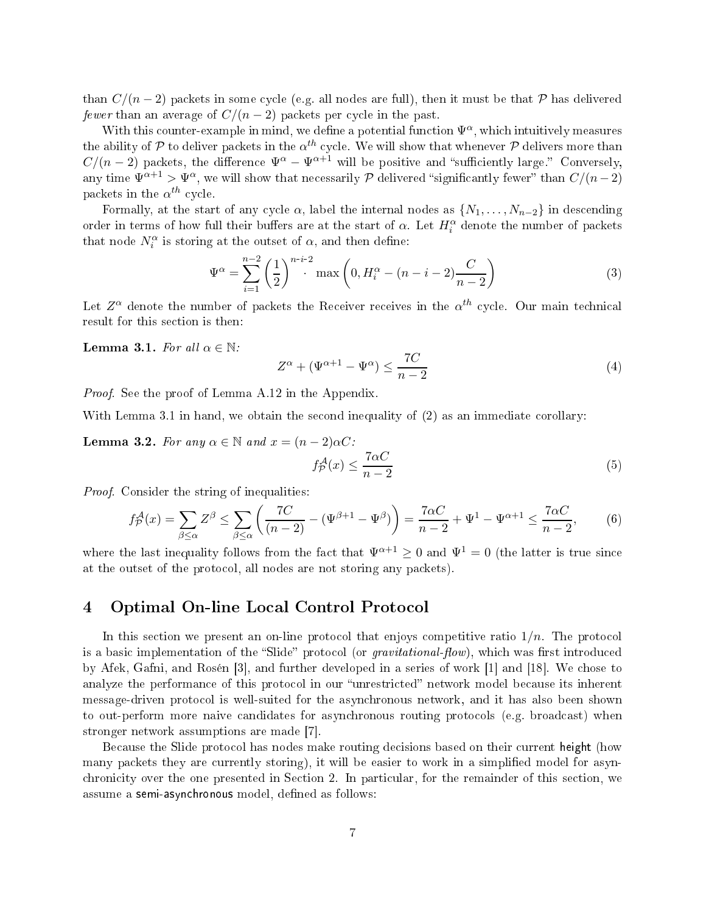than  $C/(n-2)$  packets in some cycle (e.g. all nodes are full), then it must be that P has delivered fewer than an average of  $C/(n-2)$  packets per cycle in the past.

With this counter-example in mind, we define a potential function  $\Psi^{\alpha}$ , which intuitively measures the ability of  ${\cal P}$  to deliver packets in the  $\alpha^{th}$  cycle. We will show that whenever  ${\cal P}$  delivers more than  $C/(n-2)$  packets, the difference  $\Psi^{\alpha} - \Psi^{\alpha+1}$  will be positive and "sufficiently large." Conversely, any time  $\Psi^{\alpha+1} > \Psi^{\alpha}$ , we will show that necessarily P delivered "significantly fewer" than  $C/(n-2)$ packets in the  $\alpha^{th}$  cycle.

Formally, at the start of any cycle  $\alpha$ , label the internal nodes as  $\{N_1, \ldots, N_{n-2}\}\$  in descending order in terms of how full their buffers are at the start of  $\alpha$ . Let  $H_i^{\alpha}$  denote the number of packets that node  $N_i^{\alpha}$  is storing at the outset of  $\alpha$ , and then define:

$$
\Psi^{\alpha} = \sum_{i=1}^{n-2} \left(\frac{1}{2}\right)^{n-i-2} \max\left(0, H_i^{\alpha} - (n-i-2)\frac{C}{n-2}\right)
$$
 (3)

Let  $Z^{\alpha}$  denote the number of packets the Receiver receives in the  $\alpha^{th}$  cycle. Our main technical result for this section is then:

#### **Lemma 3.1.** For all  $\alpha \in \mathbb{N}$ :

$$
Z^{\alpha} + (\Psi^{\alpha+1} - \Psi^{\alpha}) \le \frac{7C}{n-2}
$$
\n<sup>(4)</sup>

Proof. See the proof of Lemma A.12 in the Appendix.

With Lemma 3.1 in hand, we obtain the second inequality of (2) as an immediate corollary:

**Lemma 3.2.** For any  $\alpha \in \mathbb{N}$  and  $x = (n-2)\alpha C$ :

$$
f_{\mathcal{P}}^{\mathcal{A}}(x) \le \frac{7\alpha C}{n-2} \tag{5}
$$

Proof. Consider the string of inequalities:

$$
f_{\mathcal{P}}^{\mathcal{A}}(x) = \sum_{\beta \le \alpha} Z^{\beta} \le \sum_{\beta \le \alpha} \left( \frac{7C}{(n-2)} - (\Psi^{\beta+1} - \Psi^{\beta}) \right) = \frac{7\alpha C}{n-2} + \Psi^1 - \Psi^{\alpha+1} \le \frac{7\alpha C}{n-2},\tag{6}
$$

where the last inequality follows from the fact that  $\Psi^{\alpha+1} \geq 0$  and  $\Psi^1 = 0$  (the latter is true since at the outset of the protocol, all nodes are not storing any packets).

#### 4 Optimal On-line Local Control Protocol  $\overline{4}$

In this section we present an on-line protocol that enjoys competitive ratio  $1/n$ . The protocol is a basic implementation of the "Slide" protocol (or *gravitational-flow*), which was first introduced by Afek, Gafni, and Rosén [3], and further developed in a series of work [1] and [18]. We chose to analyze the performance of this protocol in our "unrestricted" network model because its inherent message-driven protocol is well-suited for the asynchronous network, and it has also been shown to out-perform more naive candidates for asynchronous routing protocols (e.g. broadcast) when stronger network assumptions are made [7].

Because the Slide protocol has nodes make routing decisions based on their current height (how many packets they are currently storing), it will be easier to work in a simplied model for asynchronicity over the one presented in Section 2. In particular, for the remainder of this section, we assume a semi-asynchronous model, defined as follows: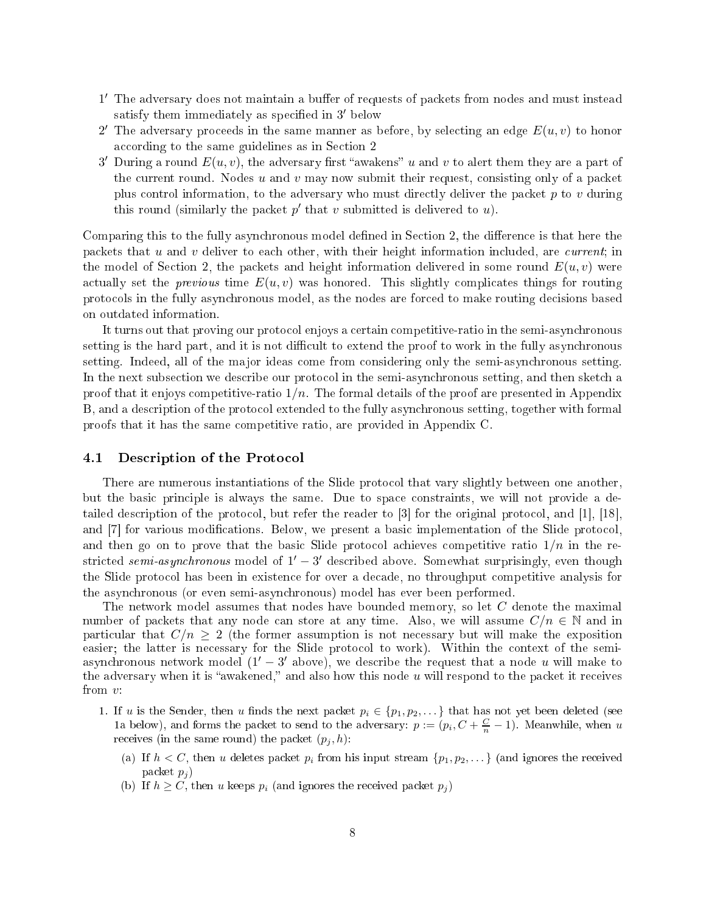- 1' The adversary does not maintain a buffer of requests of packets from nodes and must instead satisfy them immediately as specified in  $3'$  below
- 2' The adversary proceeds in the same manner as before, by selecting an edge  $E(u, v)$  to honor according to the same guidelines as in Section 2
- 3' During a round  $E(u, v)$ , the adversary first "awakens" u and v to alert them they are a part of the current round. Nodes  $u$  and  $v$  may now submit their request, consisting only of a packet plus control information, to the adversary who must directly deliver the packet  $p$  to  $v$  during this round (similarly the packet  $p'$  that v submitted is delivered to  $u$ ).

Comparing this to the fully asynchronous model defined in Section 2, the difference is that here the packets that  $u$  and  $v$  deliver to each other, with their height information included, are *current*; in the model of Section 2, the packets and height information delivered in some round  $E(u, v)$  were actually set the previous time  $E(u, v)$  was honored. This slightly complicates things for routing protocols in the fully asynchronous model, as the nodes are forced to make routing decisions based on outdated information.

It turns out that proving our protocol enjoys a certain competitive-ratio in the semi-asynchronous setting is the hard part, and it is not difficult to extend the proof to work in the fully asynchronous setting. Indeed, all of the ma jor ideas come from considering only the semi-asynchronous setting. In the next subsection we describe our protocol in the semi-asynchronous setting, and then sketch a proof that it enjoys competitive-ratio  $1/n$ . The formal details of the proof are presented in Appendix B, and a description of the protocol extended to the fully asynchronous setting, together with formal proofs that it has the same competitive ratio, are provided in Appendix C.

## 4.1 Description of the Protocol

There are numerous instantiations of the Slide protocol that vary slightly between one another, but the basic principle is always the same. Due to space constraints, we will not provide a detailed description of the protocol, but refer the reader to [3] for the original protocol, and [1], [18], and [7] for various modifications. Below, we present a basic implementation of the Slide protocol. and then go on to prove that the basic Slide protocol achieves competitive ratio  $1/n$  in the restricted semi-asynchronous model of  $1' - 3'$  described above. Somewhat surprisingly, even though the Slide protocol has been in existence for over a decade, no throughput competitive analysis for the asynchronous (or even semi-asynchronous) model has ever been performed.

The network model assumes that nodes have bounded memory, so let C denote the maximal number of packets that any node can store at any time. Also, we will assume  $C/n \in \mathbb{N}$  and in particular that  $C/n \geq 2$  (the former assumption is not necessary but will make the exposition easier; the latter is necessary for the Slide protocol to work). Within the context of the semiasynchronous network model  $(1' - 3'$  above), we describe the request that a node u will make to the adversary when it is "awakened," and also how this node  $u$  will respond to the packet it receives from v:

- 1. If u is the Sender, then u finds the next packet  $p_i \in \{p_1, p_2, \dots\}$  that has not yet been deleted (see 1a below), and forms the packet to send to the adversary:  $p := (p_i, C + \frac{C}{n} - 1)$ . Meanwhile, when u receives (in the same round) the packet  $(p_j, h)$ :
	- (a) If  $h < C$ , then u deletes packet  $p_i$  from his input stream  $\{p_1, p_2, \dots\}$  (and ignores the received packet  $p_i$ )
	- (b) If  $h \geq C$ , then u keeps  $p_i$  (and ignores the received packet  $p_i$ )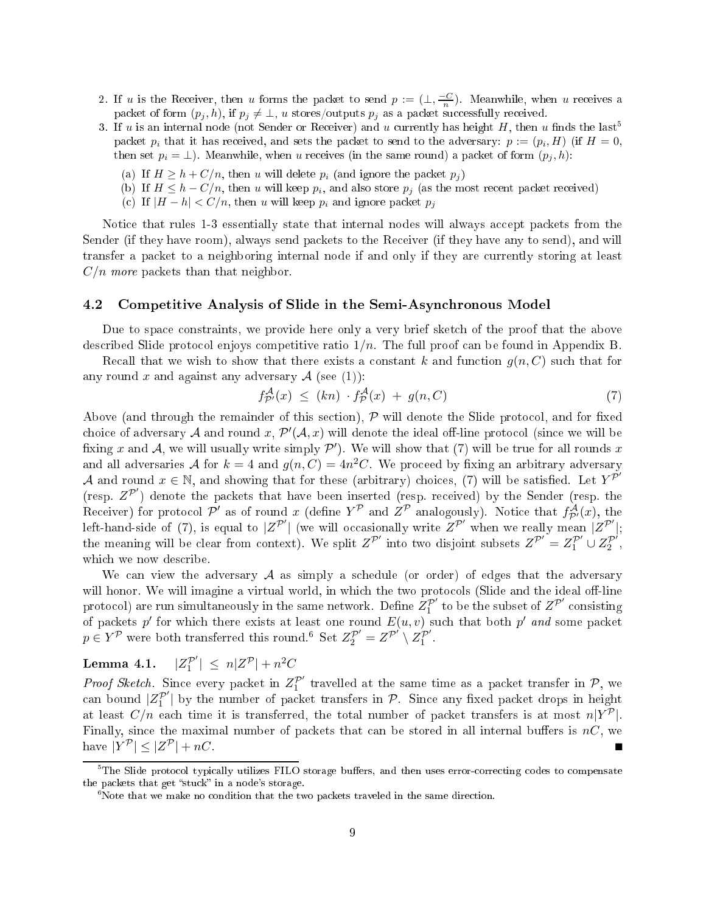- 2. If u is the Receiver, then u forms the packet to send  $p := (\perp, \frac{-C}{n})$ . Meanwhile, when u receives a packet of form  $(p_j, h)$ , if  $p_j \neq \perp$ , u stores/outputs  $p_j$  as a packet successfully received.
- 3. If u is an internal node (not Sender or Receiver) and u currently has height H, then u finds the last<sup>5</sup> packet  $p_i$  that it has received, and sets the packet to send to the adversary:  $p := (p_i, H)$  (if  $H = 0$ , then set  $p_i = \perp$ ). Meanwhile, when u receives (in the same round) a packet of form  $(p_i, h)$ :
	- (a) If  $H \geq h + C/n$ , then u will delete  $p_i$  (and ignore the packet  $p_i$ )
	- (b) If  $H \leq h C/n$ , then u will keep  $p_i$ , and also store  $p_j$  (as the most recent packet received)
	- (c) If  $|H h| < C/n$ , then u will keep  $p_i$  and ignore packet  $p_j$

Notice that rules 1-3 essentially state that internal nodes will always accept packets from the Sender (if they have room), always send packets to the Receiver (if they have any to send), and will transfer a packet to a neighboring internal node if and only if they are currently storing at least  $C/n$  more packets than that neighbor.

#### 4.2 Competitive Analysis of Slide in the Semi-Asynchronous Model

Due to space constraints, we provide here only a very brief sketch of the proof that the above described Slide protocol enjoys competitive ratio  $1/n$ . The full proof can be found in Appendix B.

Recall that we wish to show that there exists a constant k and function  $g(n, C)$  such that for any round x and against any adversary  $\mathcal A$  (see (1)):

$$
f_{\mathcal{P}'}^{\mathcal{A}}(x) \leq (kn) \cdot f_{\mathcal{P}}^{\mathcal{A}}(x) + g(n, C) \tag{7}
$$

Above (and through the remainder of this section),  $P$  will denote the Slide protocol, and for fixed choice of adversary  $\cal A$  and round  $x,$   ${\cal P}'({\cal A},x)$  will denote the ideal off-line protocol (since we will be fixing x and A, we will usually write simply  $\mathcal{P}'$ ). We will show that (7) will be true for all rounds x and all adversaries  ${\cal A}$  for  $k=4$  and  $g(n,C)=4n^2C$ . We proceed by fixing an arbitrary adversary A and round  $x \in \mathbb{N}$ , and showing that for these (arbitrary) choices, (7) will be satisfied. Let  $Y^{\tilde{P}'}$ (resp.  $Z^{\mathcal{P}'}$ ) denote the packets that have been inserted (resp. received) by the Sender (resp. the Receiver) for protocol  $\mathcal{P}'$  as of round x (define  $Y^{\mathcal{P}}$  and  $Z^{\mathcal{P}}$  analogously). Notice that  $f^{\mathcal{A}}_{\mathcal{P}'}(x)$ , the left-hand-side of (7), is equal to  $|Z^{\mathcal{P}'}|$  (we will occasionally write  $Z^{\mathcal{P}'}$  when we really mean  $|Z^{\mathcal{P}'}|$ ; the meaning will be clear from context). We split  $Z^{\mathcal{P}'}$  into two disjoint subsets  $Z^{\mathcal{P}'} = Z_1^{\mathcal{P}'} \cup Z_2^{\mathcal{P}'},$ which we now describe.

We can view the adversary  $\mathcal A$  as simply a schedule (or order) of edges that the adversary will honor. We will imagine a virtual world, in which the two protocols (Slide and the ideal off-line protocol) are run simultaneously in the same network. Define  $Z_1^{\mathcal{P}'}$  to be the subset of  $Z^{\mathcal{P}'}$  consisting of packets p' for which there exists at least one round  $E(u, v)$  such that both p' and some packet  $p \in Y^{\mathcal{P}}$  were both transferred this round.<sup>6</sup> Set  $Z_2^{\mathcal{P}'} = Z^{\mathcal{P}'} \setminus Z_1^{\mathcal{P}'}.$ 

#### $Lemma$  4.1.  $\left| \frac{\mathcal{P}'}{1} \right| \leq n |Z^{\mathcal{P}}| + n^2 C$

*Proof Sketch.* Since every packet in  $Z_1^{p'}$  travelled at the same time as a packet transfer in P, we can bound  $|Z_1^{\mathcal{P}'}|$  by the number of packet transfers in  $\mathcal{P}$ . Since any fixed packet drops in height at least  $C/n$  each time it is transferred, the total number of packet transfers is at most  $n|Y^{\mathcal{P}}|$ . Finally, since the maximal number of packets that can be stored in all internal buffers is  $nC$ , we have  $|Y^{\mathcal{P}}| \leq |Z|$  $\mathcal{P}| + nC$ .

The Slide protocol typically utilizes FILO storage buirers, and then uses error-correcting codes to compensate the packets that get " $stuck$ " in a node's storage.

Note that we make no condition that the two packets traveled in the same direction.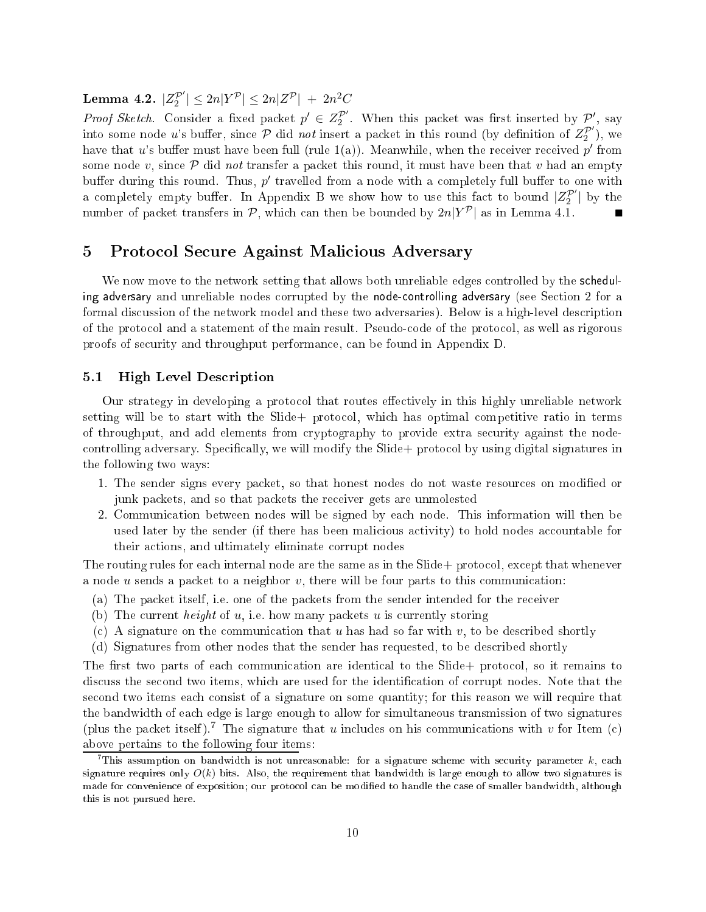Lemma 4.2.  $|Z_2^{\mathcal{P}'}|\leq 2n|Y^{\mathcal{P}}|\leq 2n|Z^{\mathcal{P}}|\ +\ 2n^2C$ 

*Proof Sketch.* Consider a fixed packet  $p' \in Z_2^{\mathcal{P}'}$ . When this packet was first inserted by  $\mathcal{P}'$ , say into some node u's buffer, since  $\overline{P}$  did not insert a packet in this round (by definition of  $Z_2^{\mathcal{P}'})$ , we have that u's buffer must have been full (rule 1(a)). Meanwhile, when the receiver received  $p'$  from some node v, since  $P$  did not transfer a packet this round, it must have been that v had an empty buffer during this round. Thus,  $p'$  travelled from a node with a completely full buffer to one with a completely empty buffer. In Appendix B we show how to use this fact to bound  $|Z_2^{\mathcal{P}'}|$  by the number of packet transfers in  $P$ , which can then be bounded by  $2n|Y^P|$  as in Lemma 4.1.

# 5 Protocol Secure Against Malicious Adversary

We now move to the network setting that allows both unreliable edges controlled by the scheduling adversary and unreliable nodes corrupted by the node-controlling adversary (see Section 2 for a formal discussion of the network model and these two adversaries). Below is a high-level description of the protocol and a statement of the main result. Pseudo-code of the protocol, as well as rigorous proofs of security and throughput performance, can be found in Appendix D.

# 5.1 High Level Description

Our strategy in developing a protocol that routes effectively in this highly unreliable network setting will be to start with the Slide+ protocol, which has optimal competitive ratio in terms of throughput, and add elements from cryptography to provide extra security against the nodecontrolling adversary. Specifically, we will modify the Slide+ protocol by using digital signatures in the following two ways:

- 1. The sender signs every packet, so that honest nodes do not waste resources on modified or junk packets, and so that packets the receiver gets are unmolested
- 2. Communication between nodes will be signed by each node. This information will then be used later by the sender (if there has been malicious activity) to hold nodes accountable for their actions, and ultimately eliminate corrupt nodes

The routing rules for each internal node are the same as in the Slide+ protocol, except that whenever a node u sends a packet to a neighbor  $v$ , there will be four parts to this communication:

- (a) The packet itself, i.e. one of the packets from the sender intended for the receiver
- (b) The current *height* of u, i.e. how many packets u is currently storing
- (c) A signature on the communication that u has had so far with v, to be described shortly
- (d) Signatures from other nodes that the sender has requested, to be described shortly

The first two parts of each communication are identical to the  $S$ lide $+$  protocol, so it remains to discuss the second two items, which are used for the identification of corrupt nodes. Note that the second two items each consist of a signature on some quantity; for this reason we will require that the bandwidth of each edge is large enough to allow for simultaneous transmission of two signatures (plus the packet itself).<sup>7</sup> The signature that u includes on his communications with v for Item (c) above pertains to the following four items:

This assumption on bandwidth is not unreasonable: for a signature scheme with security parameter  $k$ , each signature requires only  $O(k)$  bits. Also, the requirement that bandwidth is large enough to allow two signatures is made for convenience of exposition; our protocol can be modified to handle the case of smaller bandwidth, although this is not pursued here.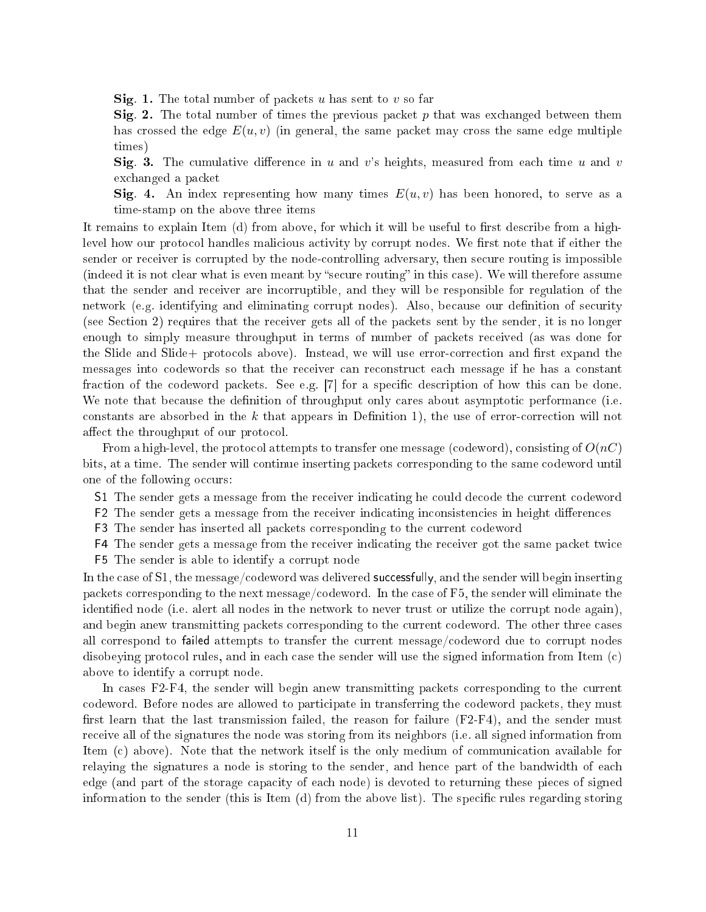**Sig. 1.** The total number of packets u has sent to v so far

Sig. 2. The total number of times the previous packet p that was exchanged between them has crossed the edge  $E(u, v)$  (in general, the same packet may cross the same edge multiple times)

Sig. 3. The cumulative difference in  $u$  and  $v$ 's heights, measured from each time  $u$  and  $v$ exchanged a packet

Sig. 4. An index representing how many times  $E(u, v)$  has been honored, to serve as a time-stamp on the above three items

It remains to explain Item  $(d)$  from above, for which it will be useful to first describe from a highlevel how our protocol handles malicious activity by corrupt nodes. We first note that if either the sender or receiver is corrupted by the node-controlling adversary, then secure routing is impossible (indeed it is not clear what is even meant by "secure routing" in this case). We will therefore assume that the sender and receiver are incorruptible, and they will be responsible for regulation of the network (e.g. identifying and eliminating corrupt nodes). Also, because our definition of security (see Section 2) requires that the receiver gets all of the packets sent by the sender, it is no longer enough to simply measure throughput in terms of number of packets received (as was done for the Slide and Slide+ protocols above). Instead, we will use error-correction and first expand the messages into codewords so that the receiver can reconstruct each message if he has a constant fraction of the codeword packets. See e.g.  $[7]$  for a specific description of how this can be done. We note that because the definition of throughput only cares about asymptotic performance (i.e. constants are absorbed in the  $k$  that appears in Definition 1), the use of error-correction will not affect the throughput of our protocol.

From a high-level, the protocol attempts to transfer one message (codeword), consisting of  $O(nC)$ bits, at a time. The sender will continue inserting packets corresponding to the same codeword until one of the following occurs:

S1 The sender gets a message from the receiver indicating he could decode the current codeword

F2 The sender gets a message from the receiver indicating inconsistencies in height differences

F3 The sender has inserted all packets corresponding to the current codeword

F4 The sender gets a message from the receiver indicating the receiver got the same packet twice F5 The sender is able to identify a corrupt node

In the case of S1, the message/codeword was delivered successfully, and the sender will begin inserting packets corresponding to the next message/codeword. In the case of F5, the sender will eliminate the identified node (i.e. alert all nodes in the network to never trust or utilize the corrupt node again). and begin anew transmitting packets corresponding to the current codeword. The other three cases all correspond to failed attempts to transfer the current message/codeword due to corrupt nodes disobeying protocol rules, and in each case the sender will use the signed information from Item (c) above to identify a corrupt node.

In cases F2-F4, the sender will begin anew transmitting packets corresponding to the current codeword. Before nodes are allowed to participate in transferring the codeword packets, they must first learn that the last transmission failed, the reason for failure  $(F2-F4)$ , and the sender must receive all of the signatures the node was storing from its neighbors (i.e. all signed information from Item (c) above). Note that the network itself is the only medium of communication available for relaying the signatures a node is storing to the sender, and hence part of the bandwidth of each edge (and part of the storage capacity of each node) is devoted to returning these pieces of signed information to the sender (this is Item  $(d)$  from the above list). The specific rules regarding storing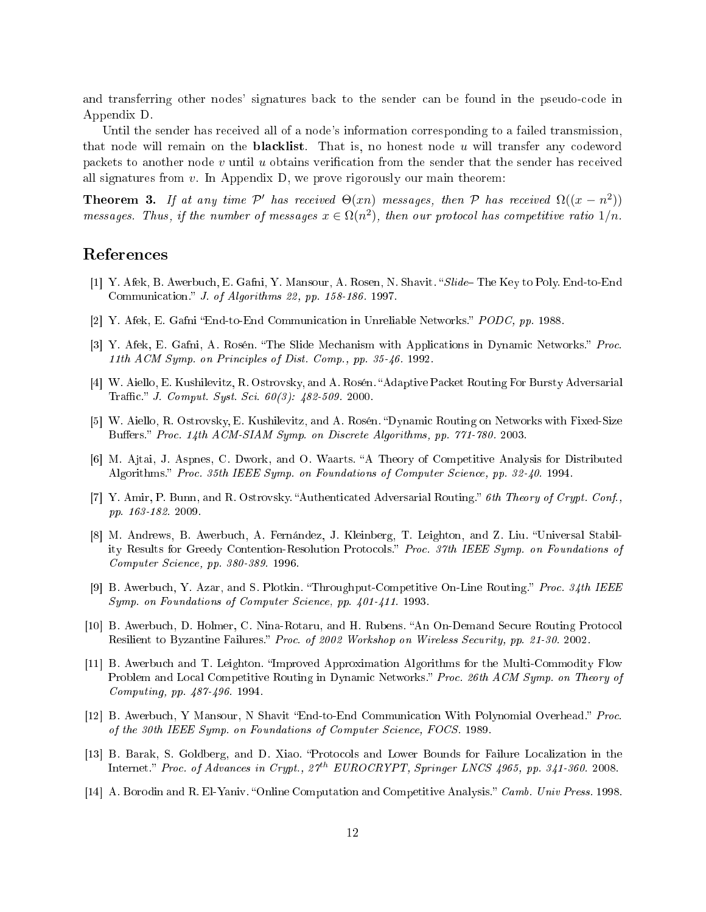and transferring other nodes' signatures back to the sender can be found in the pseudo-code in Appendix D.

Until the sender has received all of a node's information corresponding to a failed transmission, that node will remain on the **blacklist**. That is, no honest node  $u$  will transfer any codeword packets to another node v until u obtains verification from the sender that the sender has received all signatures from  $v$ . In Appendix D, we prove rigorously our main theorem:

**Theorem 3.** If at any time  $\mathcal{P}'$  has received  $\Theta(xn)$  messages, then  $\mathcal{P}$  has received  $\Omega((x-n^2))$ messages. Thus, if the number of messages  $x \in \Omega(n^2)$ , then our protocol has competitive ratio  $1/n$ .

# References

- [1] Y. Afek, B. Awerbuch, E. Gafni, Y. Mansour, A. Rosen, N. Shavit. "Slide The Key to Poly. End-to-End Communication." J. of Algorithms 22, pp. 158-186. 1997.
- [2] Y. Afek, E. Gafni "End-to-End Communication in Unreliable Networks." PODC, pp. 1988.
- [3] Y. Afek, E. Gafni, A. Rosén. "The Slide Mechanism with Applications in Dynamic Networks." Proc. 11th ACM Symp. on Principles of Dist. Comp., pp. 35-46. 1992.
- [4] W. Aiello, E. Kushilevitz, R. Ostrovsky, and A. Rosén. "Adaptive Packet Routing For Bursty Adversarial Traffic." J. Comput. Syst. Sci.  $60(3)$ : 482-509. 2000.
- [5] W. Aiello, R. Ostrovsky, E. Kushilevitz, and A. Rosén. "Dynamic Routing on Networks with Fixed-Size Buffers." Proc. 14th ACM-SIAM Symp. on Discrete Algorithms, pp. 771-780. 2003.
- [6] M. Ajtai, J. Aspnes, C. Dwork, and O. Waarts. "A Theory of Competitive Analysis for Distributed Algorithms." Proc. 35th IEEE Symp. on Foundations of Computer Science, pp. 32-40. 1994.
- [7] Y. Amir, P. Bunn, and R. Ostrovsky. "Authenticated Adversarial Routing." 6th Theory of Crypt. Conf., pp. 163-182. 2009.
- [8] M. Andrews, B. Awerbuch, A. Fernández, J. Kleinberg, T. Leighton, and Z. Liu. "Universal Stability Results for Greedy Contention-Resolution Protocols." Proc. 37th IEEE Symp. on Foundations of Computer Science, pp. 380-389. 1996.
- [9] B. Awerbuch, Y. Azar, and S. Plotkin. "Throughput-Competitive On-Line Routing." Proc. 34th IEEE Symp. on Foundations of Computer Science, pp. 401-411. 1993.
- [10] B. Awerbuch, D. Holmer, C. Nina-Rotaru, and H. Rubens. "An On-Demand Secure Routing Protocol Resilient to Byzantine Failures." Proc. of 2002 Workshop on Wireless Security, pp. 21-30. 2002.
- [11] B. Awerbuch and T. Leighton. "Improved Approximation Algorithms for the Multi-Commodity Flow Problem and Local Competitive Routing in Dynamic Networks." Proc. 26th ACM Symp. on Theory of Computing, pp. 487-496. 1994.
- [12] B. Awerbuch, Y Mansour, N Shavit "End-to-End Communication With Polynomial Overhead." Proc. of the 30th IEEE Symp. on Foundations of Computer Science, FOCS. 1989.
- [13] B. Barak, S. Goldberg, and D. Xiao. "Protocols and Lower Bounds for Failure Localization in the Internet." Proc. of Advances in Crypt.,  $27<sup>th</sup>$  EUROCRYPT, Springer LNCS 4965, pp. 341-360. 2008.
- [14] A. Borodin and R. El-Yaniv. "Online Computation and Competitive Analysis." Camb. Univ Press. 1998.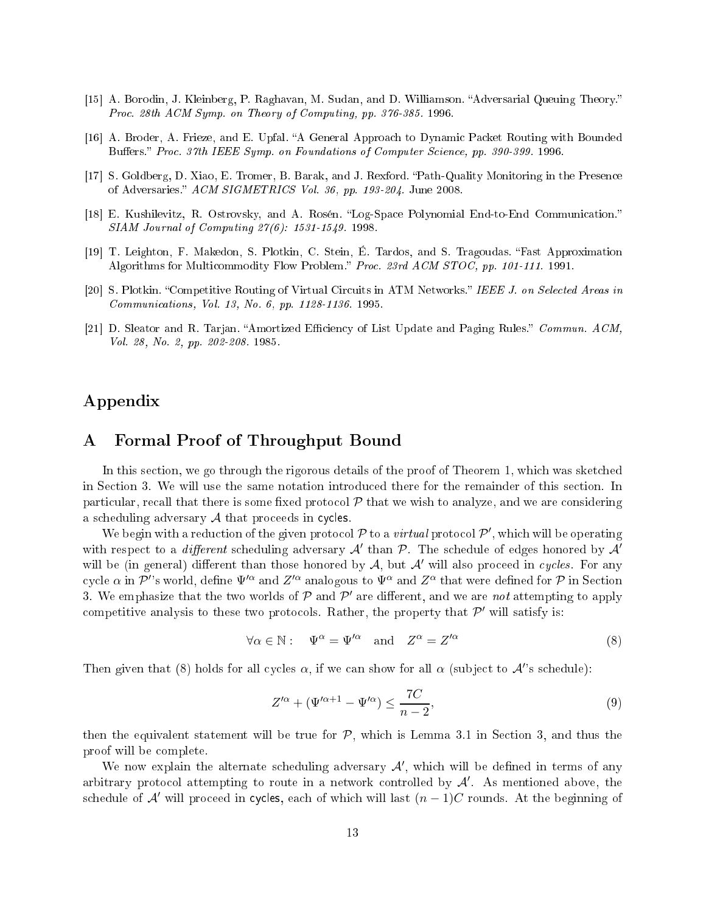- [15] A. Borodin, J. Kleinberg, P. Raghavan, M. Sudan, and D. Williamson. "Adversarial Queuing Theory." Proc. 28th ACM Symp. on Theory of Computing, pp. 376-385. 1996.
- [16] A. Broder, A. Frieze, and E. Upfal. "A General Approach to Dynamic Packet Routing with Bounded Buffers." Proc. 37th IEEE Symp. on Foundations of Computer Science, pp. 390-399. 1996.
- [17] S. Goldberg, D. Xiao, E. Tromer, B. Barak, and J. Rexford. "Path-Quality Monitoring in the Presence of Adversaries." ACM SIGMETRICS Vol. 36, pp. 193-204. June 2008.
- [18] E. Kushilevitz, R. Ostrovsky, and A. Rosén. "Log-Space Polynomial End-to-End Communication." SIAM Journal of Computing 27(6): 1531-1549. 1998.
- [19] T. Leighton, F. Makedon, S. Plotkin, C. Stein, É. Tardos, and S. Tragoudas. Fast Approximation Algorithms for Multicommodity Flow Problem." Proc. 23rd ACM STOC, pp. 101-111. 1991.
- [20] S. Plotkin. "Competitive Routing of Virtual Circuits in ATM Networks." IEEE J. on Selected Areas in Communications, Vol. 13, No. 6, pp. 1128-1136. 1995.
- [21] D. Sleator and R. Tarjan. "Amortized Efficiency of List Update and Paging Rules." Commun. ACM, Vol. 28, No. 2, pp. 202-208. 1985.

# Appendix

# A Formal Proof of Throughput Bound

In this section, we go through the rigorous details of the proof of Theorem 1, which was sketched in Section 3. We will use the same notation introduced there for the remainder of this section. In particular, recall that there is some fixed protocol  $\mathcal P$  that we wish to analyze, and we are considering a scheduling adversary  $A$  that proceeds in cycles.

We begin with a reduction of the given protocol  ${\cal P}$  to a  $\emph{virtual}$  protocol  ${\cal P}',$  which will be operating with respect to a *different* scheduling adversary  $A'$  than  $P$ . The schedule of edges honored by  $A'$ will be (in general) different than those honored by  $A$ , but  $A'$  will also proceed in *cycles*. For any cycle  $\alpha$  in  $\cal P'$ 's world, define  $\Psi'^\alpha$  and  $Z'^\alpha$  analogous to  $\Psi^\alpha$  and  $Z^\alpha$  that were defined for  $\cal P$  in Section 3. We emphasize that the two worlds of  $P$  and  $P'$  are different, and we are not attempting to apply competitive analysis to these two protocols. Rather, the property that  $\mathcal{P}'$  will satisfy is:

$$
\forall \alpha \in \mathbb{N}: \quad \Psi^{\alpha} = \Psi'^{\alpha} \quad \text{and} \quad Z^{\alpha} = Z'^{\alpha} \tag{8}
$$

Then given that (8) holds for all cycles  $\alpha$ , if we can show for all  $\alpha$  (subject to  $\mathcal{A}'$ 's schedule):

$$
Z^{\prime\alpha} + (\Psi^{\prime\alpha+1} - \Psi^{\prime\alpha}) \le \frac{7C}{n-2},\tag{9}
$$

then the equivalent statement will be true for  $P$ , which is Lemma 3.1 in Section 3, and thus the proof will be complete.

We now explain the alternate scheduling adversary  $A'$ , which will be defined in terms of any arbitrary protocol attempting to route in a network controlled by  $\mathcal{A}'$ . As mentioned above, the schedule of A' will proceed in cycles, each of which will last  $(n - 1)C$  rounds. At the beginning of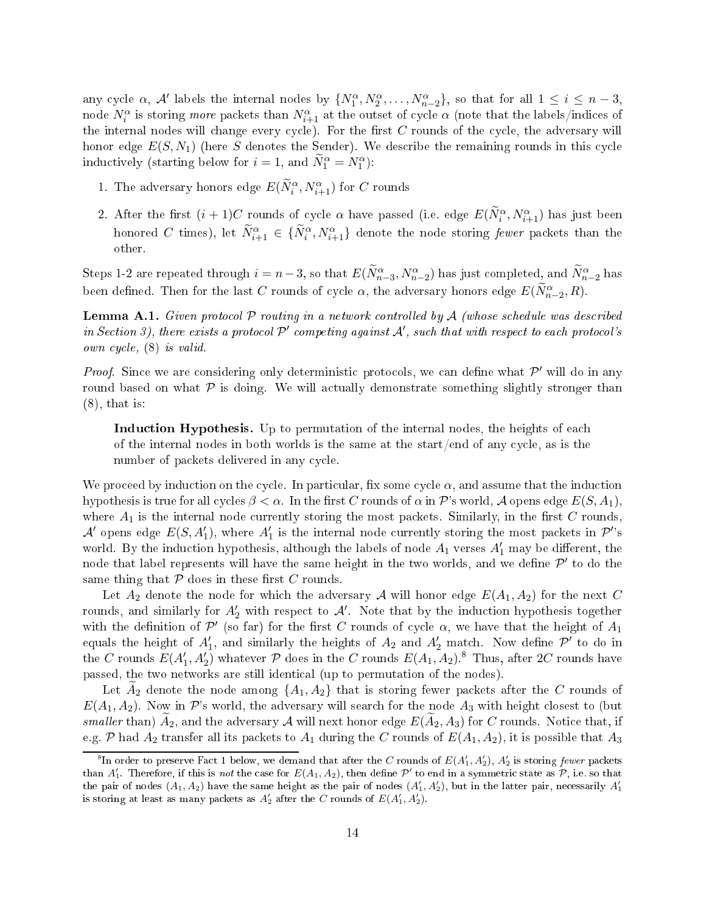any cycle  $\alpha$ ,  $\mathcal{A}'$  labels the internal nodes by  $\{N_1^{\alpha}, N_2^{\alpha}, \ldots, N_{n-2}^{\alpha}\}$ , so that for all  $1 \leq i \leq n-3$ , node  $N_i^\alpha$  is storing *more* packets than  $N_{i+1}^\alpha$  at the outset of cycle  $\alpha$  (note that the labels/indices of the internal nodes will change every cycle). For the first  $C$  rounds of the cycle, the adversary will honor edge  $E(S, N_1)$  (here S denotes the Sender). We describe the remaining rounds in this cycle inductively (starting below for  $i = 1$ , and  $\widetilde{N}_1^{\alpha} = N_1^{\alpha}$ ):

- 1. The adversary honors edge  $E(\widetilde{N}_i^{\alpha}, N_{i+1}^{\alpha})$  for C rounds
- 2. After the first  $(i + 1)C$  rounds of cycle  $\alpha$  have passed (i.e. edge  $E(\widetilde{N}_i^{\alpha}, N_{i+1}^{\alpha})$  has just been honored C times), let  $\widetilde{N}_{i+1}^{\alpha} \in \{\widetilde{N}_{i}^{\alpha}, N_{i+1}^{\alpha}\}\$  denote the node storing fewer packets than the other.

Steps 1-2 are repeated through  $i = n-3$ , so that  $E(\widetilde{N}_{n-3}^{\alpha}, N_{n-2}^{\alpha})$  has just completed, and  $\widetilde{N}_{n-2}^{\alpha}$  has been defined. Then for the last  $C$  rounds of cycle  $\alpha$ , the adversary honors edge  $E(\widetilde{N}^{\alpha}_{n-2},R)$ .

**Lemma A.1.** Given protocol  $P$  routing in a network controlled by  $A$  (whose schedule was described in Section 3), there exists a protocol  $\mathcal{P}'$  competing against  $\mathcal{A}'$ , such that with respect to each protocol's own cycle, (8) is valid.

*Proof.* Since we are considering only deterministic protocols, we can define what  $\mathcal{P}'$  will do in any round based on what  $\mathcal P$  is doing. We will actually demonstrate something slightly stronger than (8), that is:

Induction Hypothesis. Up to permutation of the internal nodes, the heights of each of the internal nodes in both worlds is the same at the start/end of any cycle, as is the number of packets delivered in any cycle.

We proceed by induction on the cycle. In particular, fix some cycle  $\alpha$ , and assume that the induction hypothesis is true for all cycles  $\beta < \alpha$ . In the first C rounds of  $\alpha$  in P's world, A opens edge  $E(S, A_1)$ , where  $A_1$  is the internal node currently storing the most packets. Similarly, in the first C rounds,  $\mathcal{A}'$  opens edge  $E(S, A'_1)$ , where  $A'_1$  is the internal node currently storing the most packets in  $\mathcal{P}'$ 's world. By the induction hypothesis, although the labels of node  $A_1$  verses  $A'_1$  may be different, the node that label represents will have the same height in the two worlds, and we define  $\mathcal{P}'$  to do the same thing that  $P$  does in these first  $C$  rounds.

Let  $A_2$  denote the node for which the adversary A will honor edge  $E(A_1, A_2)$  for the next C rounds, and similarly for  $A'_2$  with respect to  $\mathcal{A}'$ . Note that by the induction hypothesis together with the definition of  $\mathcal{P}'$  (so far) for the first C rounds of cycle  $\alpha$ , we have that the height of  $A_1$ equals the height of  $A'_1$ , and similarly the heights of  $A_2$  and  $A'_2$  match. Now define  $\mathcal{P}'$  to do in the  $C$  rounds  $E(A'_1, A'_2)$  whatever  ${\mathcal P}$  does in the  $C$  rounds  $E(A_1, A_2).^8$  Thus, after  $2C$  rounds have passed, the two networks are still identical (up to permutation of the nodes).

Let  $A_2$  denote the node among  $\{A_1, A_2\}$  that is storing fewer packets after the C rounds of  $E(A_1, A_2)$ . Now in P's world, the adversary will search for the node  $A_3$  with height closest to (but smaller than)  $A_2$ , and the adversary A will next honor edge  $E(A_2, A_3)$  for C rounds. Notice that, if e.g. P had  $A_2$  transfer all its packets to  $A_1$  during the C rounds of  $E(A_1, A_2)$ , it is possible that  $A_3$ 

 $^8{\rm In}$  order to preserve Fact 1 below, we demand that after the  $C$  rounds of  $E(A_1',A_2'),$   $A_2'$  is storing  $fewer$  packets than  $A'_1$ . Therefore, if this is not the case for  $E(A_1,A_2),$  then define  $\mathcal P'$  to end in a symmetric state as  $\mathcal P,$  i.e. so that the pair of nodes  $(A_1, A_2)$  have the same height as the pair of nodes  $(A'_1, A'_2)$ , but in the latter pair, necessarily  $A'_1$ is storing at least as many packets as  $A'_2$  after the C rounds of  $E(A'_1, A'_2)$ .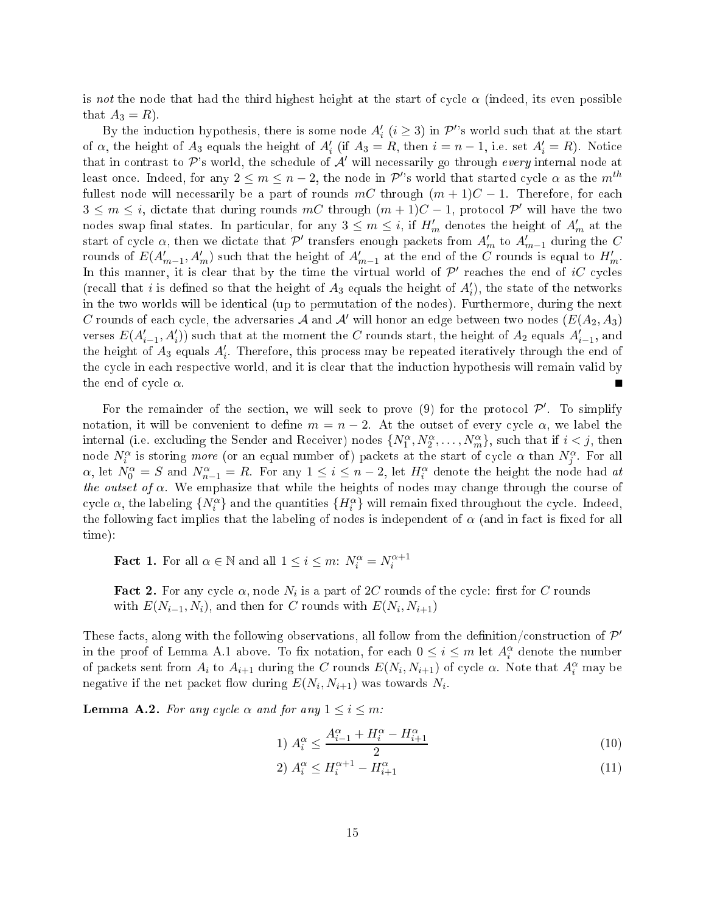is not the node that had the third highest height at the start of cycle  $\alpha$  (indeed, its even possible that  $A_3 = R$ .

By the induction hypothesis, there is some node  $A_i'$   $(i \geq 3)$  in  $\mathcal{P}'$ 's world such that at the start of  $\alpha$ , the height of  $A_3$  equals the height of  $A'_i$  (if  $A_3 = R$ , then  $i = n - 1$ , i.e. set  $A'_i = R$ ). Notice that in contrast to P's world, the schedule of  $A'$  will necessarily go through every internal node at least once. Indeed, for any  $2\leq m\leq n-2,$  the node in  $\mathcal{P}'$ 's world that started cycle  $\alpha$  as the  $m^{th}$ fullest node will necessarily be a part of rounds  $mC$  through  $(m + 1)C - 1$ . Therefore, for each  $3 \leq m \leq i$ , dictate that during rounds mC through  $(m+1)C-1$ , protocol  $\mathcal{P}'$  will have the two nodes swap final states. In particular, for any  $3 \leq m \leq i$ , if  $H'_m$  denotes the height of  $A'_m$  at the start of cycle  $\alpha$ , then we dictate that  $\mathcal{P}'$  transfers enough packets from  $A'_m$  to  $A'_{m-1}$  during the  $C$ rounds of  $E(A'_{m-1}, A'_{m})$  such that the height of  $A'_{m-1}$  at the end of the C rounds is equal to  $H'_{m}$ . In this manner, it is clear that by the time the virtual world of  $\mathcal{P}'$  reaches the end of iC cycles (recall that i is defined so that the height of  $A_3$  equals the height of  $A'_i$ ), the state of the networks in the two worlds will be identical (up to permutation of the nodes). Furthermore, during the next C rounds of each cycle, the adversaries A and A' will honor an edge between two nodes  $(E(A_2, A_3))$ verses  $E(A'_{i-1}, A'_{i})$ ) such that at the moment the  $C$  rounds start, the height of  $A_2$  equals  $A'_{i-1}$ , and the height of  $A_3$  equals  $A_i'$ . Therefore, this process may be repeated iteratively through the end of the cycle in each respective world, and it is clear that the induction hypothesis will remain valid by the end of cycle  $\alpha$ .

For the remainder of the section, we will seek to prove (9) for the protocol  $\mathcal{P}'$ . To simplify notation, it will be convenient to define  $m = n - 2$ . At the outset of every cycle  $\alpha$ , we label the internal (i.e. excluding the Sender and Receiver) nodes  $\{N_1^\alpha, N_2^\alpha, \ldots, N_m^\alpha\}$ , such that if  $i < j$ , then node  $N_i^{\alpha}$  is storing *more* (or an equal number of) packets at the start of cycle  $\alpha$  than  $N_j^{\alpha}$ . For all  $\alpha$ , let  $N_0^{\alpha} = S$  and  $N_{n-1}^{\alpha} = R$ . For any  $1 \leq i \leq n-2$ , let  $H_i^{\alpha}$  denote the height the node had at the outset of  $\alpha$ . We emphasize that while the heights of nodes may change through the course of cycle  $\alpha$ , the labeling  $\{N_i^\alpha\}$  and the quantities  $\{H_i^\alpha\}$  will remain fixed throughout the cycle. Indeed, the following fact implies that the labeling of nodes is independent of  $\alpha$  (and in fact is fixed for all time):

**Fact 1.** For all  $\alpha \in \mathbb{N}$  and all  $1 \leq i \leq m$ :  $N_i^{\alpha} = N_i^{\alpha+1}$ 

**Fact 2.** For any cycle  $\alpha$ , node  $N_i$  is a part of  $2C$  rounds of the cycle: first for  $C$  rounds with  $E(N_{i-1}, N_i)$ , and then for C rounds with  $E(N_i, N_{i+1})$ 

These facts, along with the following observations, all follow from the definition/construction of  $\mathcal{P}'$ in the proof of Lemma A.1 above. To fix notation, for each  $0 \leq i \leq m$  let  $A_i^{\alpha}$  denote the number of packets sent from  $A_i$  to  $A_{i+1}$  during the C rounds  $E(N_i, N_{i+1})$  of cycle  $\alpha$ . Note that  $A_i^{\alpha}$  may be negative if the net packet flow during  $E(N_i, N_{i+1})$  was towards  $N_i$ .

**Lemma A.2.** For any cycle  $\alpha$  and for any  $1 \leq i \leq m$ .

1) 
$$
A_i^{\alpha} \le \frac{A_{i-1}^{\alpha} + H_i^{\alpha} - H_{i+1}^{\alpha}}{2}
$$
 (10)

$$
2) A_i^{\alpha} \le H_i^{\alpha+1} - H_{i+1}^{\alpha} \tag{11}
$$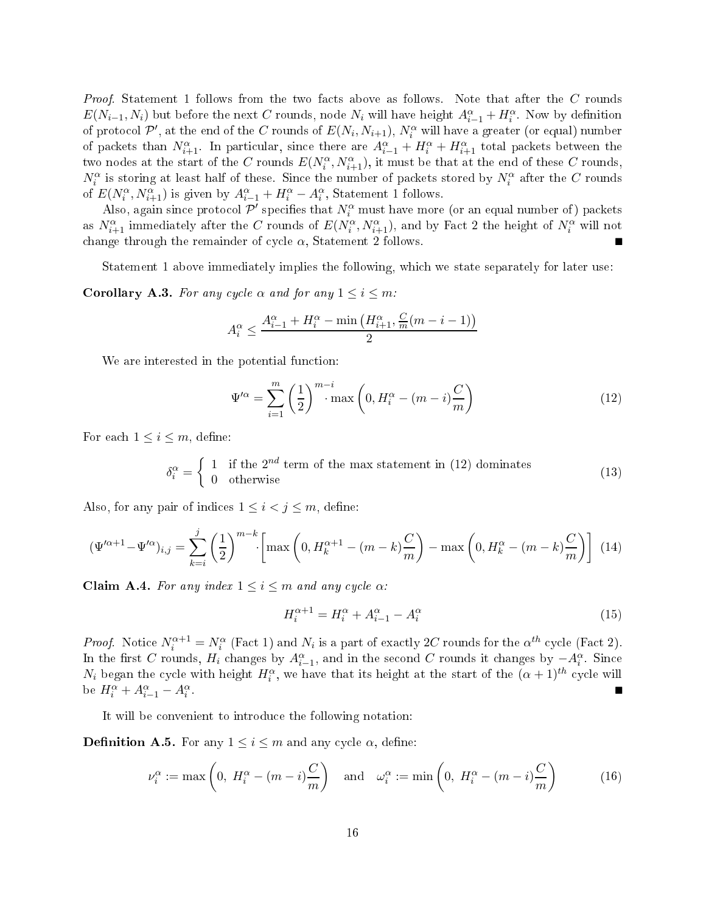Proof. Statement 1 follows from the two facts above as follows. Note that after the C rounds  $E(N_{i-1}, N_i)$  but before the next C rounds, node  $N_i$  will have height  $A_{i-1}^{\alpha} + H_i^{\alpha}$ . Now by definition of protocol  $\mathcal{P}',$  at the end of the C rounds of  $E(N_i,N_{i+1}), N_i^{\alpha}$  will have a greater (or equal) number of packets than  $N_{i+1}^{\alpha}$ . In particular, since there are  $A_{i-1}^{\alpha}+H_i^{\alpha}+H_{i+1}^{\alpha}$  total packets between the two nodes at the start of the  $C$  rounds  $E(N_i^{\alpha}, N_{i+1}^{\alpha}),$  it must be that at the end of these  $C$  rounds,  $N_i^{\alpha}$  is storing at least half of these. Since the number of packets stored by  $N_i^{\alpha}$  after the  $C$  rounds of  $E(N_i^{\alpha}, N_{i+1}^{\alpha})$  is given by  $A_{i-1}^{\alpha} + H_i^{\alpha} - A_i^{\alpha}$ , Statement 1 follows.

Also, again since protocol  $\mathcal{P}'$  specifies that  $N_i^\alpha$  must have more (or an equal number of) packets as  $N_{i+1}^{\alpha}$  immediately after the C rounds of  $E(N_i^{\alpha}, N_{i+1}^{\alpha})$ , and by Fact 2 the height of  $N_i^{\alpha}$  will not change through the remainder of cycle  $\alpha$ , Statement 2 follows.

Statement 1 above immediately implies the following, which we state separately for later use:

**Corollary A.3.** For any cycle  $\alpha$  and for any  $1 \leq i \leq m$ .

$$
A_i^{\alpha} \le \frac{A_{i-1}^{\alpha} + H_i^{\alpha} - \min\left(H_{i+1}^{\alpha}, \frac{C}{m}(m-i-1)\right)}{2}
$$

We are interested in the potential function:

$$
\Psi^{\prime\alpha} = \sum_{i=1}^{m} \left(\frac{1}{2}\right)^{m-i} \cdot \max\left(0, H_i^{\alpha} - (m-i)\frac{C}{m}\right)
$$
\n(12)

For each  $1 \leq i \leq m$ , define:

$$
\delta_i^{\alpha} = \begin{cases} 1 & \text{if the } 2^{nd} \text{ term of the max statement in (12) dominates} \\ 0 & \text{otherwise} \end{cases}
$$
 (13)

Also, for any pair of indices  $1 \leq i < j \leq m$ , define:

$$
(\Psi'^{\alpha+1} - \Psi'^{\alpha})_{i,j} = \sum_{k=i}^{j} \left(\frac{1}{2}\right)^{m-k} \left[ \max\left(0, H_k^{\alpha+1} - (m-k)\frac{C}{m}\right) - \max\left(0, H_k^{\alpha} - (m-k)\frac{C}{m}\right) \right] (14)
$$

**Claim A.4.** For any index  $1 \leq i \leq m$  and any cycle  $\alpha$ :

$$
H_i^{\alpha+1} = H_i^{\alpha} + A_{i-1}^{\alpha} - A_i^{\alpha}
$$
 (15)

*Proof.* Notice  $N_i^{\alpha+1} = N_i^{\alpha}$  (Fact 1) and  $N_i$  is a part of exactly 2C rounds for the  $\alpha^{th}$  cycle (Fact 2). In the first C rounds,  $H_i$  changes by  $A_{i-1}^{\alpha}$ , and in the second C rounds it changes by  $-A_i^{\alpha}$ . Since  $N_i$  began the cycle with height  $H_i^{\alpha}$ , we have that its height at the start of the  $(\alpha + 1)^{th}$  cycle will be  $H_i^{\alpha} + A_{i-1}^{\alpha} - A_i^{\alpha}$ .

It will be convenient to introduce the following notation:

**Definition A.5.** For any  $1 \leq i \leq m$  and any cycle  $\alpha$ , define:

$$
\nu_i^{\alpha} := \max\left(0, H_i^{\alpha} - (m - i)\frac{C}{m}\right) \quad \text{and} \quad \omega_i^{\alpha} := \min\left(0, H_i^{\alpha} - (m - i)\frac{C}{m}\right) \tag{16}
$$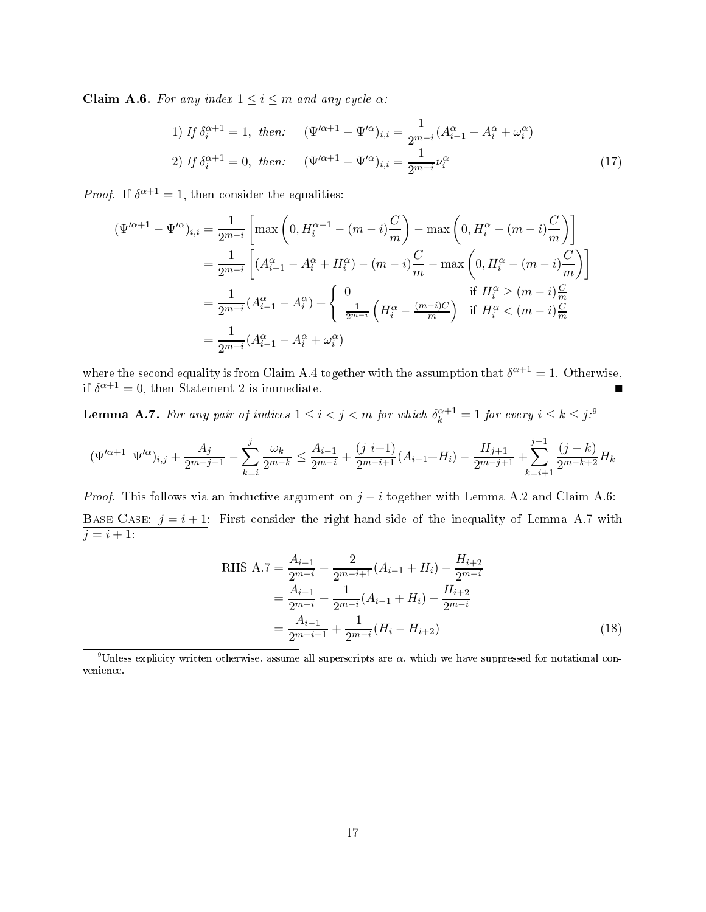Claim A.6. For any index  $1 \leq i \leq m$  and any cycle  $\alpha$ :

1) If 
$$
\delta_i^{\alpha+1} = 1
$$
, then:  $(\Psi'^{\alpha+1} - \Psi'^{\alpha})_{i,i} = \frac{1}{2^{m-i}} (A_{i-1}^{\alpha} - A_i^{\alpha} + \omega_i^{\alpha})$   
\n2) If  $\delta_i^{\alpha+1} = 0$ , then:  $(\Psi'^{\alpha+1} - \Psi'^{\alpha})_{i,i} = \frac{1}{2^{m-i}} \nu_i^{\alpha}$  (17)

*Proof.* If  $\delta^{\alpha+1} = 1$ , then consider the equalities:

$$
(\Psi'^{\alpha+1} - \Psi'^{\alpha})_{i,i} = \frac{1}{2^{m-i}} \left[ \max \left( 0, H_i^{\alpha+1} - (m-i) \frac{C}{m} \right) - \max \left( 0, H_i^{\alpha} - (m-i) \frac{C}{m} \right) \right]
$$
  
= 
$$
\frac{1}{2^{m-i}} \left[ (A_{i-1}^{\alpha} - A_i^{\alpha} + H_i^{\alpha}) - (m-i) \frac{C}{m} - \max \left( 0, H_i^{\alpha} - (m-i) \frac{C}{m} \right) \right]
$$
  
= 
$$
\frac{1}{2^{m-i}} (A_{i-1}^{\alpha} - A_i^{\alpha}) + \begin{cases} 0 & \text{if } H_i^{\alpha} \ge (m-i) \frac{C}{m} \\ \frac{1}{2^{m-i}} \left( H_i^{\alpha} - \frac{(m-i)C}{m} \right) & \text{if } H_i^{\alpha} < (m-i) \frac{C}{m} \end{cases}
$$
  
= 
$$
\frac{1}{2^{m-i}} (A_{i-1}^{\alpha} - A_i^{\alpha} + \omega_i^{\alpha})
$$

where the second equality is from Claim A.4 together with the assumption that  $\delta^{\alpha+1} = 1$ . Otherwise, if  $\delta^{\alpha+1} = 0$ , then Statement 2 is immediate.

**Lemma A.7.** For any pair of indices  $1 \leq i < j < m$  for which  $\delta_k^{\alpha+1} = 1$  for every  $i \leq k \leq j$ .<sup>9</sup>

$$
(\Psi'^{\alpha+1}-\Psi'^{\alpha})_{i,j} + \frac{A_j}{2^{m-j-1}} - \sum_{k=i}^{j} \frac{\omega_k}{2^{m-k}} \le \frac{A_{i-1}}{2^{m-i}} + \frac{(j-i+1)}{2^{m-i+1}}(A_{i-1} + H_i) - \frac{H_{j+1}}{2^{m-j+1}} + \sum_{k=i+1}^{j-1} \frac{(j-k)}{2^{m-k+2}}H_k
$$

*Proof.* This follows via an inductive argument on  $j - i$  together with Lemma A.2 and Claim A.6: BASE CASE:  $j = i + 1$ : First consider the right-hand-side of the inequality of Lemma A.7 with  $j = i + 1$ :

RHS A.7 = 
$$
\frac{A_{i-1}}{2^{m-i}} + \frac{2}{2^{m-i+1}}(A_{i-1} + H_i) - \frac{H_{i+2}}{2^{m-i}}
$$
  
= 
$$
\frac{A_{i-1}}{2^{m-i}} + \frac{1}{2^{m-i}}(A_{i-1} + H_i) - \frac{H_{i+2}}{2^{m-i}}
$$
  
= 
$$
\frac{A_{i-1}}{2^{m-i-1}} + \frac{1}{2^{m-i}}(H_i - H_{i+2})
$$
(18)

 $^9$ Unless explicity written otherwise, assume all superscripts are  $\alpha$ , which we have suppressed for notational convenience.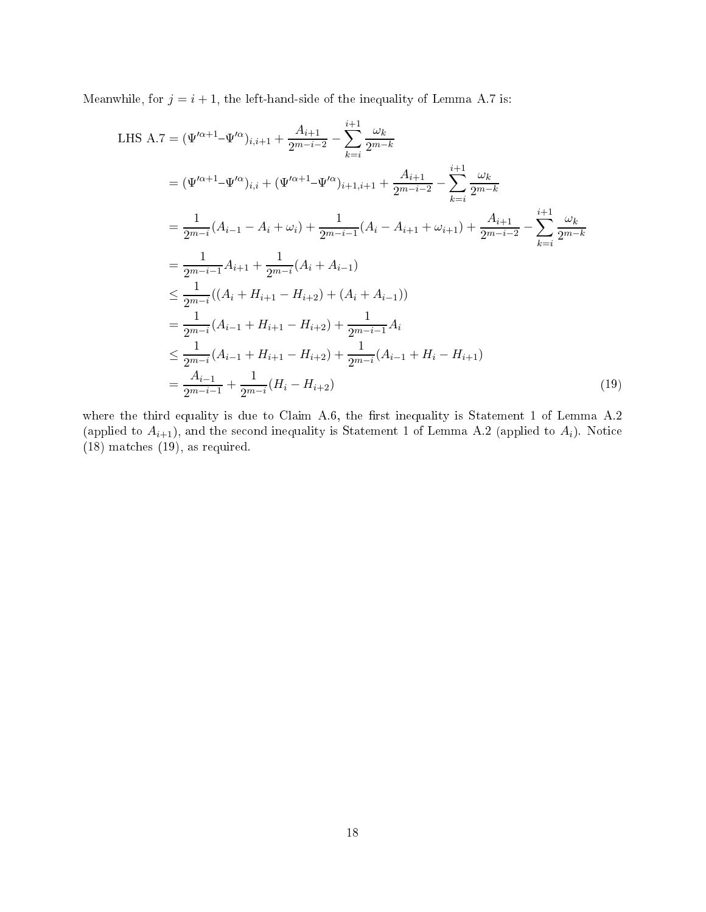Meanwhile, for  $j = i + 1$ , the left-hand-side of the inequality of Lemma A.7 is:

LHS A.7 = 
$$
(\Psi'^{\alpha+1} - \Psi'^{\alpha})_{i,i+1} + \frac{A_{i+1}}{2^{m-i-2}} - \sum_{k=i}^{i+1} \frac{\omega_k}{2^{m-k}}
$$
  
\n=  $(\Psi'^{\alpha+1} - \Psi'^{\alpha})_{i,i} + (\Psi'^{\alpha+1} - \Psi'^{\alpha})_{i+1,i+1} + \frac{A_{i+1}}{2^{m-i-2}} - \sum_{k=i}^{i+1} \frac{\omega_k}{2^{m-k}}$   
\n=  $\frac{1}{2^{m-i}} (A_{i-1} - A_i + \omega_i) + \frac{1}{2^{m-i-1}} (A_i - A_{i+1} + \omega_{i+1}) + \frac{A_{i+1}}{2^{m-i-2}} - \sum_{k=i}^{i+1} \frac{\omega_k}{2^{m-k}}$   
\n=  $\frac{1}{2^{m-i-1}} A_{i+1} + \frac{1}{2^{m-i}} (A_i + A_{i-1})$   
\n $\leq \frac{1}{2^{m-i}} ((A_i + H_{i+1} - H_{i+2}) + (A_i + A_{i-1}))$   
\n=  $\frac{1}{2^{m-i}} (A_{i-1} + H_{i+1} - H_{i+2}) + \frac{1}{2^{m-i-1}} A_i$   
\n $\leq \frac{1}{2^{m-i}} (A_{i-1} + H_{i+1} - H_{i+2}) + \frac{1}{2^{m-i}} (A_{i-1} + H_i - H_{i+1})$   
\n=  $\frac{A_{i-1}}{2^{m-i-1}} + \frac{1}{2^{m-i}} (H_i - H_{i+2})$  (19)

where the third equality is due to Claim A.6, the first inequality is Statement 1 of Lemma A.2 (applied to  $A_{i+1}$ ), and the second inequality is Statement 1 of Lemma A.2 (applied to  $A_i$ ). Notice (18) matches (19), as required.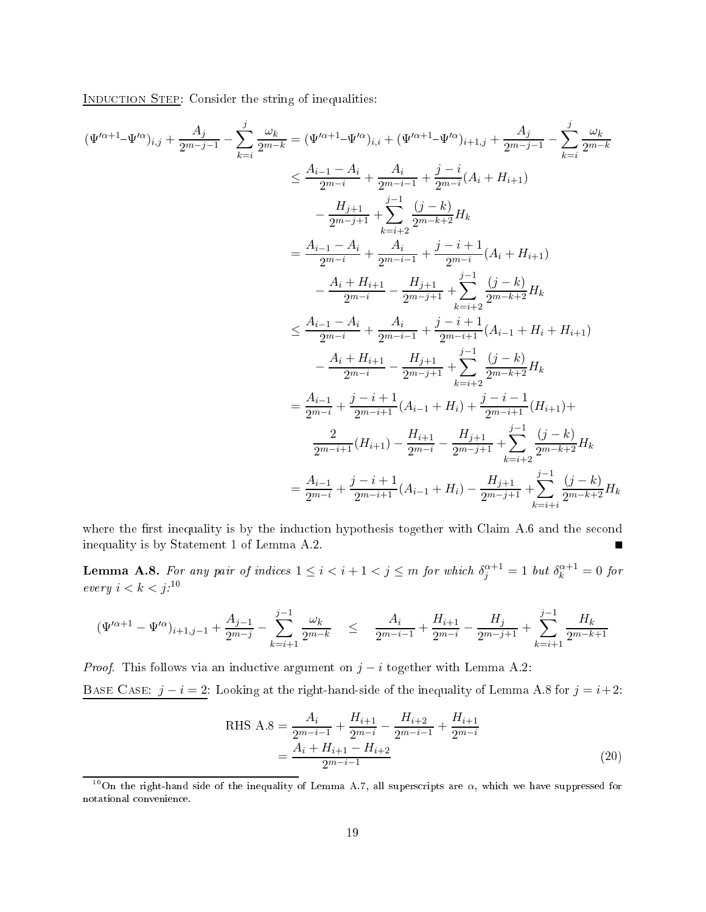**INDUCTION STEP:** Consider the string of inequalities:

$$
(\Psi'^{a+1}-\Psi'^{\alpha})_{i,j} + \frac{A_j}{2^{m-j-1}} - \sum_{k=i}^{j} \frac{\omega_k}{2^{m-k}} = (\Psi'^{a+1}-\Psi'^{\alpha})_{i,i} + (\Psi'^{a+1}-\Psi'^{\alpha})_{i+1,j} + \frac{A_j}{2^{m-j-1}} - \sum_{k=i}^{j} \frac{\omega_k}{2^{m-k}}
$$
  
\n
$$
\leq \frac{A_{i-1}-A_i}{2^{m-i}} + \frac{A_i}{2^{m-i-1}} + \frac{j-i}{2^{m-i}}(A_i + H_{i+1})
$$
  
\n
$$
- \frac{H_{j+1}}{2^{m-j+1}} + \sum_{k=i+2}^{j-1} \frac{(j-k)}{2^{m-k+2}} H_k
$$
  
\n
$$
= \frac{A_{i-1}-A_i}{2^{m-i}} + \frac{A_i}{2^{m-i-1}} + \frac{j-i+1}{2^{m-i}}(A_i + H_{i+1})
$$
  
\n
$$
- \frac{A_i + H_{i+1}}{2^{m-i}} - \frac{H_{j+1}}{2^{m-j+1}} + \sum_{k=i+2}^{j-1} \frac{(j-k)}{2^{m-k+2}} H_k
$$
  
\n
$$
\leq \frac{A_{i-1}-A_i}{2^{m-i}} + \frac{A_i}{2^{m-i-1}} + \frac{j-i+1}{2^{m-i+1}}(A_{i-1} + H_i + H_{i+1})
$$
  
\n
$$
- \frac{A_i + H_{i+1}}{2^{m-i}} - \frac{H_{j+1}}{2^{m-j+1}} + \sum_{k=i+2}^{j-1} \frac{(j-k)}{2^{m-k+2}} H_k
$$
  
\n
$$
= \frac{A_{i-1}}{2^{m-i}} + \frac{j-i+1}{2^{m-i+1}}(A_{i-1} + H_i) + \frac{j-i-1}{2^{m-i+1}}(H_{i+1}) + \frac{j-i}{2^{m-k+2}} H_k
$$
  
\n
$$
= \frac{A_{i-1}}{2^{m-i}} + \frac{j-i+1}{2^{m-i+1}}(A_{i-1} + H_i) - \frac{H_{j+1}}{2^{m-j+1}} + \sum_{k=i+2}^{j-1} \frac{(j-k)}{2^{m-k+2}} H_k
$$
  
\n<math display="block</math>

where the first inequality is by the induction hypothesis together with Claim A.6 and the second inequality is by Statement 1 of Lemma A.2.

**Lemma A.8.** For any pair of indices  $1 \leq i < i+1 < j \leq m$  for which  $\delta^{\alpha+1}_j = 1$  but  $\delta^{\alpha+1}_k = 0$  for every  $i < k < j$ :<sup>10</sup>

$$
(\Psi'^{\alpha+1} - \Psi'^{\alpha})_{i+1,j-1} + \frac{A_{j-1}}{2^{m-j}} - \sum_{k=i+1}^{j-1} \frac{\omega_k}{2^{m-k}} \leq \frac{A_i}{2^{m-i-1}} + \frac{H_{i+1}}{2^{m-i}} - \frac{H_j}{2^{m-j+1}} + \sum_{k=i+1}^{j-1} \frac{H_k}{2^{m-k+1}}
$$

*Proof.* This follows via an inductive argument on  $j - i$  together with Lemma A.2:

BASE CASE:  $j - i = 2$ : Looking at the right-hand-side of the inequality of Lemma A.8 for  $j = i + 2$ :

RHS A.8 = 
$$
\frac{A_i}{2^{m-i-1}} + \frac{H_{i+1}}{2^{m-i}} - \frac{H_{i+2}}{2^{m-i-1}} + \frac{H_{i+1}}{2^{m-i}}
$$

$$
= \frac{A_i + H_{i+1} - H_{i+2}}{2^{m-i-1}}
$$
(20)

<sup>&</sup>lt;sup>10</sup>On the right-hand side of the inequality of Lemma A.7, all superscripts are  $\alpha$ , which we have suppressed for notational convenience.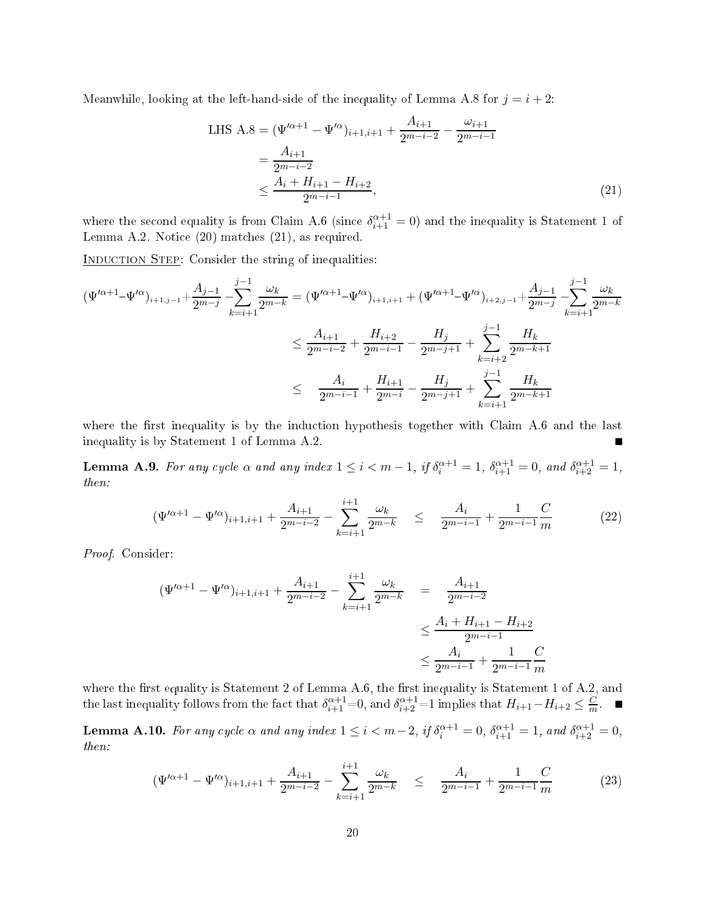Meanwhile, looking at the left-hand-side of the inequality of Lemma A.8 for  $j = i + 2$ :

LHS A.8 = 
$$
(\Psi'^{\alpha+1} - \Psi'^{\alpha})_{i+1, i+1} + \frac{A_{i+1}}{2^{m-i-2}} - \frac{\omega_{i+1}}{2^{m-i-1}}
$$
  
\n=  $\frac{A_{i+1}}{2^{m-i-2}}$   
\n $\leq \frac{A_i + H_{i+1} - H_{i+2}}{2^{m-i-1}},$  (21)

where the second equality is from Claim A.6 (since  $\delta_{i+1}^{\alpha+1} = 0$ ) and the inequality is Statement 1 of Lemma A.2. Notice (20) matches (21), as required.

INDUCTION STEP: Consider the string of inequalities:

$$
\begin{split} (\Psi'^{\alpha+1}-\Psi'^{\alpha})_{i+1,j-1}+\frac{A_{j-1}}{2^{m-j}}-\sum_{k=i+1}^{j-1}\frac{\omega_{k}}{2^{m-k}}&=(\Psi'^{\alpha+1}-\Psi'^{\alpha})_{i+1,i+1}+(\Psi'^{\alpha+1}-\Psi'^{\alpha})_{i+2,j-1}+\frac{A_{j-1}}{2^{m-j}}-\sum_{k=i+1}^{j-1}\frac{\omega_{k}}{2^{m-k}}\\ &\leq \frac{A_{i+1}}{2^{m-i-2}}+\frac{H_{i+2}}{2^{m-i-1}}-\frac{H_{j}}{2^{m-j+1}}+\sum_{k=i+2}^{j-1}\frac{H_{k}}{2^{m-k+1}}\\ &\leq \frac{A_{i}}{2^{m-i-1}}+\frac{H_{i+1}}{2^{m-i}}-\frac{H_{j}}{2^{m-j+1}}+\sum_{k=i+1}^{j-1}\frac{H_{k}}{2^{m-k+1}} \end{split}
$$

where the first inequality is by the induction hypothesis together with Claim  $A.6$  and the last inequality is by Statement 1 of Lemma A.2.

**Lemma A.9.** For any cycle  $\alpha$  and any index  $1 \leq i < m-1$ , if  $\delta_i^{\alpha+1} = 1$ ,  $\delta_{i+1}^{\alpha+1} = 0$ , and  $\delta_{i+2}^{\alpha+1} = 1$ , then:

$$
(\Psi'^{\alpha+1} - \Psi'^{\alpha})_{i+1, i+1} + \frac{A_{i+1}}{2^{m-i-2}} - \sum_{k=i+1}^{i+1} \frac{\omega_k}{2^{m-k}} \le \frac{A_i}{2^{m-i-1}} + \frac{1}{2^{m-i-1}} \frac{C}{m}
$$
(22)

Proof. Consider:

$$
(\Psi'^{\alpha+1} - \Psi'^{\alpha})_{i+1, i+1} + \frac{A_{i+1}}{2^{m-i-2}} - \sum_{k=i+1}^{i+1} \frac{\omega_k}{2^{m-k}} = \frac{A_{i+1}}{2^{m-i-2}}
$$
  

$$
\leq \frac{A_i + H_{i+1} - H_{i+2}}{2^{m-i-1}}
$$
  

$$
\leq \frac{A_i}{2^{m-i-1}} + \frac{1}{2^{m-i-1}} \frac{C}{m}
$$

the last inequality follows from the fact that  $\delta_{i+1}^{\alpha+1}=0$ , and  $\delta_{i+2}^{\alpha+1}=1$  implies that  $H_{i+1}-H_{i+2} \leq \frac{C}{m}$ .

**Lemma A.10.** For any cycle  $\alpha$  and any index  $1 \leq i < m-2$ , if  $\delta_i^{\alpha+1} = 0$ ,  $\delta_{i+1}^{\alpha+1} = 1$ , and  $\delta_{i+2}^{\alpha+1} = 0$ , then:

$$
(\Psi'^{\alpha+1} - \Psi'^{\alpha})_{i+1, i+1} + \frac{A_{i+1}}{2^{m-i-2}} - \sum_{k=i+1}^{i+1} \frac{\omega_k}{2^{m-k}} \le \frac{A_i}{2^{m-i-1}} + \frac{1}{2^{m-i-1}} \frac{C}{m}
$$
(23)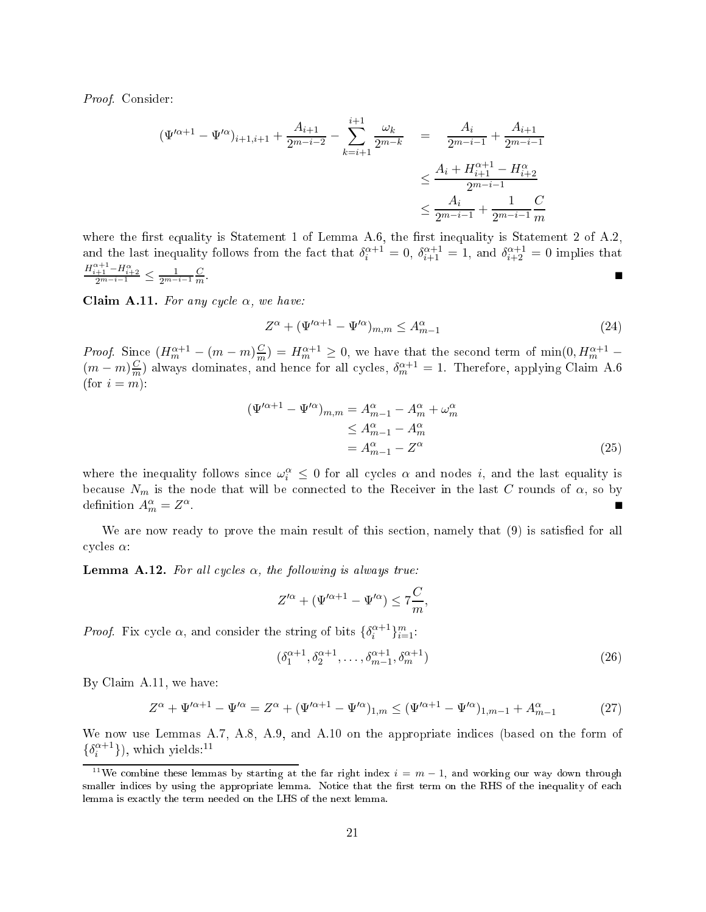Proof. Consider:

$$
(\Psi'^{\alpha+1} - \Psi'^{\alpha})_{i+1, i+1} + \frac{A_{i+1}}{2^{m-i-2}} - \sum_{k=i+1}^{i+1} \frac{\omega_k}{2^{m-k}} = \frac{A_i}{2^{m-i-1}} + \frac{A_{i+1}}{2^{m-i-1}}
$$
  

$$
\leq \frac{A_i + H_{i+1}^{\alpha+1} - H_{i+2}^{\alpha}}{2^{m-i-1}}
$$
  

$$
\leq \frac{A_i}{2^{m-i-1}} + \frac{1}{2^{m-i-1}} \frac{C}{m}
$$

and the last inequality follows from the fact that  $\delta_i^{\alpha+1} = 0$ ,  $\delta_{i+1}^{\alpha+1} = 1$ , and  $\delta_{i+2}^{\alpha+1} = 0$  implies that  $\frac{H_{i+1}^{\alpha+1}-H_{i+2}^{\alpha}}{2^{m-i-1}} \leq \frac{1}{2^{m-i-1}} \frac{C}{m}$  $\frac{C}{m}$ .

Claim A.11. For any cycle  $\alpha$ , we have:

$$
Z^{\alpha} + (\Psi'^{\alpha+1} - \Psi'^{\alpha})_{m,m} \le A_{m-1}^{\alpha} \tag{24}
$$

*Proof.* Since  $(H_m^{\alpha+1} - (m-m) \frac{C}{m}) = H_m^{\alpha+1} \ge 0$ , we have that the second term of min $(0, H_m^{\alpha+1} (m-m)\frac{C}{m}$ ) always dominates, and hence for all cycles,  $\delta_m^{\alpha+1}=1$ . Therefore, applying Claim A.6 (for  $i = m$ ):

$$
(\Psi'^{\alpha+1} - \Psi'^{\alpha})_{m,m} = A_{m-1}^{\alpha} - A_m^{\alpha} + \omega_m^{\alpha}
$$
  
\n
$$
\leq A_{m-1}^{\alpha} - A_m^{\alpha}
$$
  
\n
$$
= A_{m-1}^{\alpha} - Z^{\alpha}
$$
\n(25)

where the inequality follows since  $\omega_i^{\alpha} \leq 0$  for all cycles  $\alpha$  and nodes i, and the last equality is because  $N_m$  is the node that will be connected to the Receiver in the last C rounds of  $\alpha$ , so by definition  $A_m^{\alpha} = Z^{\alpha}$ .

We are now ready to prove the main result of this section, namely that (9) is satisfied for all cycles  $\alpha$ :

**Lemma A.12.** For all cycles  $\alpha$ , the following is always true:

$$
Z'^{\alpha} + (\Psi'^{\alpha+1} - \Psi'^{\alpha}) \le 7\frac{C}{m},
$$

*Proof.* Fix cycle  $\alpha$ , and consider the string of bits  $\{\delta_i^{\alpha+1}\}_{i=1}^m$ :

$$
(\delta_1^{\alpha+1}, \delta_2^{\alpha+1}, \dots, \delta_{m-1}^{\alpha+1}, \delta_m^{\alpha+1})
$$
\n
$$
(26)
$$

By Claim A.11, we have:

$$
Z^{\alpha} + \Psi'^{\alpha+1} - \Psi'^{\alpha} = Z^{\alpha} + (\Psi'^{\alpha+1} - \Psi'^{\alpha})_{1,m} \leq (\Psi'^{\alpha+1} - \Psi'^{\alpha})_{1,m-1} + A_{m-1}^{\alpha}
$$
(27)

We now use Lemmas A.7, A.8, A.9, and A.10 on the appropriate indices (based on the form of  $\{\delta_i^{\alpha+1}\}\)$ , which yields:<sup>11</sup>

<sup>&</sup>lt;sup>11</sup>We combine these lemmas by starting at the far right index  $i = m - 1$ , and working our way down through smaller indices by using the appropriate lemma. Notice that the first term on the RHS of the inequality of each lemma is exactly the term needed on the LHS of the next lemma.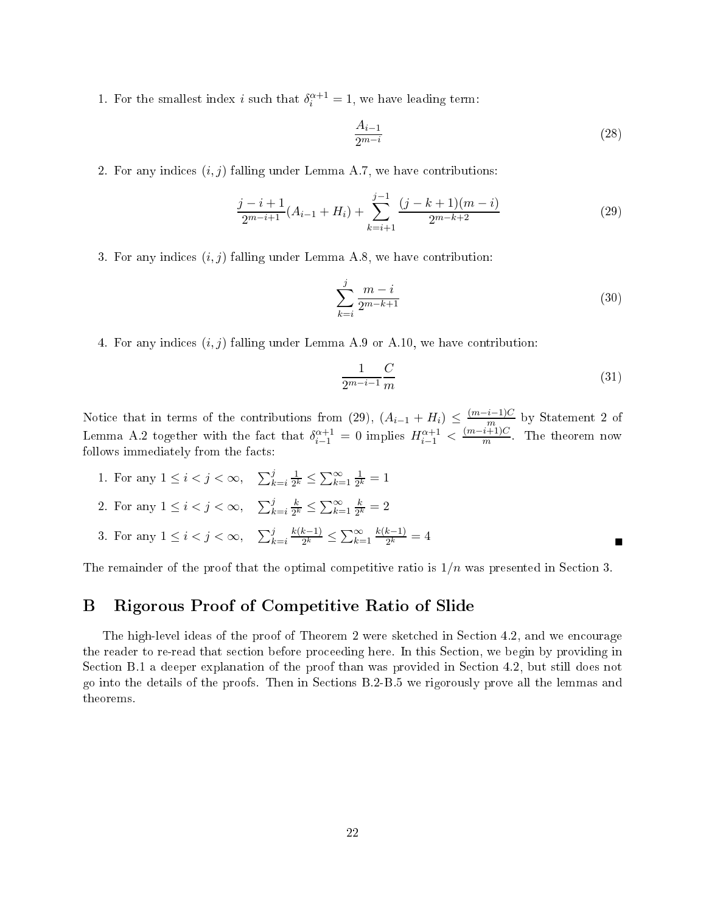1. For the smallest index i such that  $\delta_i^{\alpha+1} = 1$ , we have leading term:

$$
\frac{A_{i-1}}{2^{m-i}}\tag{28}
$$

2. For any indices  $(i, j)$  falling under Lemma A.7, we have contributions:

$$
\frac{j-i+1}{2^{m-i+1}}(A_{i-1} + H_i) + \sum_{k=i+1}^{j-1} \frac{(j-k+1)(m-i)}{2^{m-k+2}} \tag{29}
$$

3. For any indices  $(i, j)$  falling under Lemma A.8, we have contribution:

$$
\sum_{k=i}^{j} \frac{m-i}{2^{m-k+1}}\tag{30}
$$

4. For any indices  $(i, j)$  falling under Lemma A.9 or A.10, we have contribution:

$$
\frac{1}{2^{m-i-1}}\frac{C}{m}\tag{31}
$$

Notice that in terms of the contributions from (29),  $(A_{i-1} + H_i) \leq \frac{(m-i-1)C}{m}$ Lemma A.2 together with the fact that  $\delta_{i-1}^{\alpha+1} = 0$  implies  $H_{i-1}^{\alpha+1} < \frac{(m-i+1)C}{m}$ . The theorem now  $\overline{m}$  . The uncordination follows immediately from the facts:

1. For any  $1 \le i < j < \infty$ ,  $\sum_{k=i}^{j} \frac{1}{2^k}$  $\frac{1}{2^k} \leq \sum_{k=1}^{\infty} \frac{1}{2^k}$  $\frac{1}{2^k} = 1$ 

2. For any 
$$
1 \le i < j < \infty
$$
,  $\sum_{k=i}^{j} \frac{k}{2^k} \le \sum_{k=1}^{\infty} \frac{k}{2^k} = 2$ 

3. For any  $1 \leq i < j < \infty$ ,  $\sum_{k=i}^{j}$  $k(k-1)$  $\frac{k-1}{2^k} \leq \sum_{k=1}^{\infty}$  $k(k-1)$  $\frac{k-1}{2^k} = 4$ 

The remainder of the proof that the optimal competitive ratio is  $1/n$  was presented in Section 3.

# B Rigorous Proof of Competitive Ratio of Slide

The high-level ideas of the proof of Theorem 2 were sketched in Section 4.2, and we encourage the reader to re-read that section before proceeding here. In this Section, we begin by providing in Section B.1 a deeper explanation of the proof than was provided in Section 4.2, but still does not go into the details of the proofs. Then in Sections B.2-B.5 we rigorously prove all the lemmas and theorems.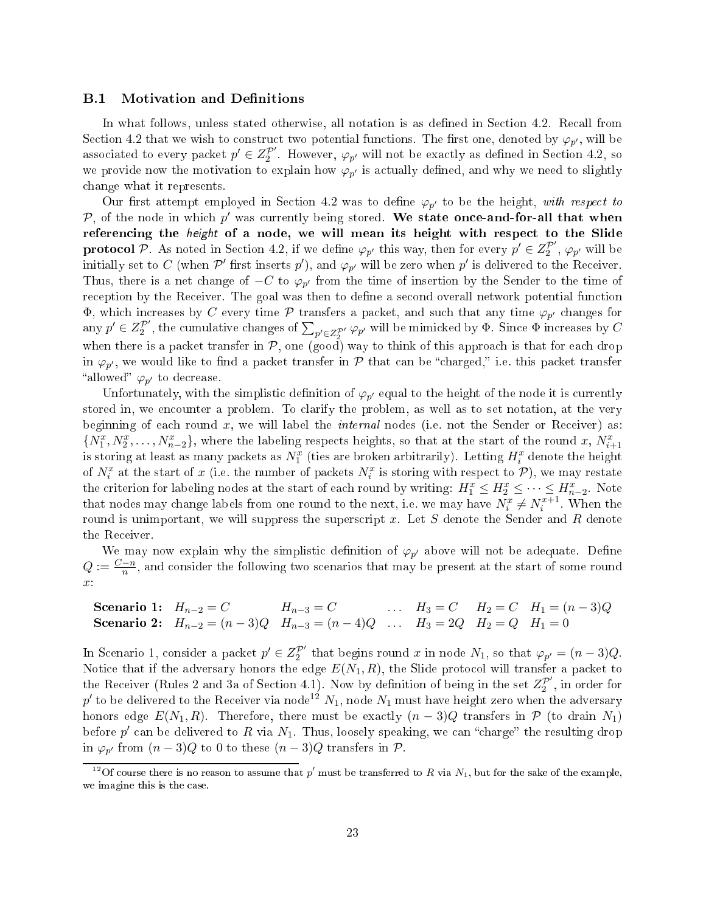#### **B.1** Motivation and Definitions

In what follows, unless stated otherwise, all notation is as defined in Section 4.2. Recall from Section 4.2 that we wish to construct two potential functions. The first one, denoted by  $\varphi_{p'},$  will be associated to every packet  $p' \in Z_2^{\mathcal{P}'}$ . However,  $\varphi_{p'}$  will not be exactly as defined in Section 4.2, so we provide now the motivation to explain how  $\varphi_{p'}$  is actually defined, and why we need to slightly change what it represents.

Our first attempt employed in Section 4.2 was to define  $\varphi_{p'}$  to be the height, with respect to  $P$ , of the node in which  $p'$  was currently being stored. We state once-and-for-all that when referencing the height of a node, we will mean its height with respect to the Slide **protocol**  $\mathcal{P}$ . As noted in Section 4.2, if we define  $\varphi_{p'}$  this way, then for every  $p' \in Z_2^{\mathcal{P}'}, \varphi_{p'}$  will be initially set to  $C$  (when  $\mathcal{P}'$  first inserts  $p'$ ), and  $\varphi_{p'}$  will be zero when  $p'$  is delivered to the Receiver. Thus, there is a net change of  $-C$  to  $\varphi_{p'}$  from the time of insertion by the Sender to the time of reception by the Receiver. The goal was then to define a second overall network potential function  $\Phi,$  which increases by  $C$  every time  $\mathcal P$  transfers a packet, and such that any time  $\varphi_{p'}$  changes for any  $p' \in Z_2^{\mathcal{P}'}$ , the cumulative changes of  $\sum_{p' \in Z_2^{\mathcal{P}'}} \varphi_{p'}$  will be mimicked by  $\Phi$ . Since  $\Phi$  increases by  $C$ when there is a packet transfer in  $P$ , one (good) way to think of this approach is that for each drop in  $\varphi_{p'},$  we would like to find a packet transfer in  ${\mathcal P}$  that can be "charged," i.e. this packet transfer "allowed"  $\varphi_{p'}$  to decrease.

Unfortunately, with the simplistic definition of  $\varphi_{p'}$  equal to the height of the node it is currently stored in, we encounter a problem. To clarify the problem, as well as to set notation, at the very beginning of each round x, we will label the *internal* nodes (i.e. not the Sender or Receiver) as:  $\{N_1^x, N_2^x, \ldots, N_{n-2}^x\}$ , where the labeling respects heights, so that at the start of the round x,  $N_{i+1}^x$ is storing at least as many packets as  $N_1^x$  (ties are broken arbitrarily). Letting  $H_i^x$  denote the height of  $N_i^x$  at the start of x (i.e. the number of packets  $N_i^x$  is storing with respect to  $\mathcal{P}$ ), we may restate the criterion for labeling nodes at the start of each round by writing:  $H_1^x \leq H_2^x \leq \cdots \leq H_{n-2}^x$ . Note that nodes may change labels from one round to the next, i.e. we may have  $\bar{N}_i^x \neq N_i^{x+1}$ . When the round is unimportant, we will suppress the superscript  $x$ . Let  $S$  denote the Sender and  $R$  denote the Receiver.

We may now explain why the simplistic definition of  $\varphi_{p'}$  above will not be adequate. Define  $Q := \frac{C-n}{n}$ , and consider the following two scenarios that may be present at the start of some round  $\mathcal{X}$ :

**Scenario 1:** 
$$
H_{n-2} = C
$$
  $H_{n-3} = C$  ...  $H_3 = C$   $H_2 = C$   $H_1 = (n-3)Q$   
**Scenario 2:**  $H_{n-2} = (n-3)Q$   $H_{n-3} = (n-4)Q$  ...  $H_3 = 2Q$   $H_2 = Q$   $H_1 = 0$ 

In Scenario 1, consider a packet  $p' \in Z_2^{\mathcal{P}'}$  that begins round x in node  $N_1$ , so that  $\varphi_{p'} = (n-3)Q$ . Notice that if the adversary honors the edge  $E(N_1, R)$ , the Slide protocol will transfer a packet to the Receiver (Rules 2 and 3a of Section 4.1). Now by definition of being in the set  $Z_2^{\mathcal{P}'}$ , in order for  $p^\prime$  to be delivered to the Receiver via node $^{12}$   $N_1,$  node  $N_1$  must have height zero when the adversary honors edge  $E(N_1, R)$ . Therefore, there must be exactly  $(n-3)Q$  transfers in  $P$  (to drain  $N_1$ ) before  $p'$  can be delivered to  $R$  via  $N_1$ . Thus, loosely speaking, we can "charge" the resulting drop in  $\varphi_{p'}$  from  $(n-3)Q$  to 0 to these  $(n-3)Q$  transfers in  $\mathcal P$ .

<sup>&</sup>lt;sup>12</sup>Of course there is no reason to assume that  $p'$  must be transferred to R via  $N_1$ , but for the sake of the example, we imagine this is the case.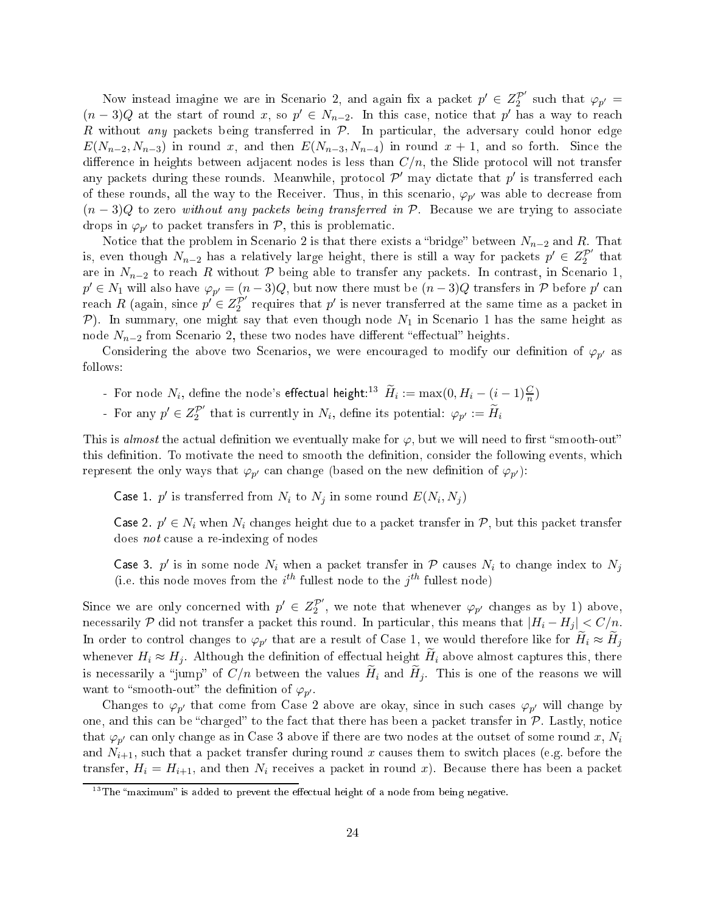Now instead imagine we are in Scenario 2, and again fix a packet  $p' \in Z_2^{\mathcal{P}'}$  such that  $\varphi_{p'} =$  $(n-3)Q$  at the start of round x, so  $p' \in N_{n-2}$ . In this case, notice that p' has a way to reach R without any packets being transferred in  $P$ . In particular, the adversary could honor edge  $E(N_{n-2}, N_{n-3})$  in round x, and then  $E(N_{n-3}, N_{n-4})$  in round  $x + 1$ , and so forth. Since the difference in heights between adjacent nodes is less than  $C/n$ , the Slide protocol will not transfer any packets during these rounds. Meanwhile, protocol  $\mathcal{P}'$  may dictate that  $p'$  is transferred each of these rounds, all the way to the Receiver. Thus, in this scenario,  $\varphi_{p'}$  was able to decrease from  $(n-3)Q$  to zero without any packets being transferred in P. Because we are trying to associate drops in  $\varphi_{p'}$  to packet transfers in  $\mathcal{P}$ , this is problematic.

Notice that the problem in Scenario 2 is that there exists a "bridge" between  $N_{n-2}$  and R. That is, even though  $N_{n-2}$  has a relatively large height, there is still a way for packets  $p' \in Z_2^{\mathcal{P}'}$  that are in  $N_{n-2}$  to reach R without P being able to transfer any packets. In contrast, in Scenario 1,  $p'\in N_1$  will also have  $\varphi_{p'}=(n-3)Q,$  but now there must be  $(n-3)Q$  transfers in  ${\mathcal P}$  before  $p'$  can reach R (again, since  $p' \in Z_2^{\mathcal{P}'}$  requires that p' is never transferred at the same time as a packet in  $P$ ). In summary, one might say that even though node  $N_1$  in Scenario 1 has the same height as node  $N_{n-2}$  from Scenario 2, these two nodes have different "effectual" heights.

Considering the above two Scenarios, we were encouraged to modify our definition of  $\varphi_{p'}$  as follows:

- For node  $N_i,$  define the node's effectual height: $^{13}$   $\widetilde{H}_i := \max(0, H_i (i-1)\frac{C}{n})$
- For any  $p' \in Z_2^{\mathcal{P}'}$  that is currently in  $N_i$ , define its potential:  $\varphi_{p'} := \widetilde{H}_i$

This is almost the actual definition we eventually make for  $\varphi$ , but we will need to first "smooth-out" this definition. To motivate the need to smooth the definition, consider the following events, which represent the only ways that  $\varphi_{p'}$  can change (based on the new definition of  $\varphi_{p'}$ ):

Case 1.  $p'$  is transferred from  $N_i$  to  $N_j$  in some round  $E(N_i, N_j)$ 

Case 2.  $p' \in N_i$  when  $N_i$  changes height due to a packet transfer in  $P$ , but this packet transfer does not cause a re-indexing of nodes

Case 3.  $p'$  is in some node  $N_i$  when a packet transfer in  $P$  causes  $N_i$  to change index to  $N_j$ (i.e. this node moves from the  $i^{th}$  fullest node to the  $j^{th}$  fullest node)

Since we are only concerned with  $p' \in Z_2^{\mathcal{P}'}$ , we note that whenever  $\varphi_{p'}$  changes as by 1) above, necessarily P did not transfer a packet this round. In particular, this means that  $|H_i - H_j| < C/n$ . In order to control changes to  $\varphi_{p'}$  that are a result of Case 1, we would therefore like for  $H_i \approx H_j$ whenever  $H_i \approx H_j$ . Although the definition of effectual height  $\widetilde{H}_i$  above almost captures this, there is necessarily a "jump" of  $C/n$  between the values  $H_i$  and  $H_j$ . This is one of the reasons we will want to "smooth-out" the definition of  $\varphi_{p'}$ .

Changes to  $\varphi_{p'}$  that come from Case 2 above are okay, since in such cases  $\varphi_{p'}$  will change by one, and this can be "charged" to the fact that there has been a packet transfer in  $P$ . Lastly, notice that  $\varphi_{p'}$  can only change as in Case 3 above if there are two nodes at the outset of some round  $x,$   $N_i$ and  $N_{i+1}$ , such that a packet transfer during round x causes them to switch places (e.g. before the transfer,  $H_i = H_{i+1}$ , and then  $N_i$  receives a packet in round x). Because there has been a packet

 $13$ The "maximum" is added to prevent the effectual height of a node from being negative.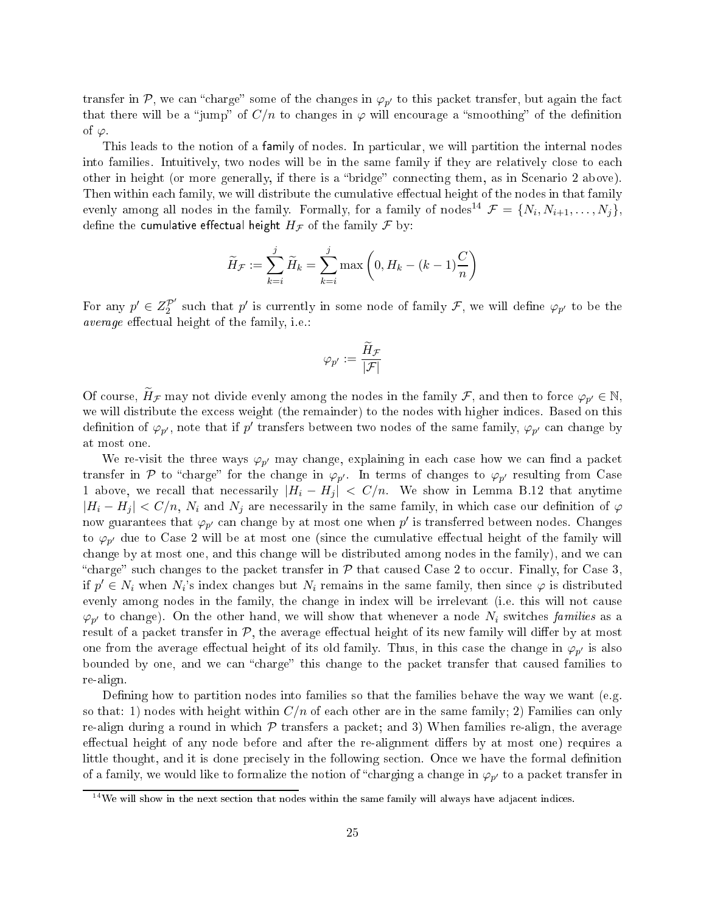transfer in  $\mathcal{P},$  we can "charge" some of the changes in  $\varphi_{p'}$  to this packet transfer, but again the fact that there will be a "jump" of  $C/n$  to changes in  $\varphi$  will encourage a "smoothing" of the definition of  $\varphi$ .

This leads to the notion of a family of nodes. In particular, we will partition the internal nodes into families. Intuitively, two nodes will be in the same family if they are relatively close to each other in height (or more generally, if there is a "bridge" connecting them, as in Scenario 2 above). Then within each family, we will distribute the cumulative effectual height of the nodes in that family evenly among all nodes in the family. Formally, for a family of nodes<sup>14</sup>  $\mathcal{F} = \{N_i, N_{i+1}, \ldots, N_j\},$ define the cumulative effectual height  $H_{\mathcal{F}}$  of the family  $\mathcal{F}$  by:

$$
\widetilde{H}_{\mathcal{F}} := \sum_{k=i}^{j} \widetilde{H}_{k} = \sum_{k=i}^{j} \max\left(0, H_{k} - (k-1)\frac{C}{n}\right)
$$

For any  $p' \in Z_2^{\mathcal{P}'}$  such that  $p'$  is currently in some node of family  $\mathcal{F}$ , we will define  $\varphi_{p'}$  to be the average effectual height of the family, i.e.:

$$
\varphi_{p'}:=\frac{\widetilde{H}_{\mathcal{F}}}{|\mathcal{F}|}
$$

Of course,  $\widetilde{H}_{\mathcal{F}}$  may not divide evenly among the nodes in the family  $\mathcal{F}$ , and then to force  $\varphi_{p'} \in \mathbb{N}$ , we will distribute the excess weight (the remainder) to the nodes with higher indices. Based on this definition of  $\varphi_{p'}$ , note that if  $p'$  transfers between two nodes of the same family,  $\varphi_{p'}$  can change by at most one.

We re-visit the three ways  $\varphi_{p'}$  may change, explaining in each case how we can find a packet transfer in P to "charge" for the change in  $\varphi_{p'}$ . In terms of changes to  $\varphi_{p'}$  resulting from Case 1 above, we recall that necessarily  $|H_i - H_j| < C/n$ . We show in Lemma B.12 that anytime  $|H_i - H_j| < C/n$ ,  $N_i$  and  $N_j$  are necessarily in the same family, in which case our definition of  $\varphi$ now guarantees that  $\varphi_{p'}$  can change by at most one when  $p'$  is transferred between nodes. Changes to  $\varphi_{p'}$  due to Case 2 will be at most one (since the cumulative effectual height of the family will change by at most one, and this change will be distributed among nodes in the family), and we can "charge" such changes to the packet transfer in  $P$  that caused Case 2 to occur. Finally, for Case 3, if  $p' \in N_i$  when  $N_i$ 's index changes but  $N_i$  remains in the same family, then since  $\varphi$  is distributed evenly among nodes in the family, the change in index will be irrelevant (i.e. this will not cause  $\varphi_{p'}$  to change). On the other hand, we will show that whenever a node  $N_i$  switches families as a result of a packet transfer in  $P$ , the average effectual height of its new family will differ by at most one from the average effectual height of its old family. Thus, in this case the change in  $\varphi_{p'}$  is also bounded by one, and we can "charge" this change to the packet transfer that caused families to re-align.

Defining how to partition nodes into families so that the families behave the way we want (e.g. so that: 1) nodes with height within  $C/n$  of each other are in the same family; 2) Families can only re-align during a round in which  $P$  transfers a packet; and 3) When families re-align, the average effectual height of any node before and after the re-alignment differs by at most one) requires a little thought, and it is done precisely in the following section. Once we have the formal definition of a family, we would like to formalize the notion of "charging a change in  $\varphi_{p'}$  to a packet transfer in

 $14$ We will show in the next section that nodes within the same family will always have adjacent indices.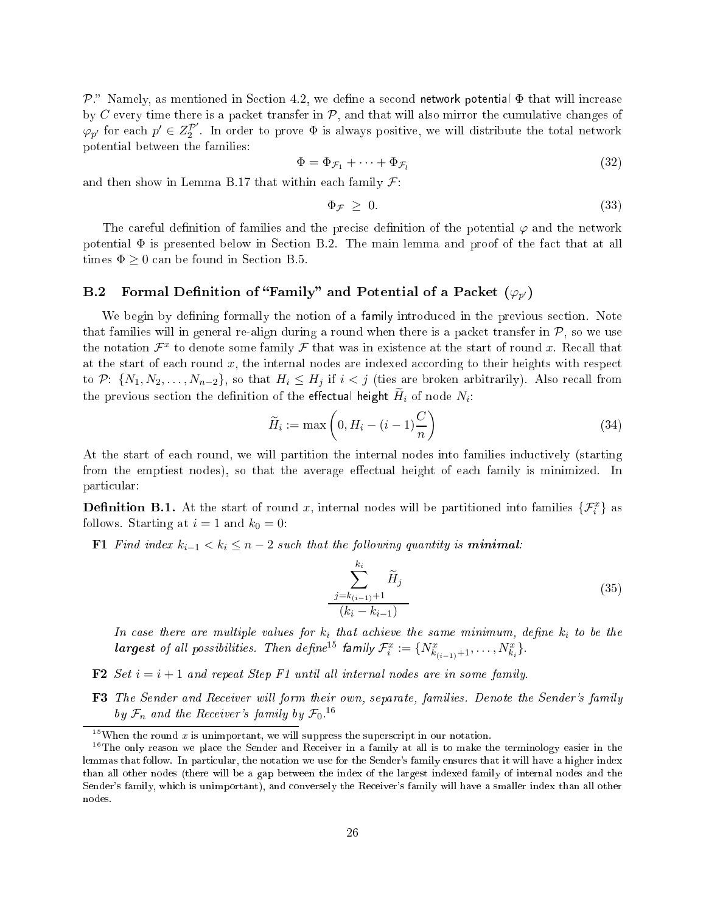P." Namely, as mentioned in Section 4.2, we define a second network potential  $\Phi$  that will increase by C every time there is a packet transfer in  $P$ , and that will also mirror the cumulative changes of  $\varphi_{p'}$  for each  $p' \in Z_2^{\mathcal{P'}}$ . In order to prove  $\Phi$  is always positive, we will distribute the total network potential between the families:

$$
\Phi = \Phi_{\mathcal{F}_1} + \dots + \Phi_{\mathcal{F}_l} \tag{32}
$$

and then show in Lemma B.17 that within each family  $\mathcal{F}$ :

$$
\Phi_{\mathcal{F}} \geq 0. \tag{33}
$$

The careful definition of families and the precise definition of the potential  $\varphi$  and the network potential  $\Phi$  is presented below in Section B.2. The main lemma and proof of the fact that at all times  $\Phi \geq 0$  can be found in Section B.5.

# B.2  $\;$  Formal Definition of "Family" and Potential of a Packet  $(\varphi _{p^{\prime }})$

We begin by defining formally the notion of a family introduced in the previous section. Note that families will in general re-align during a round when there is a packet transfer in  $P$ , so we use the notation  $\mathcal{F}^x$  to denote some family  $\mathcal F$  that was in existence at the start of round x. Recall that at the start of each round  $x$ , the internal nodes are indexed according to their heights with respect to P:  $\{N_1, N_2, \ldots, N_{n-2}\}\$ , so that  $H_i \leq H_j$  if  $i < j$  (ties are broken arbitrarily). Also recall from the previous section the definition of the effectual height  $H_i$  of node  $N_i$ :

$$
\widetilde{H}_i := \max\left(0, H_i - (i-1)\frac{C}{n}\right) \tag{34}
$$

At the start of each round, we will partition the internal nodes into families inductively (starting from the emptiest nodes), so that the average effectual height of each family is minimized. In particular:

**Definition B.1.** At the start of round x, internal nodes will be partitioned into families  $\{\mathcal{F}^x_i\}$  as follows. Starting at  $i = 1$  and  $k_0 = 0$ :

**F1** Find index  $k_{i-1} < k_i ≤ n-2$  such that the following quantity is minimal:

$$
\frac{\sum_{j=k_{(i-1)}+1}^{k_i} \widetilde{H}_j}{(k_i - k_{i-1})}
$$
\n
$$
(35)
$$

In case there are multiple values for  $k_i$  that achieve the same minimum, define  $k_i$  to be the largest of all possibilities. Then define<sup>15</sup> family  $\mathcal{F}_i^x := \{N_{k_{(i-1)}+1}^x, \ldots, N_{k_i}^x\}.$ 

- F2 Set  $i = i + 1$  and repeat Step F1 until all internal nodes are in some family.
- F3 The Sender and Receiver will form their own, separate, families. Denote the Sender's family by  $\mathcal{F}_n$  and the Receiver's family by  $\mathcal{F}_0$  <sup>16</sup>

<sup>&</sup>lt;sup>15</sup>When the round x is unimportant, we will suppress the superscript in our notation.

<sup>&</sup>lt;sup>16</sup>The only reason we place the Sender and Receiver in a family at all is to make the terminology easier in the lemmas that follow. In particular, the notation we use for the Sender's family ensures that it will have a higher index than all other nodes (there will be a gap between the index of the largest indexed family of internal nodes and the Sender's family, which is unimportant), and conversely the Receiver's family will have a smaller index than all other nodes.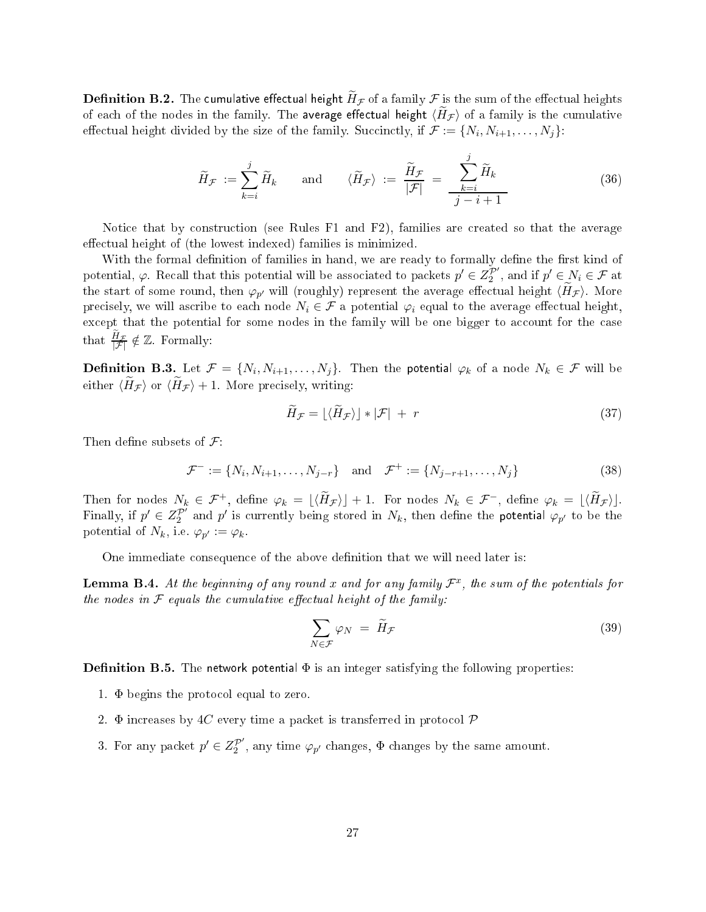**Definition B.2.** The cumulative effectual height  $\widetilde{H}_{\mathcal{F}}$  of a family  $\mathcal F$  is the sum of the effectual heights of each of the nodes in the family. The average effectual height  $\langle \tilde{H}_{\mathcal{F}} \rangle$  of a family is the cumulative effectual height divided by the size of the family. Succinctly, if  $\mathcal{F}:=\{N_i,N_{i+1},\ldots,N_j\}$ :

$$
\widetilde{H}_{\mathcal{F}} := \sum_{k=i}^{j} \widetilde{H}_{k} \quad \text{and} \quad \langle \widetilde{H}_{\mathcal{F}} \rangle := \frac{\widetilde{H}_{\mathcal{F}}}{|\mathcal{F}|} = \frac{\sum_{k=i}^{j} \widetilde{H}_{k}}{\frac{j}{j-i+1}}
$$
(36)

Notice that by construction (see Rules F1 and F2), families are created so that the average effectual height of (the lowest indexed) families is minimized.

With the formal definition of families in hand, we are ready to formally define the first kind of potential,  $\varphi$ . Recall that this potential will be associated to packets  $p'\in Z_2^{\mathcal{P}'},$  and if  $p'\in \mathcal{N}_i\in \mathcal{F}$  at the start of some round, then  $\varphi_{p'}$  will (roughly) represent the average effectual height  $\langle H_{\mathcal{F}} \rangle$ . More precisely, we will ascribe to each node  $N_i \in \mathcal{F}$  a potential  $\varphi_i$  equal to the average effectual height, except that the potential for some nodes in the family will be one bigger to account for the case that  $\frac{H_{\mathcal{F}}}{|\mathcal{F}|} \notin \mathbb{Z}$ . Formally:

 $\bf{Definition~B.3.~Let~}$   $\mathcal{F}=\{N_i,N_{i+1},\ldots,N_j\}.$  Then the potential  $\varphi_k$  of a node  $N_k\in\mathcal{F}$  will be either  $\langle H_{\mathcal{F}} \rangle$  or  $\langle H_{\mathcal{F}} \rangle + 1$ . More precisely, writing:

$$
\widetilde{H}_{\mathcal{F}} = \lfloor \langle \widetilde{H}_{\mathcal{F}} \rangle \rfloor * |\mathcal{F}| + r \tag{37}
$$

Then define subsets of  $\mathcal{F}$ :

$$
\mathcal{F}^- := \{N_i, N_{i+1}, \dots, N_{j-r}\} \text{ and } \mathcal{F}^+ := \{N_{j-r+1}, \dots, N_j\}
$$
 (38)

Then for nodes  $N_k \in \mathcal{F}^+$ , define  $\varphi_k = \lfloor \langle \widetilde{H}_{\mathcal{F}} \rangle \rfloor + 1$ . For nodes  $N_k \in \mathcal{F}^-$ , define  $\varphi_k = \lfloor \langle \widetilde{H}_{\mathcal{F}} \rangle \rfloor$ . Finally, if  $p' \in Z_2^{p'}$  and p' is currently being stored in  $N_k$ , then define the potential  $\varphi_{p'}$  to be the potential of  $N_k$ , i.e.  $\varphi_{p'} := \varphi_k$ .

One immediate consequence of the above definition that we will need later is:

**Lemma B.4.** At the beginning of any round x and for any family  $\mathcal{F}^x$ , the sum of the potentials for the nodes in  $\mathcal F$  equals the cumulative effectual height of the family:

$$
\sum_{N \in \mathcal{F}} \varphi_N = \widetilde{H}_{\mathcal{F}} \tag{39}
$$

**Definition B.5.** The network potential  $\Phi$  is an integer satisfying the following properties:

- 1. Φ begins the protocol equal to zero.
- 2.  $\Phi$  increases by 4C every time a packet is transferred in protocol  $\mathcal P$
- 3. For any packet  $p' \in Z_2^{\mathcal{P}'}$ , any time  $\varphi_{p'}$  changes,  $\Phi$  changes by the same amount.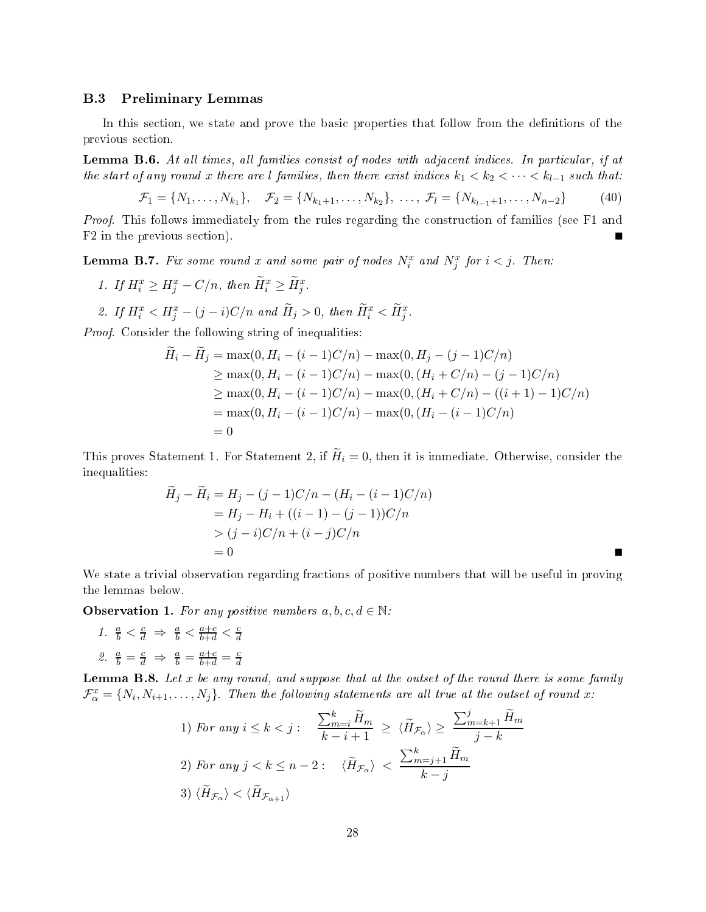#### B.3 Preliminary Lemmas

In this section, we state and prove the basic properties that follow from the definitions of the previous section.

**Lemma B.6.** At all times, all families consist of nodes with adjacent indices. In particular, if at the start of any round x there are l families, then there exist indices  $k_1 < k_2 < \cdots < k_{l-1}$  such that:

$$
\mathcal{F}_1 = \{N_1, \dots, N_{k_1}\}, \quad \mathcal{F}_2 = \{N_{k_1+1}, \dots, N_{k_2}\}, \dots, \mathcal{F}_l = \{N_{k_{l-1}+1}, \dots, N_{n-2}\}
$$
(40)

Proof. This follows immediately from the rules regarding the construction of families (see F1 and F2 in the previous section).

**Lemma B.7.** Fix some round x and some pair of nodes  $N_i^x$  and  $N_j^x$  for  $i < j$ . Then:

1. If  $H_i^x \geq H_j^x - C/n$ , then  $\widetilde{H}_i^x \geq \widetilde{H}_j^x$ .

2. If 
$$
H_i^x < H_j^x - (j - i)C/n
$$
 and  $\widetilde{H}_j > 0$ , then  $\widetilde{H}_i^x < \widetilde{H}_j^x$ .

Proof. Consider the following string of inequalities:

$$
H_i - H_j = \max(0, H_i - (i - 1)C/n) - \max(0, H_j - (j - 1)C/n)
$$
  
\n
$$
\geq \max(0, H_i - (i - 1)C/n) - \max(0, (H_i + C/n) - (j - 1)C/n)
$$
  
\n
$$
\geq \max(0, H_i - (i - 1)C/n) - \max(0, (H_i + C/n) - ((i + 1) - 1)C/n)
$$
  
\n
$$
= \max(0, H_i - (i - 1)C/n) - \max(0, (H_i - (i - 1)C/n)
$$
  
\n
$$
= 0
$$

This proves Statement 1. For Statement 2, if  $\widetilde{H}_i = 0$ , then it is immediate. Otherwise, consider the inequalities:

$$
\widetilde{H}_j - \widetilde{H}_i = H_j - (j - 1)C/n - (H_i - (i - 1)C/n) \n= H_j - H_i + ((i - 1) - (j - 1))C/n \n> (j - i)C/n + (i - j)C/n \n= 0
$$

We state a trivial observation regarding fractions of positive numbers that will be useful in proving the lemmas below.

**Observation 1.** For any positive numbers  $a, b, c, d \in \mathbb{N}$ :

1.  $\frac{a}{b} < \frac{c}{d} \Rightarrow \frac{a}{b} < \frac{a+c}{b+d} < \frac{c}{d}$ d 2.  $\frac{a}{b} = \frac{c}{d} \Rightarrow \frac{a}{b} = \frac{a+c}{b+d} = \frac{c}{d}$ d

**Lemma B.8.** Let x be any round, and suppose that at the outset of the round there is some family  $\mathcal{F}_{\alpha}^x=\{N_i,N_{i+1},\ldots,N_j\}$ . Then the following statements are all true at the outset of round x:

1) For any 
$$
i \le k < j
$$
: 
$$
\frac{\sum_{m=i}^{k} \widetilde{H}_m}{k - i + 1} \ge \langle \widetilde{H}_{\mathcal{F}_{\alpha}} \rangle \ge \frac{\sum_{m=k+1}^{j} \widetilde{H}_m}{j - k}
$$
  
2) For any  $j < k \le n - 2$ :  $\langle \widetilde{H}_{\mathcal{F}_{\alpha}} \rangle < \frac{\sum_{m=j+1}^{k} \widetilde{H}_m}{k - j}$   
3)  $\langle \widetilde{H}_{\mathcal{F}_{\alpha}} \rangle < \langle \widetilde{H}_{\mathcal{F}_{\alpha+1}} \rangle$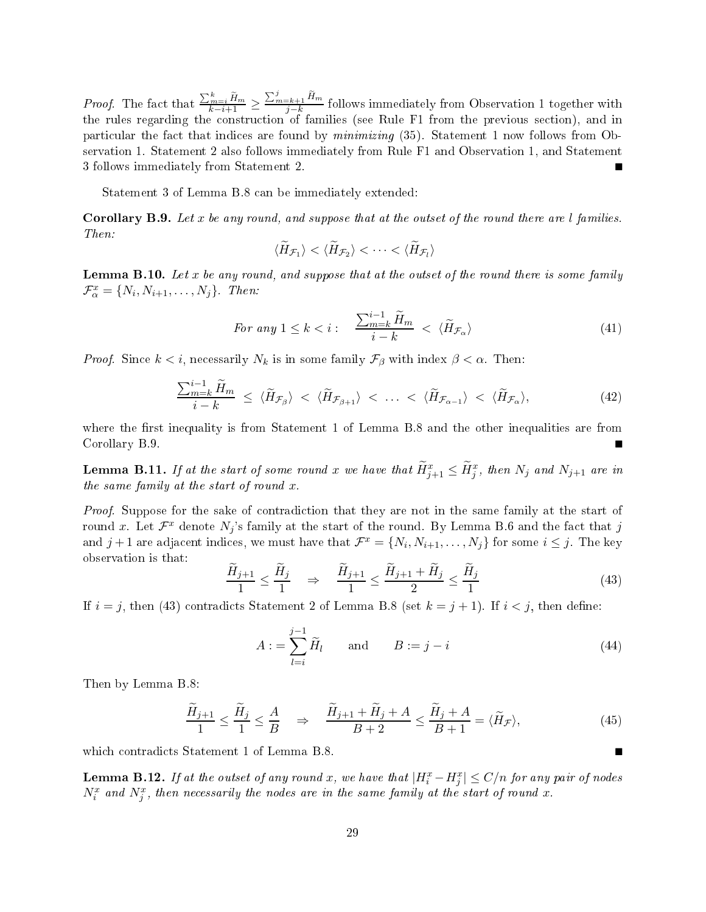*Proof.* The fact that  $\frac{\sum_{m=i}^{k} \widetilde{H}_m}{k-i+1} \ge \frac{\sum_{m=k+1}^{j} \widetilde{H}_m}{j-k}$  $j-k$  follows immediately from Observation 1 together with the rules regarding the construction of families (see Rule F1 from the previous section), and in particular the fact that indices are found by minimizing (35). Statement 1 now follows from Observation 1. Statement 2 also follows immediately from Rule F1 and Observation 1, and Statement 3 follows immediately from Statement 2.

Statement 3 of Lemma B.8 can be immediately extended:

Corollary B.9. Let x be any round, and suppose that at the outset of the round there are l families. Then:

$$
\langle \widetilde{H}_{\mathcal{F}_1} \rangle < \langle \widetilde{H}_{\mathcal{F}_2} \rangle < \cdots < \langle \widetilde{H}_{\mathcal{F}_l} \rangle
$$

**Lemma B.10.** Let x be any round, and suppose that at the outset of the round there is some family  $\mathcal{F}_{\alpha}^x = \{N_i, N_{i+1}, \ldots, N_j\}$ . Then:

For any 
$$
1 \le k < i
$$
: 
$$
\frac{\sum_{m=k}^{i-1} \widetilde{H}_m}{i-k} < \langle \widetilde{H}_{\mathcal{F}_{\alpha}} \rangle
$$
(41)

*Proof.* Since  $k < i$ , necessarily  $N_k$  is in some family  $\mathcal{F}_{\beta}$  with index  $\beta < \alpha$ . Then:

$$
\frac{\sum_{m=k}^{i-1} \widetilde{H}_m}{i-k} \leq \langle \widetilde{H}_{\mathcal{F}_{\beta}} \rangle < \langle \widetilde{H}_{\mathcal{F}_{\beta+1}} \rangle < \ldots < \langle \widetilde{H}_{\mathcal{F}_{\alpha-1}} \rangle < \langle \widetilde{H}_{\mathcal{F}_{\alpha}} \rangle, \tag{42}
$$

where the first inequality is from Statement 1 of Lemma B.8 and the other inequalities are from Corollary B.9.

**Lemma B.11.** If at the start of some round x we have that  $\widetilde{H}^x_{j+1} \leq \widetilde{H}^x_j$ , then  $N_j$  and  $N_{j+1}$  are in the same family at the start of round x.

Proof. Suppose for the sake of contradiction that they are not in the same family at the start of round x. Let  $\mathcal{F}^x$  denote  $N_j$ 's family at the start of the round. By Lemma B.6 and the fact that  $j$ and  $j+1$  are adjacent indices, we must have that  $\mathcal{F}^x = \{N_i, N_{i+1}, \ldots, N_j\}$  for some  $i \leq j$ . The key observation is that:

$$
\frac{\widetilde{H}_{j+1}}{1} \le \frac{\widetilde{H}_j}{1} \quad \Rightarrow \quad \frac{\widetilde{H}_{j+1}}{1} \le \frac{\widetilde{H}_{j+1} + \widetilde{H}_j}{2} \le \frac{\widetilde{H}_j}{1} \tag{43}
$$

If  $i = j$ , then (43) contradicts Statement 2 of Lemma B.8 (set  $k = j + 1$ ). If  $i < j$ , then define:

$$
A := \sum_{l=i}^{j-1} \widetilde{H}_l \quad \text{and} \quad B := j - i \tag{44}
$$

Then by Lemma B.8:

$$
\frac{\widetilde{H}_{j+1}}{1} \le \frac{\widetilde{H}_j}{1} \le \frac{A}{B} \quad \Rightarrow \quad \frac{\widetilde{H}_{j+1} + \widetilde{H}_j + A}{B+2} \le \frac{\widetilde{H}_j + A}{B+1} = \langle \widetilde{H}_{\mathcal{F}} \rangle,\tag{45}
$$

which contradicts Statement 1 of Lemma B.8.

**Lemma B.12.** If at the outset of any round x, we have that  $|H_i^x - H_j^x| \le C/n$  for any pair of nodes  $N_i^x$  and  $N_j^x$ , then necessarily the nodes are in the same family at the start of round x.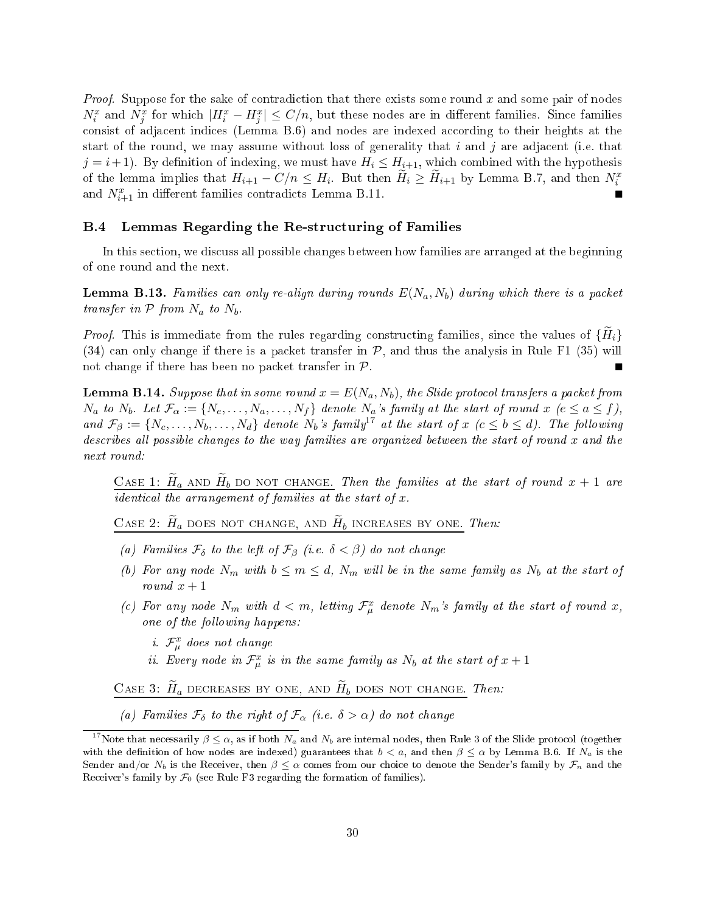*Proof.* Suppose for the sake of contradiction that there exists some round x and some pair of nodes  $N_i^x$  and  $N_j^x$  for which  $|H_i^x - H_j^x| \le C/n$ , but these nodes are in different families. Since families consist of adjacent indices (Lemma B.6) and nodes are indexed according to their heights at the start of the round, we may assume without loss of generality that  $i$  and  $j$  are adjacent (i.e. that  $j = i + 1$ . By definition of indexing, we must have  $H_i \leq H_{i+1}$ , which combined with the hypothesis of the lemma implies that  $H_{i+1} - C/n \leq H_i$ . But then  $\widetilde{H}_i \geq \widetilde{H}_{i+1}$  by Lemma B.7, and then  $N_i^x$ and  $N_{i+1}^x$  in different families contradicts Lemma B.11.

#### B.4 Lemmas Regarding the Re-structuring of Families

In this section, we discuss all possible changes between how families are arranged at the beginning of one round and the next.

**Lemma B.13.** Families can only re-align during rounds  $E(N_a, N_b)$  during which there is a packet transfer in  $P$  from  $N_a$  to  $N_b$ .

*Proof.* This is immediate from the rules regarding constructing families, since the values of  $\{H_i\}$ (34) can only change if there is a packet transfer in  $P$ , and thus the analysis in Rule F1 (35) will not change if there has been no packet transfer in  $P$ .

**Lemma B.14.** Suppose that in some round  $x = E(N_a, N_b)$ , the Slide protocol transfers a packet from  $N_a$  to  $N_b$ . Let  $\mathcal{F}_{\alpha} := \{N_e, \ldots, N_a, \ldots, N_f\}$  denote  $N_a$ 's family at the start of round  $x \ (e \le a \le f)$ , and  $\mathcal{F}_{\beta} := \{N_c, \ldots, N_b, \ldots, N_d\}$  denote  $N_b$ 's family<sup>17</sup> at the start of  $x \ (c \leq b \leq d)$ . The following describes all possible changes to the way families are organized between the start of round  $x$  and the next round:

CASE 1:  $H_a$  AND  $H_b$  DO NOT CHANGE. Then the families at the start of round  $x + 1$  are identical the arrangement of families at the start of x.

CASE 2:  $H_a$  does not change, and  $H_b$  increases by one. Then:

- (a) Families  $\mathcal{F}_{\delta}$  to the left of  $\mathcal{F}_{\beta}$  (i.e.  $\delta < \beta$ ) do not change
- (b) For any node  $N_m$  with  $b \leq m \leq d$ ,  $N_m$  will be in the same family as  $N_b$  at the start of round  $x + 1$
- (c) For any node  $N_m$  with  $d < m$ , letting  $\mathcal{F}_{\mu}^x$  denote  $N_m$ 's family at the start of round x, one of the following happens:
	- i.  $\mathcal{F}_{\mu}^{x}$  does not change
	- ii. Every node in  $\mathcal{F}_{\mu}^{x}$  is in the same family as  $N_{b}$  at the start of  $x+1$

CASE 3:  $H_a$  decreases by one, and  $H_b$  does not change. Then:

(a) Families  $\mathcal{F}_{\delta}$  to the right of  $\mathcal{F}_{\alpha}$  (i.e.  $\delta > \alpha$ ) do not change

 $^{17}$ Note that necessarily  $\beta\leq\alpha,$  as if both  $N_a$  and  $N_b$  are internal nodes, then Rule 3 of the Slide protocol (together with the definition of how nodes are indexed) guarantees that  $b < a$ , and then  $\beta \leq \alpha$  by Lemma B.6. If  $N_a$  is the Sender and/or  $N_b$  is the Receiver, then  $\beta \leq \alpha$  comes from our choice to denote the Sender's family by  $\mathcal{F}_n$  and the Receiver's family by  $\mathcal{F}_0$  (see Rule F3 regarding the formation of families).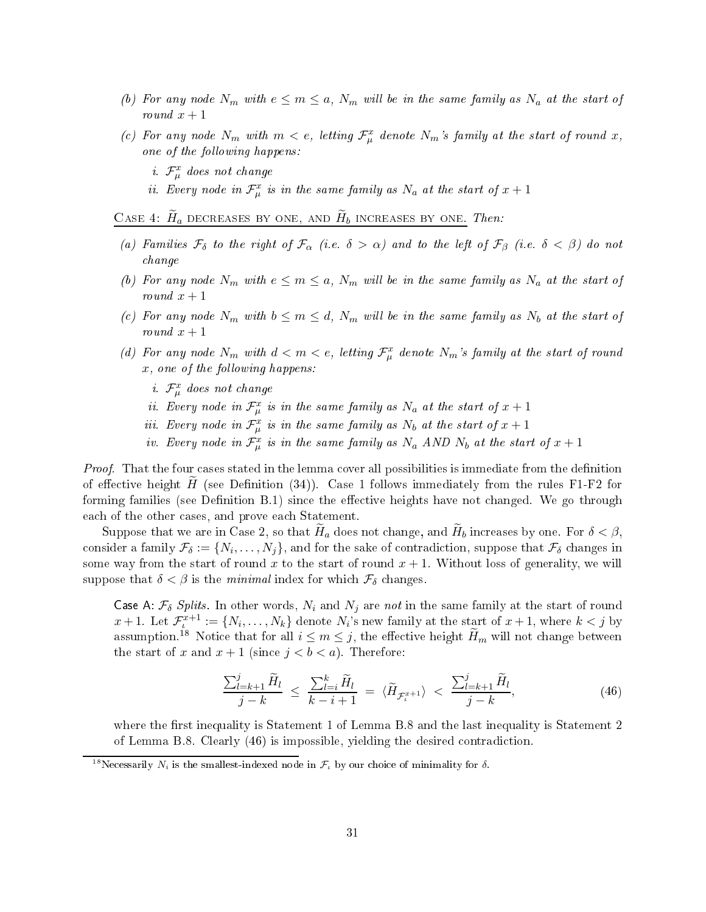- (b) For any node  $N_m$  with  $e \leq m \leq a$ ,  $N_m$  will be in the same family as  $N_a$  at the start of round  $x + 1$
- (c) For any node  $N_m$  with  $m < e$ , letting  $\mathcal{F}_{\mu}^x$  denote  $N_m$ 's family at the start of round x, one of the following happens:
	- i.  $\mathcal{F}_{\mu}^{x}$  does not change

ii. Every node in  $\mathcal{F}_{\mu}^{x}$  is in the same family as  $N_{a}$  at the start of  $x+1$ 

CASE 4:  $H_a$  decreases by one, and  $H_b$  increases by one. Then:

- (a) Families  $\mathcal{F}_{\delta}$  to the right of  $\mathcal{F}_{\alpha}$  (i.e.  $\delta > \alpha$ ) and to the left of  $\mathcal{F}_{\beta}$  (i.e.  $\delta < \beta$ ) do not change
- (b) For any node  $N_m$  with  $e \leq m \leq a$ ,  $N_m$  will be in the same family as  $N_a$  at the start of round  $x + 1$
- (c) For any node  $N_m$  with  $b \leq m \leq d$ ,  $N_m$  will be in the same family as  $N_b$  at the start of round  $x + 1$
- (d) For any node  $N_m$  with  $d < m < e$ , letting  $\mathcal{F}^x_\mu$  denote  $N_m$ 's family at the start of round  $x$ , one of the following happens:
	- *i.*  $\mathcal{F}_{\mu}^{x}$  does not change
	- ii. Every node in  $\mathcal{F}_{\mu}^{x}$  is in the same family as  $N_{a}$  at the start of  $x+1$
	- iii. Every node in  $\mathcal{F}_{\mu}^{x}$  is in the same family as  $N_{b}$  at the start of  $x+1$
	- iv. Every node in  $\mathcal{F}_{\mu}^{x}$  is in the same family as  $N_a$  AND  $N_b$  at the start of  $x+1$

Proof. That the four cases stated in the lemma cover all possibilities is immediate from the definition of effective height H (see Definition  $(34)$ ). Case 1 follows immediately from the rules F1-F2 for forming families (see Definition  $B.1$ ) since the effective heights have not changed. We go through each of the other cases, and prove each Statement.

Suppose that we are in Case 2, so that  $H_a$  does not change, and  $H_b$  increases by one. For  $\delta < \beta$ , consider a family  $\mathcal{F}_\delta:=\{N_i,\ldots,N_j\},$  and for the sake of contradiction, suppose that  $\mathcal{F}_\delta$  changes in some way from the start of round x to the start of round  $x + 1$ . Without loss of generality, we will suppose that  $\delta < \beta$  is the *minimal* index for which  $\mathcal{F}_{\delta}$  changes.

Case A:  $\mathcal{F}_{\delta}$  Splits. In other words,  $N_i$  and  $N_j$  are not in the same family at the start of round  $x+1$ . Let  $\mathcal{F}_\iota^{x+1} := \{N_i, \ldots, N_k\}$  denote  $N_i$ 's new family at the start of  $x+1$ , where  $k < j$  by assumption.<sup>18</sup> Notice that for all  $i \leq m \leq j$ , the effective height  $H_m$  will not change between the start of x and  $x + 1$  (since  $j < b < a$ ). Therefore:

$$
\frac{\sum_{l=k+1}^{j} \widetilde{H}_{l}}{j-k} \leq \frac{\sum_{l=i}^{k} \widetilde{H}_{l}}{k-i+1} = \langle \widetilde{H}_{\mathcal{F}_{t}}^{x+1} \rangle < \frac{\sum_{l=k+1}^{j} \widetilde{H}_{l}}{j-k},\tag{46}
$$

where the first inequality is Statement 1 of Lemma B.8 and the last inequality is Statement 2 of Lemma B.8. Clearly (46) is impossible, yielding the desired contradiction.

<sup>&</sup>lt;sup>18</sup>Necessarily  $N_i$  is the smallest-indexed node in  $\mathcal{F}_i$  by our choice of minimality for  $\delta$ .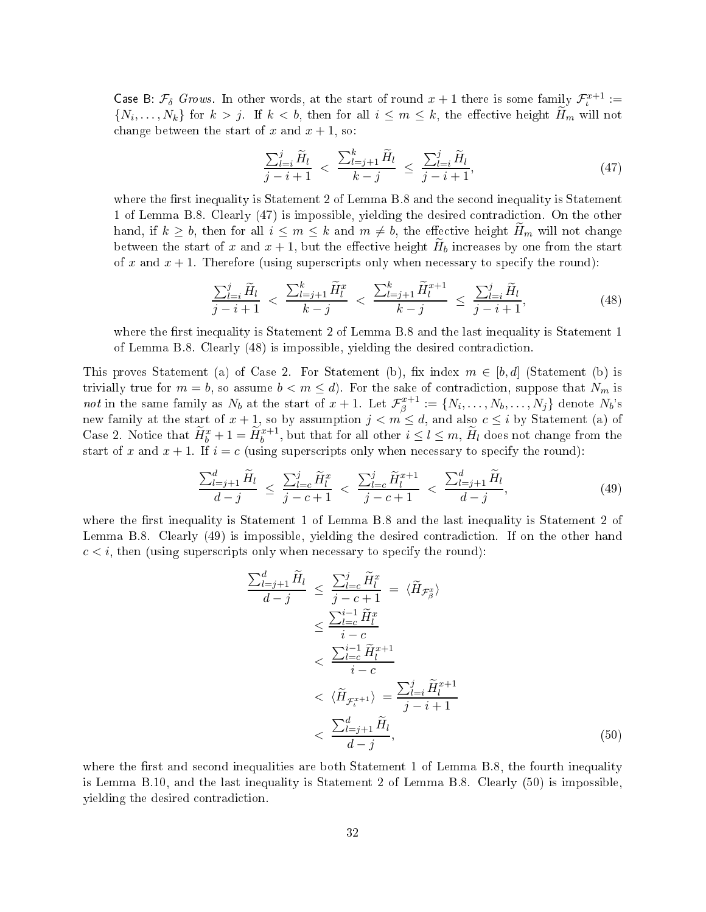Case B:  $\mathcal{F}_{\delta}$  Grows. In other words, at the start of round  $x+1$  there is some family  $\mathcal{F}_{\iota}^{x+1}$  :=  $\{N_i, \ldots, N_k\}$  for  $k > j$ . If  $k < b$ , then for all  $i \leq m \leq k$ , the effective height  $H_m$  will not change between the start of x and  $x + 1$ , so:

$$
\frac{\sum_{l=i}^{j} \widetilde{H}_l}{j-i+1} < \frac{\sum_{l=j+1}^{k} \widetilde{H}_l}{k-j} \le \frac{\sum_{l=i}^{j} \widetilde{H}_l}{j-i+1},\tag{47}
$$

where the first inequality is Statement 2 of Lemma B.8 and the second inequality is Statement 1 of Lemma B.8. Clearly (47) is impossible, yielding the desired contradiction. On the other hand, if  $k \geq b$ , then for all  $i \leq m \leq k$  and  $m \neq b$ , the effective height  $H_m$  will not change between the start of x and  $x + 1$ , but the effective height  $H_b$  increases by one from the start of x and  $x + 1$ . Therefore (using superscripts only when necessary to specify the round):

$$
\frac{\sum_{l=i}^{j} \widetilde{H}_l}{j-i+1} < \frac{\sum_{l=j+1}^{k} \widetilde{H}_l^x}{k-j} < \frac{\sum_{l=j+1}^{k} \widetilde{H}_l^{x+1}}{k-j} \le \frac{\sum_{l=i}^{j} \widetilde{H}_l}{j-i+1},\tag{48}
$$

where the first inequality is Statement 2 of Lemma B.8 and the last inequality is Statement 1 of Lemma B.8. Clearly (48) is impossible, yielding the desired contradiction.

This proves Statement (a) of Case 2. For Statement (b), fix index  $m \in [b, d]$  (Statement (b) is trivially true for  $m = b$ , so assume  $b < m \le d$ . For the sake of contradiction, suppose that  $N_m$  is not in the same family as  $N_b$  at the start of  $x+1$ . Let  $\mathcal{F}_{\beta}^{x+1}$  $\mathcal{S}^{x+1}_\beta := \{N_i,\ldots,N_b,\ldots,N_j\}$  denote  $N_b$ 's new family at the start of  $x + 1$ , so by assumption  $j < m \leq d,$  and also  $c \leq i$  by Statement (a) of Case 2. Notice that  $\widetilde{H}_{b}^{x}+1=\widetilde{H}_{b}^{x+1}$ , but that for all other  $i\leq l\leq m$ ,  $\widetilde{H}_{l}$  does not change from the start of x and  $x + 1$ . If  $i = c$  (using superscripts only when necessary to specify the round):

$$
\frac{\sum_{l=j+1}^{d} \tilde{H}_{l}}{d-j} \le \frac{\sum_{l=c}^{j} \tilde{H}_{l}^{x}}{j-c+1} < \frac{\sum_{l=c}^{j} \tilde{H}_{l}^{x+1}}{j-c+1} < \frac{\sum_{l=j+1}^{d} \tilde{H}_{l}}{d-j},\tag{49}
$$

where the first inequality is Statement 1 of Lemma B.8 and the last inequality is Statement 2 of Lemma B.8. Clearly (49) is impossible, yielding the desired contradiction. If on the other hand  $c < i$ , then (using superscripts only when necessary to specify the round):

$$
\frac{\sum_{l=j+1}^{d} \tilde{H}_{l}}{d-j} \leq \frac{\sum_{l=c}^{j} \tilde{H}_{l}^{x}}{j-c+1} = \langle \tilde{H}_{\mathcal{F}_{\beta}^{x}} \rangle
$$
\n
$$
\leq \frac{\sum_{l=c}^{i-1} \tilde{H}_{l}^{x}}{i-c}
$$
\n
$$
< \frac{\sum_{l=c}^{i-1} \tilde{H}_{l}^{x+1}}{i-c}
$$
\n
$$
< \langle \tilde{H}_{\mathcal{F}_{\iota}^{x+1}} \rangle = \frac{\sum_{l=i}^{j} \tilde{H}_{l}^{x+1}}{j-i+1}
$$
\n
$$
< \frac{\sum_{l=j+1}^{d} \tilde{H}_{l}}{d-j}, \tag{50}
$$

where the first and second inequalities are both Statement 1 of Lemma B.8, the fourth inequality is Lemma B.10, and the last inequality is Statement 2 of Lemma B.8. Clearly (50) is impossible, yielding the desired contradiction.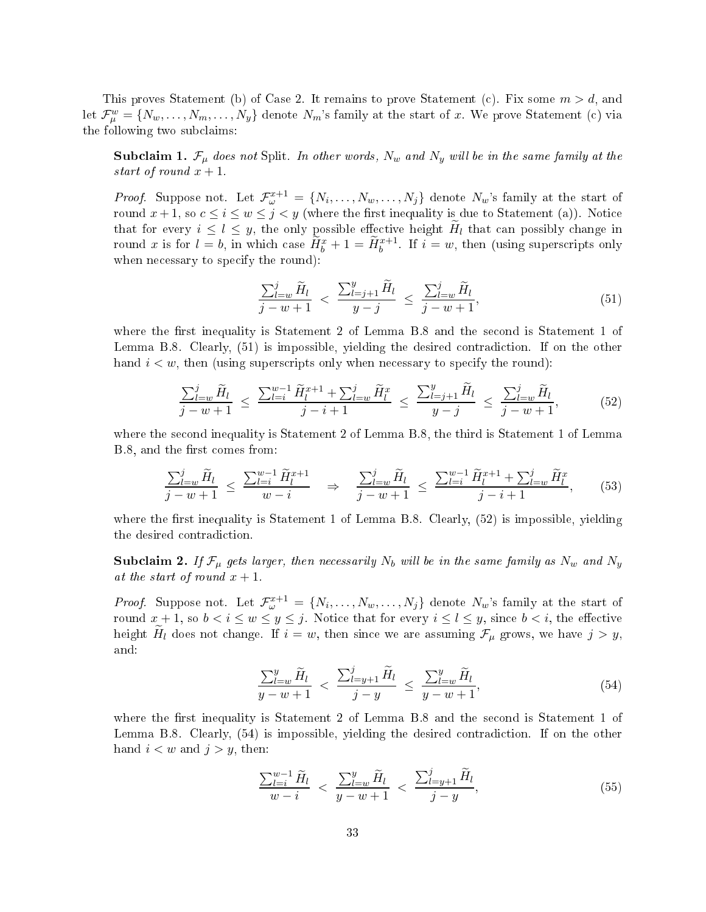This proves Statement (b) of Case 2. It remains to prove Statement (c). Fix some  $m > d$ , and let  $\mathcal{F}^w_\mu = \{N_w, \ldots, N_m, \ldots, N_y\}$  denote  $N_m$ 's family at the start of x. We prove Statement (c) via the following two subclaims:

**Subclaim 1.**  $\mathcal{F}_{\mu}$  does not Split. In other words,  $N_w$  and  $N_y$  will be in the same family at the start of round  $x + 1$ .

*Proof.* Suppose not. Let  $\mathcal{F}_{\omega}^{x+1} = \{N_1, \ldots, N_w, \ldots, N_j\}$  denote  $N_w$ 's family at the start of round  $x + 1$ , so  $c \le i \le w \le j < y$  (where the first inequality is due to Statement (a)). Notice that for every  $i \leq l \leq y$ , the only possible effective height  $H_l$  that can possibly change in round x is for  $l = b$ , in which case  $\widetilde{H}_{b}^{x} + 1 = \widetilde{H}_{b}^{x+1}$ . If  $i = w$ , then (using superscripts only when necessary to specify the round):

$$
\frac{\sum_{l=w}^{j} \widetilde{H}_l}{j-w+1} < \frac{\sum_{l=j+1}^{y} \widetilde{H}_l}{y-j} \le \frac{\sum_{l=w}^{j} \widetilde{H}_l}{j-w+1},\tag{51}
$$

where the first inequality is Statement 2 of Lemma B.8 and the second is Statement 1 of Lemma B.8. Clearly, (51) is impossible, yielding the desired contradiction. If on the other hand  $i < w$ , then (using superscripts only when necessary to specify the round):

$$
\frac{\sum_{l=w}^{j} \widetilde{H}_{l}}{j-w+1} \leq \frac{\sum_{l=i}^{w-1} \widetilde{H}_{l}^{x+1} + \sum_{l=w}^{j} \widetilde{H}_{l}^{x}}{j-i+1} \leq \frac{\sum_{l=j+1}^{y} \widetilde{H}_{l}}{y-j} \leq \frac{\sum_{l=w}^{j} \widetilde{H}_{l}}{j-w+1},
$$
(52)

where the second inequality is Statement 2 of Lemma B.8, the third is Statement 1 of Lemma B.8, and the first comes from:

$$
\frac{\sum_{l=w}^{j} \widetilde{H}_{l}}{j-w+1} \le \frac{\sum_{l=i}^{w-1} \widetilde{H}_{l}^{x+1}}{w-i} \Rightarrow \frac{\sum_{l=w}^{j} \widetilde{H}_{l}}{j-w+1} \le \frac{\sum_{l=i}^{w-1} \widetilde{H}_{l}^{x+1} + \sum_{l=w}^{j} \widetilde{H}_{l}^{x}}{j-i+1},
$$
(53)

where the first inequality is Statement 1 of Lemma B.8. Clearly,  $(52)$  is impossible, yielding the desired contradiction.

**Subclaim 2.** If  $\mathcal{F}_{\mu}$  gets larger, then necessarily  $N_b$  will be in the same family as  $N_w$  and  $N_y$ at the start of round  $x + 1$ .

*Proof.* Suppose not. Let  $\mathcal{F}_{\omega}^{x+1} = \{N_1, \ldots, N_w, \ldots, N_j\}$  denote  $N_w$ 's family at the start of round  $x + 1$ , so  $b < i \leq w \leq y \leq j$ . Notice that for every  $i \leq l \leq y$ , since  $b < i$ , the effective height  $H_l$  does not change. If  $i = w$ , then since we are assuming  $\mathcal{F}_{\mu}$  grows, we have  $j > y$ , and:

$$
\frac{\sum_{l=w}^{y} \widetilde{H}_l}{y-w+1} < \frac{\sum_{l=y+1}^{j} \widetilde{H}_l}{j-y} \le \frac{\sum_{l=w}^{y} \widetilde{H}_l}{y-w+1},\tag{54}
$$

where the first inequality is Statement 2 of Lemma B.8 and the second is Statement 1 of Lemma B.8. Clearly, (54) is impossible, yielding the desired contradiction. If on the other hand  $i < w$  and  $j > y$ , then:

$$
\frac{\sum_{l=i}^{w-1} \widetilde{H}_l}{w-i} < \frac{\sum_{l=w}^y \widetilde{H}_l}{y-w+1} < \frac{\sum_{l=y+1}^j \widetilde{H}_l}{j-y},\tag{55}
$$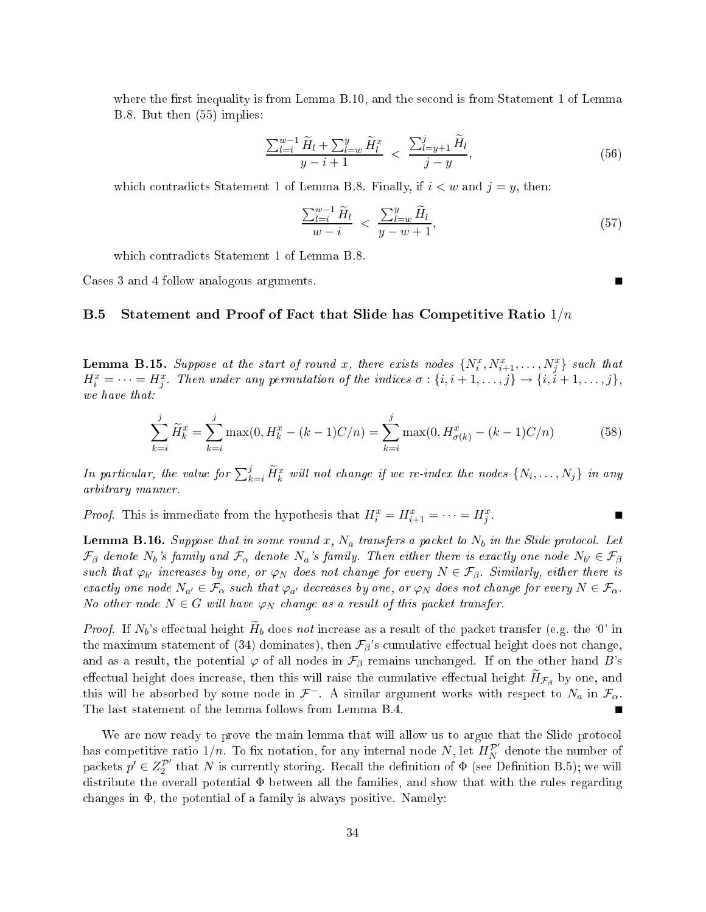where the first inequality is from Lemma  $B.10$ , and the second is from Statement 1 of Lemma B.8. But then (55) implies:

$$
\frac{\sum_{l=i}^{w-1} \widetilde{H}_l + \sum_{l=w}^{y} \widetilde{H}_l^x}{y - i + 1} < \frac{\sum_{l=y+1}^j \widetilde{H}_l}{j - y},\tag{56}
$$

which contradicts Statement 1 of Lemma B.8. Finally, if  $i < w$  and  $j = y$ , then:

$$
\frac{\sum_{l=i}^{w-1} \widetilde{H}_l}{w-i} < \frac{\sum_{l=w}^{y} \widetilde{H}_l}{y-w+1},\tag{57}
$$

which contradicts Statement 1 of Lemma B.8.

Cases 3 and 4 follow analogous arguments.

### **B.5** Statement and Proof of Fact that Slide has Competitive Ratio  $1/n$

**Lemma B.15.** Suppose at the start of round x, there exists nodes  $\{N_i^x, N_{i+1}^x, \ldots, N_j^x\}$  such that  $H_i^x=\cdots=H_j^x$  Then under any permutation of the indices  $\sigma:\{i,i+1,\ldots,j\}\rightarrow\{i,i+1,\ldots,j\},$ we have that:

$$
\sum_{k=i}^{j} \widetilde{H}_k^x = \sum_{k=i}^{j} \max(0, H_k^x - (k-1)C/n) = \sum_{k=i}^{j} \max(0, H_{\sigma(k)}^x - (k-1)C/n)
$$
(58)

In particular, the value for  $\sum_{k=i}^j \widetilde{H}_k^x$  will not change if we re-index the nodes  $\{N_i,\ldots,N_j\}$  in any arbitrary manner.

*Proof.* This is immediate from the hypothesis that  $H_i^x = H_{i+1}^x = \cdots = H_j^x$ .

**Lemma B.16.** Suppose that in some round x,  $N_a$  transfers a packet to  $N_b$  in the Slide protocol. Let  $\mathcal{F}_\beta$  denote  $N_b$ 's family and  $\mathcal{F}_\alpha$  denote  $N_a$ 's family. Then either there is exactly one node  $N_{b'}\in\mathcal{F}_\beta$ such that  $\varphi_{b'}$  increases by one, or  $\varphi_N$  does not change for every  $N \in \mathcal{F}_{\beta}$ . Similarly, either there is exactly one node  $N_{a'} \in \mathcal{F}_{\alpha}$  such that  $\varphi_{a'}$  decreases by one, or  $\varphi_N$  does not change for every  $N \in \mathcal{F}_{\alpha}$ . No other node  $N \in G$  will have  $\varphi_N$  change as a result of this packet transfer.

*Proof.* If  $N_b$ 's effectual height  $H_b$  does not increase as a result of the packet transfer (e.g. the '0' in the maximum statement of (34) dominates), then  $\mathcal{F}_{\beta}$ 's cumulative effectual height does not change, and as a result, the potential  $\varphi$  of all nodes in  $\mathcal{F}_{\beta}$  remains unchanged. If on the other hand B's effectual height does increase, then this will raise the cumulative effectual height  $H_{\mathcal{F}_{\beta}}$  by one, and this will be absorbed by some node in  $\mathcal{F}^-$ . A similar argument works with respect to  $N_a$  in  $\mathcal{F}_{\alpha}$ . The last statement of the lemma follows from Lemma B.4.

We are now ready to prove the main lemma that will allow us to argue that the Slide protocol has competitive ratio  $1/n$ . To fix notation, for any internal node N, let  $H_N^{\mathcal{P}'}$  denote the number of packets  $p' \in Z_2^{\mathcal{P}'}$  that N is currently storing. Recall the definition of  $\Phi$  (see Definition B.5); we will distribute the overall potential Φ between all the families, and show that with the rules regarding changes in  $\Phi$ , the potential of a family is always positive. Namely: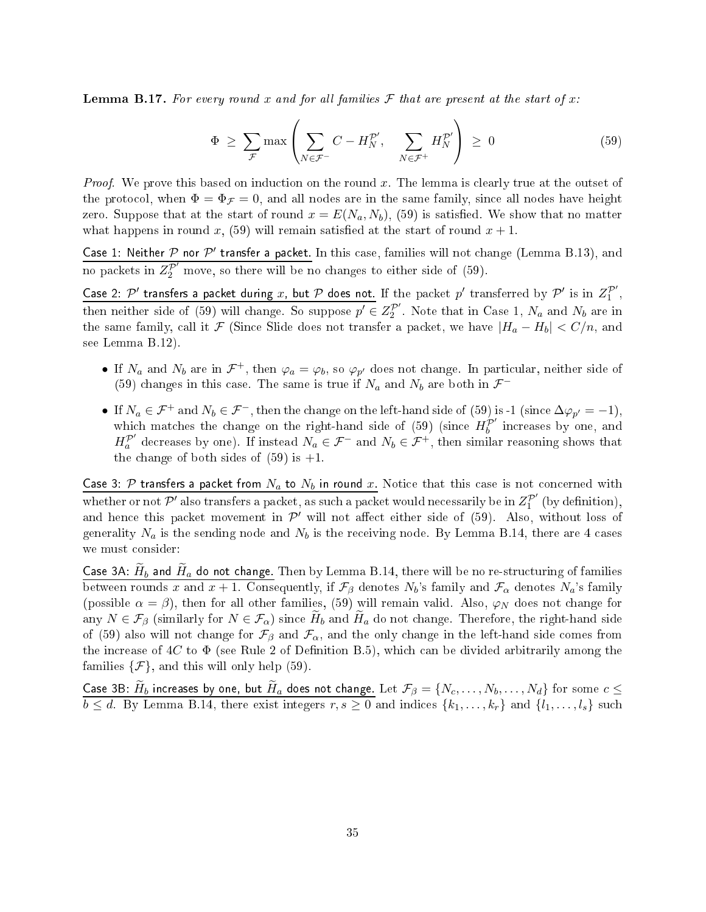**Lemma B.17.** For every round x and for all families F that are present at the start of x:

$$
\Phi \ge \sum_{\mathcal{F}} \max \left( \sum_{N \in \mathcal{F}^-} C - H_N^{\mathcal{P}'}, \sum_{N \in \mathcal{F}^+} H_N^{\mathcal{P}'} \right) \ge 0 \tag{59}
$$

*Proof.* We prove this based on induction on the round x. The lemma is clearly true at the outset of the protocol, when  $\Phi = \Phi_{\mathcal{F}} = 0$ , and all nodes are in the same family, since all nodes have height zero. Suppose that at the start of round  $x = E(N_a, N_b)$ , (59) is satisfied. We show that no matter what happens in round x, (59) will remain satisfied at the start of round  $x + 1$ .

Case 1: Neither  $P$  nor  $P'$  transfer a packet. In this case, families will not change (Lemma B.13), and no packets in  $Z_2^{P'}$  move, so there will be no changes to either side of (59).

Case 2:  $\mathcal{P}'$  transfers a packet during x, but  $\mathcal{P}$  does not. If the packet  $p'$  transferred by  $\mathcal{P}'$  is in  $Z_1^{\mathcal{P}'}$ , then neither side of (59) will change. So suppose  $p' \in Z_2^{\mathcal{P}'}$ . Note that in Case 1 the same family, call it F (Since Slide does not transfer a packet, we have  $|H_a - H_b| < C/n$ , and see Lemma B.12).

- If  $N_a$  and  $N_b$  are in  $\mathcal{F}^+$ , then  $\varphi_a = \varphi_b$ , so  $\varphi_{p'}$  does not change. In particular, neither side of (59) changes in this case. The same is true if  $N_a$  and  $N_b$  are both in  $\mathcal{F}^-$
- If  $N_a \in \mathcal{F}^+$  and  $N_b \in \mathcal{F}^-$ , then the change on the left-hand side of (59) is -1 (since  $\Delta \varphi_{p'} = -1$ ), which matches the change on the right-hand side of (59) (since  $H_b^{\mathcal{P}'}$  increases by one, and  $H_a^{\mathcal{P}'}$  decreases by one). If instead  $N_a \in \mathcal{F}^-$  and  $N_b \in \mathcal{F}^+$ , then similar reasoning shows that the change of both sides of  $(59)$  is  $+1$ .

Case 3: P transfers a packet from  $N_a$  to  $N_b$  in round x. Notice that this case is not concerned with whether or not  $\mathcal{P}'$  also transfers a packet, as such a packet would necessarily be in  $Z_1^{\mathcal{P}'}$  (by definition), and hence this packet movement in  $\mathcal{P}'$  will not affect either side of (59). Also, without loss of generality  $N_a$  is the sending node and  $N_b$  is the receiving node. By Lemma B.14, there are 4 cases we must consider:

Case 3A:  $H_b$  and  $H_a$  do not change. Then by Lemma B.14, there will be no re-structuring of families between rounds x and  $x + 1$ . Consequently, if  $\mathcal{F}_{\beta}$  denotes  $N_b$ 's family and  $\mathcal{F}_{\alpha}$  denotes  $N_a$ 's family (possible  $\alpha = \beta$ ), then for all other families, (59) will remain valid. Also,  $\varphi_N$  does not change for any  $N \in \mathcal{F}_{\beta}$  (similarly for  $N \in \mathcal{F}_{\alpha}$ ) since  $H_b$  and  $H_a$  do not change. Therefore, the right-hand side of (59) also will not change for  $\mathcal{F}_{\beta}$  and  $\mathcal{F}_{\alpha}$ , and the only change in the left-hand side comes from the increase of  $4C$  to  $\Phi$  (see Rule 2 of Definition B.5), which can be divided arbitrarily among the families  $\{\mathcal{F}\}\$ , and this will only help (59).

Case 3B:  $H_b$  increases by one, but  $H_a$  does not change. Let  $\mathcal{F}_\beta=\{N_c,\ldots,N_b,\ldots,N_d\}$  for some  $c\leq$  $b \leq d$ . By Lemma B.14, there exist integers  $r, s \geq 0$  and indices  $\{k_1, \ldots, k_r\}$  and  $\{l_1, \ldots, l_s\}$  such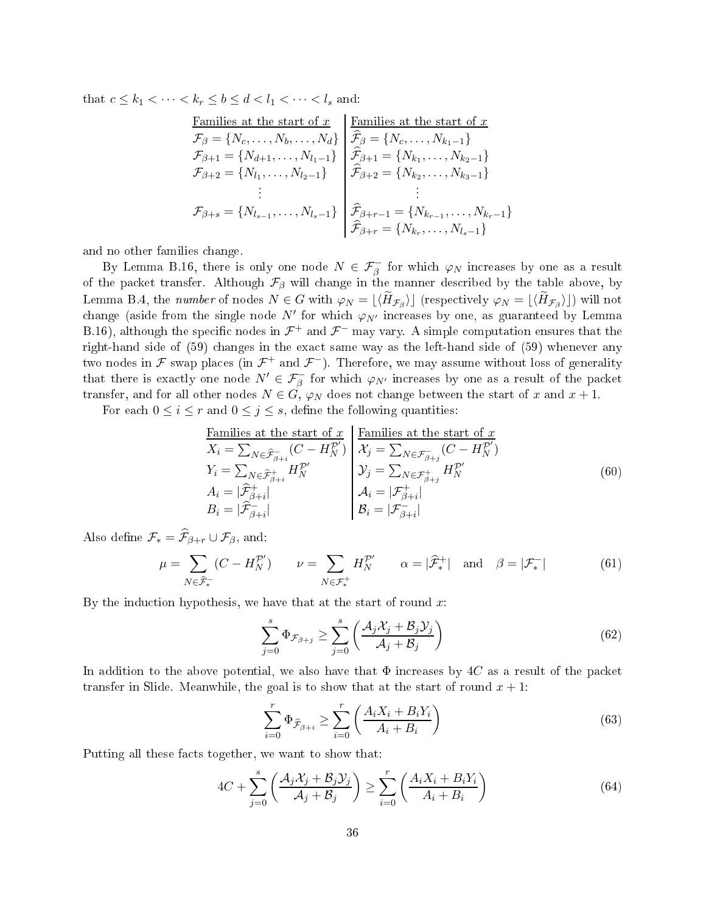that  $c \leq k_1 < \cdots < k_r \leq b \leq d < l_1 < \cdots < l_s$  and:

$$
\mathcal{F}_{\beta} = \{N_c, \ldots, N_b, \ldots, N_d\} \quad\n\begin{aligned}\n& \mathcal{F}_{\beta} = \{N_c, \ldots, N_b, \ldots, N_d\} \\
& \mathcal{F}_{\beta+1} = \{N_{d+1}, \ldots, N_{l_1-1}\} \\
& \mathcal{F}_{\beta+2} = \{N_{l_1}, \ldots, N_{l_2-1}\} \\
& \vdots \\
& \mathcal{F}_{\beta+s} = \{N_{l_{s-1}}, \ldots, N_{l_s-1}\} \\
& \mathcal{F}_{\beta+r-1} = \{N_{k_r}, \ldots, N_{k_3-1}\} \\
& \vdots \\
& \mathcal{F}_{\beta+r} = \{N_{k_r}, \ldots, N_{l_s-1}\}\n\end{aligned}
$$

and no other families change.

By Lemma B.16, there is only one node  $N \in \mathcal{F}^-_\beta$  for which  $\varphi_N$  increases by one as a result of the packet transfer. Although  $\mathcal{F}_{\beta}$  will change in the manner described by the table above, by Lemma B.4, the *number* of nodes  $N \in G$  with  $\varphi_N = \lfloor \langle H_{\mathcal{F}_{\beta}} \rangle \rfloor$  (respectively  $\varphi_N = \lfloor \langle H_{\mathcal{F}_{\beta}} \rangle \rfloor$ ) will not change (aside from the single node  $N'$  for which  $\varphi_{N'}$  increases by one, as guaranteed by Lemma B.16), although the specific nodes in  $\mathcal{F}^+$  and  $\mathcal{F}^-$  may vary. A simple computation ensures that the right-hand side of (59) changes in the exact same way as the left-hand side of (59) whenever any two nodes in  ${\cal F}$  swap places (in  ${\cal F}^+$  and  ${\cal F}^-$ ). Therefore, we may assume without loss of generality that there is exactly one node  $N' \in \mathcal{F}_{\beta}^-$  for which  $\varphi_{N'}$  increases by one as a result of the packet transfer, and for all other nodes  $N \in G$ ,  $\varphi_N$  does not change between the start of x and  $x + 1$ .

For each  $0 \le i \le r$  and  $0 \le j \le s$ , define the following quantities:

Families at the start of x Families at the start of x X<sup>i</sup> = P <sup>N</sup>∈Fb<sup>−</sup> β+i (C − HP<sup>0</sup> <sup>N</sup> ) X<sup>j</sup> = P N∈F<sup>−</sup> β+j (C − HP<sup>0</sup> <sup>N</sup> ) Y<sup>i</sup> = P <sup>N</sup>∈Fb<sup>+</sup> β+i HP<sup>0</sup> <sup>N</sup> Y<sup>j</sup> = P N∈F<sup>+</sup> β+j HP<sup>0</sup> N <sup>A</sup><sup>i</sup> <sup>=</sup> |Fb<sup>+</sup> β+i | A<sup>i</sup> = |F<sup>+</sup> β+i | <sup>B</sup><sup>i</sup> <sup>=</sup> |Fb<sup>−</sup> β+i | B<sup>i</sup> = |F<sup>−</sup> β+i | (60)

Also define  $\mathcal{F}_* = \mathcal{F}_{\beta+r} \cup \mathcal{F}_{\beta}$ , and:

$$
\mu = \sum_{N \in \hat{\mathcal{F}}_*^-} (C - H_N^{\mathcal{P}'}) \qquad \nu = \sum_{N \in \mathcal{F}_*^+} H_N^{\mathcal{P}'} \qquad \alpha = |\hat{\mathcal{F}}_*^+| \quad \text{and} \quad \beta = |\mathcal{F}_*^-| \tag{61}
$$

By the induction hypothesis, we have that at the start of round  $x$ :

$$
\sum_{j=0}^{s} \Phi_{\mathcal{F}_{\beta+j}} \ge \sum_{j=0}^{s} \left( \frac{\mathcal{A}_j \mathcal{X}_j + \mathcal{B}_j \mathcal{Y}_j}{\mathcal{A}_j + \mathcal{B}_j} \right)
$$
(62)

In addition to the above potential, we also have that  $\Phi$  increases by  $4C$  as a result of the packet transfer in Slide. Meanwhile, the goal is to show that at the start of round  $x + 1$ :

$$
\sum_{i=0}^{r} \Phi_{\widehat{\mathcal{F}}_{\beta+i}} \ge \sum_{i=0}^{r} \left( \frac{A_i X_i + B_i Y_i}{A_i + B_i} \right) \tag{63}
$$

Putting all these facts together, we want to show that:

$$
4C + \sum_{j=0}^{s} \left( \frac{A_j X_j + B_j Y_j}{A_j + B_j} \right) \ge \sum_{i=0}^{r} \left( \frac{A_i X_i + B_i Y_i}{A_i + B_i} \right) \tag{64}
$$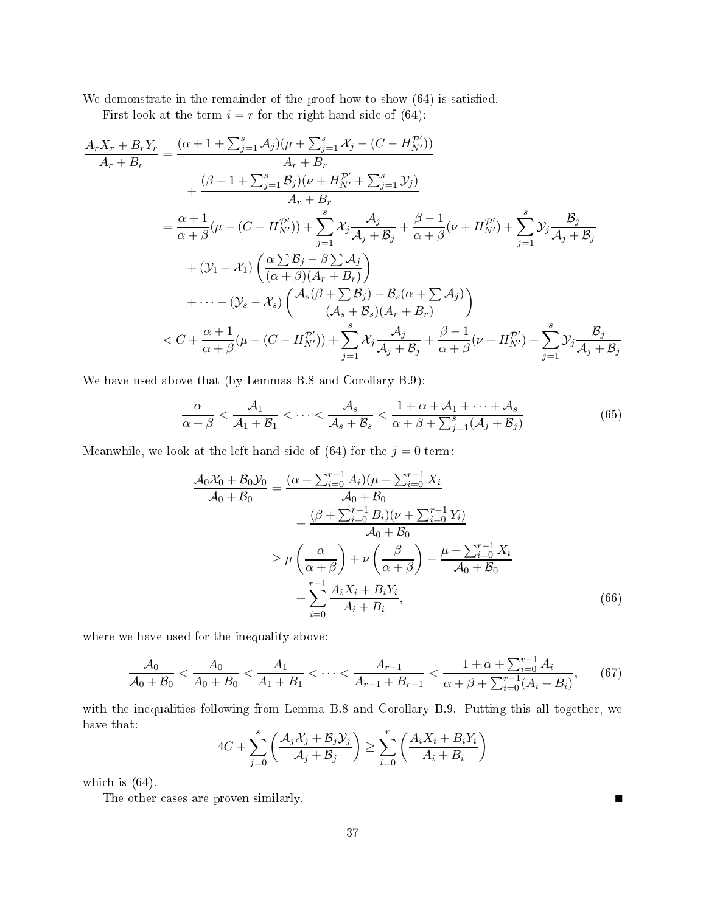We demonstrate in the remainder of the proof how to show  $(64)$  is satisfied.

First look at the term  $i = r$  for the right-hand side of (64):

$$
\frac{A_r X_r + B_r Y_r}{A_r + B_r} = \frac{(\alpha + 1 + \sum_{j=1}^s A_j)(\mu + \sum_{j=1}^s X_j - (C - H_{N'}^{p'}))}{A_r + B_r} \n+ \frac{(\beta - 1 + \sum_{j=1}^s B_j)(\nu + H_{N'}^{p'} + \sum_{j=1}^s Y_j)}{A_r + B_r} \n= \frac{\alpha + 1}{\alpha + \beta}(\mu - (C - H_{N'}^{p'})) + \sum_{j=1}^s X_j \frac{A_j}{A_j + B_j} + \frac{\beta - 1}{\alpha + \beta}(\nu + H_{N'}^{p'}) + \sum_{j=1}^s Y_j \frac{B_j}{A_j + B_j} \n+ (y_1 - X_1) \left( \frac{\alpha \sum B_j - \beta \sum A_j}{(\alpha + \beta)(A_r + B_r)} \right) \n+ \dots + (y_s - X_s) \left( \frac{A_s(\beta + \sum B_j) - B_s(\alpha + \sum A_j)}{(A_s + B_s)(A_r + B_r)} \right) \n< C + \frac{\alpha + 1}{\alpha + \beta}(\mu - (C - H_{N'}^{p'})) + \sum_{j=1}^s X_j \frac{A_j}{A_j + B_j} + \frac{\beta - 1}{\alpha + \beta}(\nu + H_{N'}^{p'}) + \sum_{j=1}^s Y_j \frac{B_j}{A_j + B_j}
$$

We have used above that (by Lemmas B.8 and Corollary B.9):

$$
\frac{\alpha}{\alpha+\beta} < \frac{\mathcal{A}_1}{\mathcal{A}_1+\mathcal{B}_1} < \cdots < \frac{\mathcal{A}_s}{\mathcal{A}_s+\mathcal{B}_s} < \frac{1+\alpha+\mathcal{A}_1+\cdots+\mathcal{A}_s}{\alpha+\beta+\sum_{j=1}^s(\mathcal{A}_j+\mathcal{B}_j)}\tag{65}
$$

Meanwhile, we look at the left-hand side of (64) for the  $j = 0$  term:

$$
\frac{\mathcal{A}_0 \mathcal{X}_0 + \mathcal{B}_0 \mathcal{Y}_0}{\mathcal{A}_0 + \mathcal{B}_0} = \frac{(\alpha + \sum_{i=0}^{r-1} A_i)(\mu + \sum_{i=0}^{r-1} X_i)}{\mathcal{A}_0 + \mathcal{B}_0} \n+ \frac{(\beta + \sum_{i=0}^{r-1} B_i)(\nu + \sum_{i=0}^{r-1} Y_i)}{\mathcal{A}_0 + \mathcal{B}_0} \n\ge \mu \left(\frac{\alpha}{\alpha + \beta}\right) + \nu \left(\frac{\beta}{\alpha + \beta}\right) - \frac{\mu + \sum_{i=0}^{r-1} X_i}{\mathcal{A}_0 + \mathcal{B}_0} \n+ \sum_{i=0}^{r-1} \frac{A_i X_i + B_i Y_i}{A_i + B_i},
$$
\n(66)

where we have used for the inequality above:

$$
\frac{\mathcal{A}_0}{\mathcal{A}_0 + \mathcal{B}_0} < \frac{A_0}{A_0 + B_0} < \frac{A_1}{A_1 + B_1} < \dots < \frac{A_{r-1}}{A_{r-1} + B_{r-1}} < \frac{1 + \alpha + \sum_{i=0}^{r-1} A_i}{\alpha + \beta + \sum_{i=0}^{r-1} (A_i + B_i)},\tag{67}
$$

with the inequalities following from Lemma B.8 and Corollary B.9. Putting this all together, we have that:

$$
4C + \sum_{j=0}^{s} \left( \frac{\mathcal{A}_j \mathcal{X}_j + \mathcal{B}_j \mathcal{Y}_j}{\mathcal{A}_j + \mathcal{B}_j} \right) \ge \sum_{i=0}^{r} \left( \frac{A_i X_i + B_i Y_i}{A_i + B_i} \right)
$$

which is (64).

The other cases are proven similarly.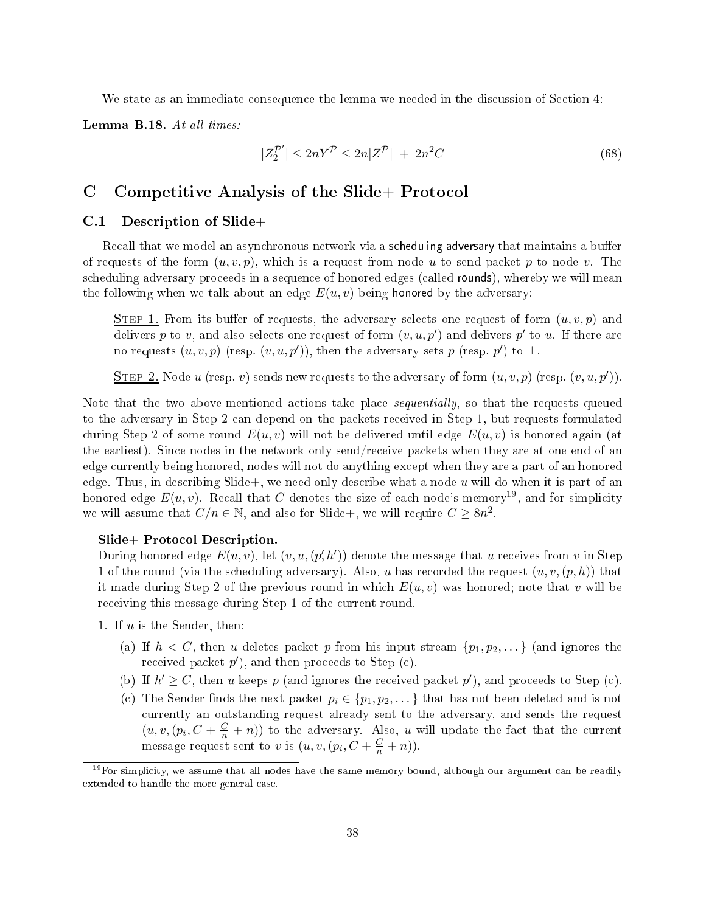We state as an immediate consequence the lemma we needed in the discussion of Section 4:

Lemma B.18.  $At$  all times:

$$
|Z_2^{\mathcal{P}'}| \le 2nY^{\mathcal{P}} \le 2n|Z^{\mathcal{P}}| + 2n^2C \tag{68}
$$

# <sup>C</sup> Competitive Analysis of the Slide+ Protocol

## C.1 Description of Slide+

Recall that we model an asynchronous network via a scheduling adversary that maintains a buffer of requests of the form  $(u, v, p)$ , which is a request from node u to send packet p to node v. The scheduling adversary proceeds in a sequence of honored edges (called rounds), whereby we will mean the following when we talk about an edge  $E(u, v)$  being honored by the adversary:

STEP 1. From its buffer of requests, the adversary selects one request of form  $(u, v, p)$  and delivers p to v, and also selects one request of form  $(v, u, p')$  and delivers p' to u. If there are no requests  $(u, v, p)$  (resp.  $(v, u, p'))$ , then the adversary sets  $p$  (resp.  $p'$ ) to  $\bot$ .

STEP 2. Node u (resp. v) sends new requests to the adversary of form  $(u, v, p)$  (resp.  $(v, u, p')$ ).

Note that the two above-mentioned actions take place *sequentially*, so that the requests queued to the adversary in Step 2 can depend on the packets received in Step 1, but requests formulated during Step 2 of some round  $E(u, v)$  will not be delivered until edge  $E(u, v)$  is honored again (at the earliest). Since nodes in the network only send/receive packets when they are at one end of an edge currently being honored, nodes will not do anything except when they are a part of an honored edge. Thus, in describing  $\text{Side} +$ , we need only describe what a node u will do when it is part of an honored edge  $E(u, v)$ . Recall that  $C$  denotes the size of each node's memory<sup>19</sup>, and for simplicity we will assume that  $C/n \in \mathbb{N}$ , and also for Slide+, we will require  $C \geq 8n^2$ .

# Slide+ Protocol Description.

During honored edge  $E(u, v)$ , let  $(v, u, (p, h'))$  denote the message that u receives from v in Step 1 of the round (via the scheduling adversary). Also, u has recorded the request  $(u, v, (p, h))$  that it made during Step 2 of the previous round in which  $E(u, v)$  was honored; note that v will be receiving this message during Step 1 of the current round.

- 1. If  $u$  is the Sender, then:
	- (a) If  $h < C$ , then u deletes packet p from his input stream  $\{p_1, p_2, \ldots\}$  (and ignores the received packet  $p'$ , and then proceeds to Step  $(c)$ .
	- (b) If  $h' \geq C$ , then u keeps p (and ignores the received packet p'), and proceeds to Step (c).
	- (c) The Sender finds the next packet  $p_i \in \{p_1, p_2, \dots\}$  that has not been deleted and is not currently an outstanding request already sent to the adversary, and sends the request  $(u, v, (p_i, C + \frac{C}{n} + n))$  to the adversary. Also, u will update the fact that the current message request sent to v is  $(u, v, (p_i, C + \frac{C}{n} + n)).$

 $^{19}$ For simplicity, we assume that all nodes have the same memory bound, although our argument can be readily extended to handle the more general case.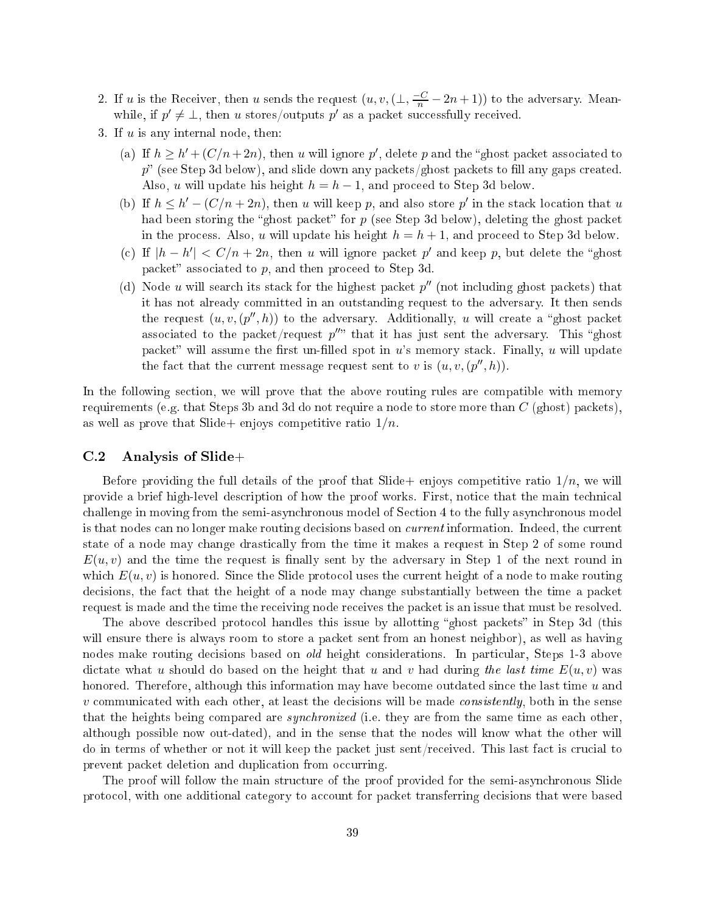- 2. If u is the Receiver, then u sends the request  $(u, v, (\perp, \frac{-C}{n} 2n + 1))$  to the adversary. Meanwhile, if  $p' \neq \bot$ , then u stores/outputs p' as a packet successfully received.
- 3. If  $u$  is any internal node, then:
	- (a) If  $h \ge h' + (C/n + 2n)$ , then u will ignore p', delete p and the "ghost packet associated to  $p^{\prime\prime}$  (see Step 3d below), and slide down any packets/ghost packets to fill any gaps created. Also, u will update his height  $h = h - 1$ , and proceed to Step 3d below.
	- (b) If  $h \leq h' (C/n + 2n)$ , then u will keep p, and also store p' in the stack location that u had been storing the "ghost packet" for  $p$  (see Step 3d below), deleting the ghost packet in the process. Also, u will update his height  $h = h + 1$ , and proceed to Step 3d below.
	- (c) If  $|h h'| < C/n + 2n$ , then u will ignore packet p' and keep p, but delete the "ghost" packet" associated to  $p$ , and then proceed to Step 3d.
	- (d) Node u will search its stack for the highest packet  $p''$  (not including ghost packets) that it has not already committed in an outstanding request to the adversary. It then sends the request  $(u, v, (p'', h))$  to the adversary. Additionally, u will create a "ghost packet" associated to the packet/request  $p^{\prime\prime\prime\prime}$  that it has just sent the adversary. This "ghost packet" will assume the first un-filled spot in u's memory stack. Finally, u will update the fact that the current message request sent to v is  $(u, v, (p'', h))$ .

In the following section, we will prove that the above routing rules are compatible with memory requirements (e.g. that Steps 3b and 3d do not require a node to store more than  $C$  (ghost) packets), as well as prove that Slide+ enjoys competitive ratio  $1/n$ .

#### C.2 Analysis of Slide+

Before providing the full details of the proof that Slide+ enjoys competitive ratio  $1/n$ , we will provide a brief high-level description of how the proof works. First, notice that the main technical challenge in moving from the semi-asynchronous model of Section 4 to the fully asynchronous model is that nodes can no longer make routing decisions based on *current* information. Indeed, the current state of a node may change drastically from the time it makes a request in Step 2 of some round  $E(u, v)$  and the time the request is finally sent by the adversary in Step 1 of the next round in which  $E(u, v)$  is honored. Since the Slide protocol uses the current height of a node to make routing decisions, the fact that the height of a node may change substantially between the time a packet request is made and the time the receiving node receives the packet is an issue that must be resolved.

The above described protocol handles this issue by allotting "ghost packets" in Step 3d (this will ensure there is always room to store a packet sent from an honest neighbor), as well as having nodes make routing decisions based on *old* height considerations. In particular, Steps 1-3 above dictate what u should do based on the height that u and v had during the last time  $E(u, v)$  was honored. Therefore, although this information may have become outdated since the last time  $u$  and  $v$  communicated with each other, at least the decisions will be made *consistently*, both in the sense that the heights being compared are *synchronized* (i.e. they are from the same time as each other, although possible now out-dated), and in the sense that the nodes will know what the other will do in terms of whether or not it will keep the packet just sent/received. This last fact is crucial to prevent packet deletion and duplication from occurring.

The proof will follow the main structure of the proof provided for the semi-asynchronous Slide protocol, with one additional category to account for packet transferring decisions that were based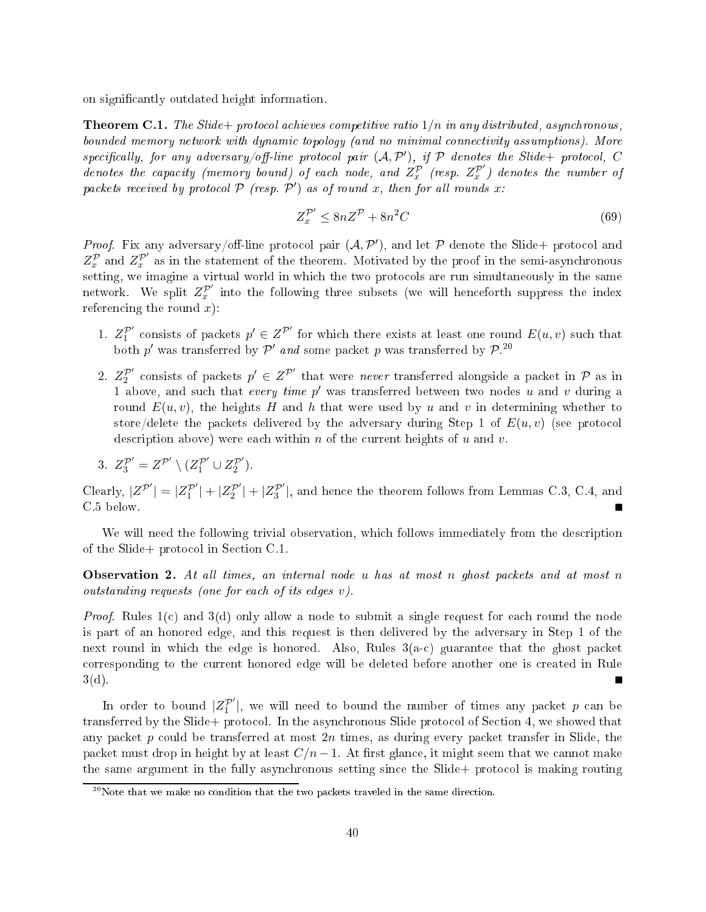on signicantly outdated height information.

**Theorem C.1.** The Slide+ protocol achieves competitive ratio  $1/n$  in any distributed, asynchronous, bounded memory network with dynamic topology (and no minimal connectivity assumptions). More specifically, for any adversary/off-line protocol pair  $(A, \mathcal{P}'),$  if  $\mathcal P$  denotes the Slide+ protocol, C denotes the capacity (memory bound) of each node, and  $Z_x^{\mathcal{P}}$  (resp.  $Z_x^{\mathcal{P}'}$ ) denotes the number of packets received by protocol  $P$  (resp.  $P'$ ) as of round x, then for all rounds x:

$$
Z_x^{\mathcal{P}'} \le 8nZ^{\mathcal{P}} + 8n^2C\tag{69}
$$

*Proof.* Fix any adversary/off-line protocol pair  $(A, \mathcal{P}')$ , and let  $\mathcal P$  denote the Slide+ protocol and  $Z_x^{\mathcal{P}}$  and  $Z_x^{\mathcal{P}'}$  as in the statement of the theorem. Motivated by the proof in the semi-asynchronous setting, we imagine a virtual world in which the two protocols are run simultaneously in the same network. We split  $Z_x^{\mathcal{P}'}$  into the following three subsets (we will henceforth suppress the index referencing the round  $x$ ):

- 1.  $Z_1^{\mathcal{P}'}$  consists of packets  $p' \in Z^{\mathcal{P}'}$  for which there exists at least one round  $E(u, v)$  such that both p' was transferred by  $\mathcal{P}'$  and some packet p was transferred by  $\mathcal{P}^{20}$
- 2.  $Z_2^{\mathcal{P}'}$  consists of packets  $p' \in Z^{\mathcal{P}'}$  that were *never* transferred alongside a packet in  $\mathcal P$  as in 1 above, and such that every time  $p'$  was transferred between two nodes u and v during a round  $E(u, v)$ , the heights H and h that were used by u and v in determining whether to store/delete the packets delivered by the adversary during Step 1 of  $E(u, v)$  (see protocol description above) were each within n of the current heights of u and v.
- 3.  $Z_3^{\mathcal{P}'} = Z^{\mathcal{P}'} \setminus (Z_1^{\mathcal{P}'} \cup Z_2^{\mathcal{P}'}).$

Clearly,  $|Z^{\mathcal{P}'}|=|Z_1^{\mathcal{P}'}|+|Z_2^{\mathcal{P}'}|+|Z_3^{\mathcal{P}'}|$ , and hence the theorem follows from Lemmas C.3, C.4, and C.5 below.

We will need the following trivial observation, which follows immediately from the description of the Slide+ protocol in Section C.1.

**Observation 2.** At all times, an internal node u has at most n ghost packets and at most n outstanding requests (one for each of its edges v).

*Proof.* Rules  $1(c)$  and  $3(d)$  only allow a node to submit a single request for each round the node is part of an honored edge, and this request is then delivered by the adversary in Step 1 of the next round in which the edge is honored. Also, Rules  $3(a-c)$  guarantee that the ghost packet corresponding to the current honored edge will be deleted before another one is created in Rule  $3(d)$ .

In order to bound  $|Z_1^{\mathcal{P}'}|$ , we will need to bound the number of times any packet  $p$  can be transferred by the Slide+ protocol. In the asynchronous Slide protocol of Section 4, we showed that any packet p could be transferred at most  $2n$  times, as during every packet transfer in Slide, the packet must drop in height by at least  $C/n - 1$ . At first glance, it might seem that we cannot make the same argument in the fully asynchronous setting since the Slide+ protocol is making routing

 $^{20}$ Note that we make no condition that the two packets traveled in the same direction.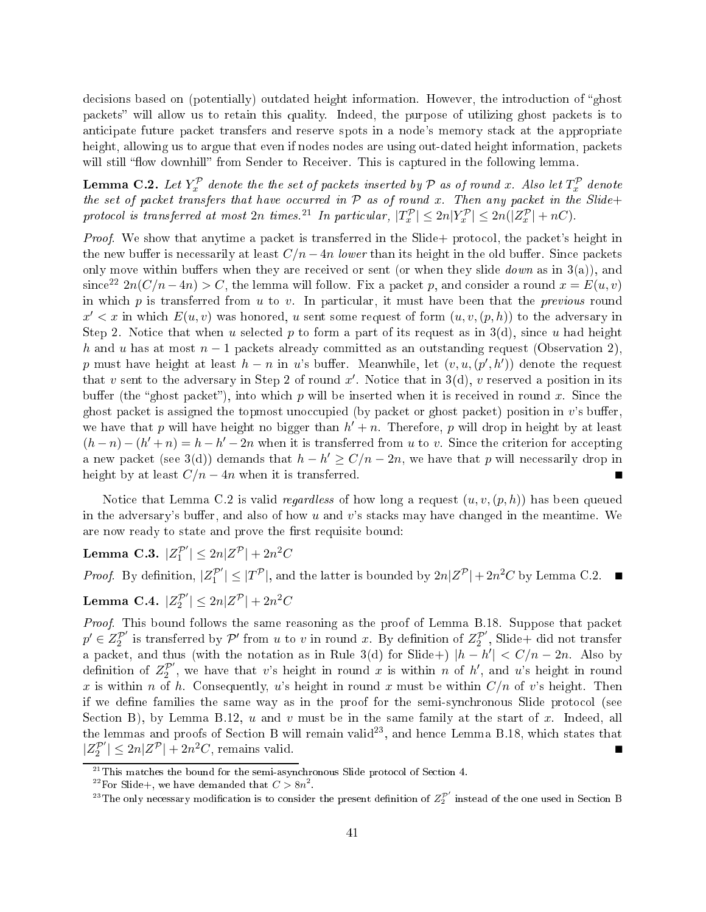decisions based on (potentially) outdated height information. However, the introduction of "ghost" packets" will allow us to retain this quality. Indeed, the purpose of utilizing ghost packets is to anticipate future packet transfers and reserve spots in a node's memory stack at the appropriate height, allowing us to argue that even if nodes nodes are using out-dated height information, packets will still "flow downhill" from Sender to Receiver. This is captured in the following lemma.

**Lemma C.2.** Let  $Y_x^{\mathcal{P}}$  denote the the set of packets inserted by  $\mathcal{P}$  as of round x. Also let  $T_x^{\mathcal{P}}$  denote the set of packet transfers that have occurred in  $P$  as of round x. Then any packet in the Slide+ protocol is transferred at most  $2n$  times.<sup>21</sup> In particular,  $|T_x^{\mathcal{P}}| \leq 2n|Y_x^{\mathcal{P}}| \leq 2n(|Z_x^{\mathcal{P}}| + nC)$ .

Proof. We show that anytime a packet is transferred in the Slide+ protocol, the packet's height in the new buffer is necessarily at least  $C/n - 4n$  lower than its height in the old buffer. Since packets only move within buffers when they are received or sent (or when they slide *down* as in  $3(a)$ ), and since<sup>22</sup> 2n(C/n – 4n) > C, the lemma will follow. Fix a packet p, and consider a round  $x = E(u, v)$ in which  $p$  is transferred from  $u$  to  $v$ . In particular, it must have been that the *previous* round  $x' < x$  in which  $E(u, v)$  was honored, u sent some request of form  $(u, v, (p, h))$  to the adversary in Step 2. Notice that when u selected p to form a part of its request as in  $3(d)$ , since u had height h and u has at most  $n-1$  packets already committed as an outstanding request (Observation 2). p must have height at least  $h - n$  in u's buffer. Meanwhile, let  $(v, u, (p', h'))$  denote the request that v sent to the adversary in Step 2 of round  $x'$ . Notice that in 3(d), v reserved a position in its buffer (the "ghost packet"), into which p will be inserted when it is received in round x. Since the ghost packet is assigned the topmost unoccupied (by packet or ghost packet) position in  $v$ 's buffer. we have that p will have height no bigger than  $h' + n$ . Therefore, p will drop in height by at least  $(h-n) - (h'+n) = h - h' - 2n$  when it is transferred from u to v. Since the criterion for accepting a new packet (see 3(d)) demands that  $h - h' \ge C/n - 2n$ , we have that p will necessarily drop in height by at least  $C/n - 4n$  when it is transferred.

Notice that Lemma C.2 is valid regardless of how long a request  $(u, v, (p, h))$  has been queued in the adversary's buffer, and also of how  $u$  and  $v$ 's stacks may have changed in the meantime. We are now ready to state and prove the first requisite bound:

Lemma C.3.  $|Z_1^{\mathcal{P}'}| \le 2n |Z^{\mathcal{P}}| + 2n^2C$ 

*Proof.* By definition,  $|Z_1^{\mathcal{P}'}| \leq |T^{\mathcal{P}}|$ , and the latter is bounded by  $2n|Z^{\mathcal{P}}| + 2n^2C$  by Lemma C.2.

Lemma C.4.  $|Z_{2}^{\mathcal{P}}| \leq 2n |Z^{\mathcal{P}}| + 2n^{2}C$ 

Proof. This bound follows the same reasoning as the proof of Lemma B.18. Suppose that packet  $p' \in Z_2^{\mathcal{P}'}$  is transferred by  $\mathcal{P}'$  from u to v in round x. By definition of  $Z_2^{\mathcal{P}'}$ , Slide+ did not transfer a packet, and thus (with the notation as in Rule 3(d) for Slide+)  $|h - h'| < C/n - 2n$ . Also by definition of  $Z_2^{\mathcal{P}'}$ , we have that v's height in round x is within n of h', and u's height in round x is within n of h. Consequently, u's height in round x must be within  $C/n$  of v's height. Then if we define families the same way as in the proof for the semi-synchronous Slide protocol (see Section B), by Lemma B.12, u and v must be in the same family at the start of x. Indeed, all the lemmas and proofs of Section B will remain valid , and hence Lemma B.18, which states that  $|Z_2^{\mathcal{P}'}| \le 2n|Z^{\mathcal{P}}| + 2n^2C$ , remains valid.

 $^{21}$ This matches the bound for the semi-asynchronous Slide protocol of Section 4.

<sup>&</sup>lt;sup>22</sup>For Slide+, we have demanded that  $C > 8n^2$ .

 $^{23}$ The only necessary modification is to consider the present definition of  $Z_2^{\mathcal{P}'}$  instead of the one used in Section B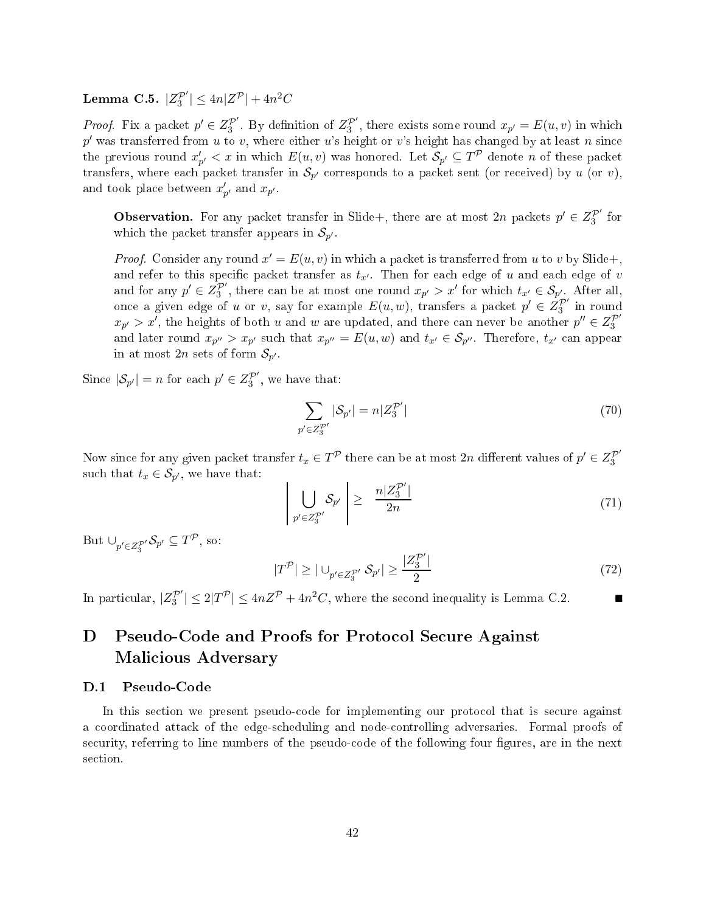Lemma C.5.  $|Z_3^{\mathcal{P}'}| \le 4n |Z^{\mathcal{P}}| + 4n^2C$ 

*Proof.* Fix a packet  $p' \in Z_3^{\mathcal{P}'}$ . By definition of  $Z_3^{\mathcal{P}'}$ , there exists some round  $x_{p'} = E(u, v)$  in which  $p'$  was transferred from  $u$  to  $v,$  where either  $u$ 's height or  $v$ 's height has changed by at least  $n$  since the previous round  $x'_{p'} < x$  in which  $E(u, v)$  was honored. Let  $\mathcal{S}_{p'} \subseteq T^{\mathcal{P}}$  denote n of these packet transfers, where each packet transfer in  $\mathcal{S}_{p'}$  corresponds to a packet sent (or received) by  $u$  (or  $v$ ), and took place between  $x'_{p'}$  and  $x_{p'}$ .

**Observation.** For any packet transfer in Slide+, there are at most 2n packets  $p' \in Z_3^{\mathcal{P}'}$  for which the packet transfer appears in  $\mathcal{S}_{p'}$ .

*Proof.* Consider any round  $x' = E(u, v)$  in which a packet is transferred from u to v by Slide+, and refer to this specific packet transfer as  $t_{x}$ . Then for each edge of u and each edge of v and for any  $p' \in \mathbb{Z}_3^{\mathcal{P}'}$ , there can be at most one round  $x_{p'} > x'$  for which  $t_{x'} \in \mathcal{S}_{p'}.$  After all, once a given edge of u or v, say for example  $E(u, w)$ , transfers a packet  $p' \in \overline{Z_3}^{p'}$  in round  $x_{p'} > x'$ , the heights of both u and w are updated, and there can never be another  $p'' \in Z_3^{\mathcal{P}'}$ and later round  $x_{p''} > x_{p'}$  such that  $x_{p''} = E(u,w)$  and  $t_{x'} \in \mathcal{S}_{p''}$ . Therefore,  $t_{x'}$  can appear in at most  $2n$  sets of form  $\mathcal{S}_{p'}$ .

Since  $|\mathcal{S}_{p'}| = n$  for each  $p' \in Z_3^{\mathcal{P}'}$ , we have that:

$$
\sum_{p' \in Z_3^{P'}} |\mathcal{S}_{p'}| = n |Z_3^{P'}| \tag{70}
$$

Now since for any given packet transfer  $t_x \in T^{\mathcal{P}}$  there can be at most  $2n$  different values of  $p' \in Z_3^{\mathcal{P}'}$ such that  $t_x \in \mathcal{S}_{p'}$ , we have that:

$$
\left| \bigcup_{p' \in Z_3^{P'}} \mathcal{S}_{p'} \right| \geq \frac{n | Z_3^{P'}|}{2n} \tag{71}
$$

But  $\cup_{p' \in Z_3^{\mathcal{P}'}} \mathcal{S}_{p'} \subseteq T^{\mathcal{P}},$  so:

$$
|T^{\mathcal{P}}| \geq |\cup_{p' \in Z_3^{\mathcal{P}'}} \mathcal{S}_{p'}| \geq \frac{|Z_3^{\mathcal{P}'}|}{2} \tag{72}
$$

In particular,  $|Z_3^{\mathcal{P}'}| \leq 2|T^{\mathcal{P}}| \leq 4nZ^{\mathcal{P}} + 4n^2C$ , where the second inequality is Lemma C.2.

#### D Pseudo-Code and Proofs for Protocol Secure Against D Malicious Adversary

# D.1 Pseudo-Code

In this section we present pseudo-code for implementing our protocol that is secure against a coordinated attack of the edge-scheduling and node-controlling adversaries. Formal proofs of security, referring to line numbers of the pseudo-code of the following four figures, are in the next section.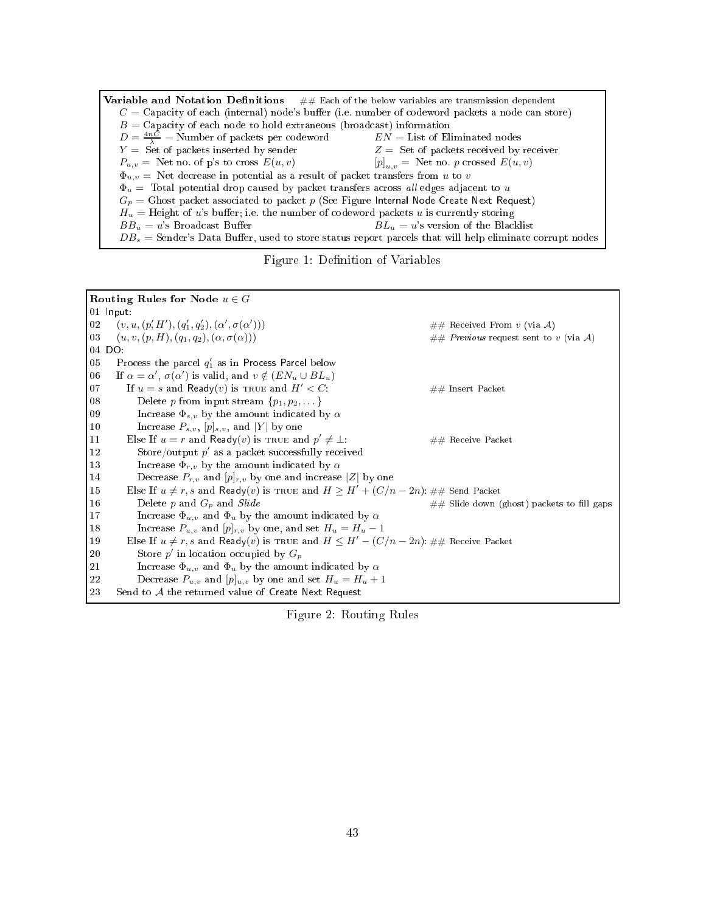Variable and Notation Definitions  $\#\#\text{ Each of the below variables are transmission dependent}$  $C =$  Capacity of each (internal) node's buffer (i.e. number of codeword packets a node can store)  $B =$  Capacity of each node to hold extraneous (broadcast) information  $D = \frac{4nC}{\lambda} =$  Number of packets per codeword  $EN =$  List of Eliminated nodes  $Y = \text{Set of packets inserted by sender}$   $Z = \text{Set of packets received by receiver}$  $P_{u,v} = \text{Net no. of } \mathbf{p} \text{'s to cross } E(u, v)$  [p]<sub>u,v</sub> = Net no. p crossed  $E(u, v)$  $\Phi_{u,v}$  = Net decrease in potential as a result of packet transfers from u to v  $\Phi_u$  = Total potential drop caused by packet transfers across all edges adjacent to u  $G_p =$  Ghost packet associated to packet p (See Figure Internal Node Create Next Request)  $H_u =$  Height of u's buffer; i.e. the number of codeword packets u is currently storing  $BB_u = u$ 's Broadcast Buffer Blacklist But  $BL_u = u$ 's version of the Blacklist  $DB_s =$  Sender's Data Buffer, used to store status report parcels that will help eliminate corrupt nodes



| Routing Rules for Node $u \in G$ |                                                                                              |                                                |
|----------------------------------|----------------------------------------------------------------------------------------------|------------------------------------------------|
| $01$ Input:                      |                                                                                              |                                                |
| $02\,$                           | $(v, u, (p, H'), (q_1', q_2'), (\alpha', \sigma(\alpha'))$                                   | ## Received From v (via A)                     |
| 03                               | $(u, v, (p, H), (q_1, q_2), (\alpha, \sigma(\alpha)))$                                       | ## Previous request sent to v (via A)          |
| $04$ DO:                         |                                                                                              |                                                |
| 05                               | Process the parcel $q'_1$ as in Process Parcel below                                         |                                                |
| 06                               | If $\alpha = \alpha'$ , $\sigma(\alpha')$ is valid, and $v \notin (EN_u \cup BL_u)$          |                                                |
| 07                               | If $u = s$ and Ready(v) is TRUE and $H' < C$ :                                               | $##$ Insert Packet                             |
| 08                               | Delete p from input stream $\{p_1, p_2, \dots\}$                                             |                                                |
| 09                               | Increase $\Phi_{s,v}$ by the amount indicated by $\alpha$                                    |                                                |
| $10\,$                           | Increase $P_{s,v}$ , $[p]_{s,v}$ , and $ Y $ by one                                          |                                                |
| 11                               | Else If $u = r$ and Ready(v) is TRUE and $p' \neq \bot$ :                                    | $##$ Receive Packet                            |
| 12                               | Store/output $p'$ as a packet successfully received                                          |                                                |
| 13                               | Increase $\Phi_{r,v}$ by the amount indicated by $\alpha$                                    |                                                |
| 14                               | Decrease $P_{r,v}$ and $[p]_{r,v}$ by one and increase  Z  by one                            |                                                |
| 15                               | Else If $u \neq r$ , s and Ready(v) is TRUE and $H \geq H' + (C/n - 2n)$ : ## Send Packet    |                                                |
| 16                               | Delete p and $G_p$ and Slide                                                                 | $\#\#$ Slide down (ghost) packets to fill gaps |
| 17                               | Increase $\Phi_{u,v}$ and $\Phi_u$ by the amount indicated by $\alpha$                       |                                                |
| 18                               | Increase $P_{u,v}$ and $[p]_{r,v}$ by one, and set $H_u = H_u - 1$                           |                                                |
| 19                               | Else If $u \neq r$ , s and Ready(v) is TRUE and $H \leq H' - (C/n - 2n)$ : ## Receive Packet |                                                |
| 20                               | Store p' in location occupied by $G_n$                                                       |                                                |
| 21                               | Increase $\Phi_{u,v}$ and $\Phi_u$ by the amount indicated by $\alpha$                       |                                                |
| 22                               | Decrease $P_{u,v}$ and $[p]_{u,v}$ by one and set $H_u = H_u + 1$                            |                                                |
| 23                               | Send to $A$ the returned value of Create Next Request                                        |                                                |

Figure 2: Routing Rules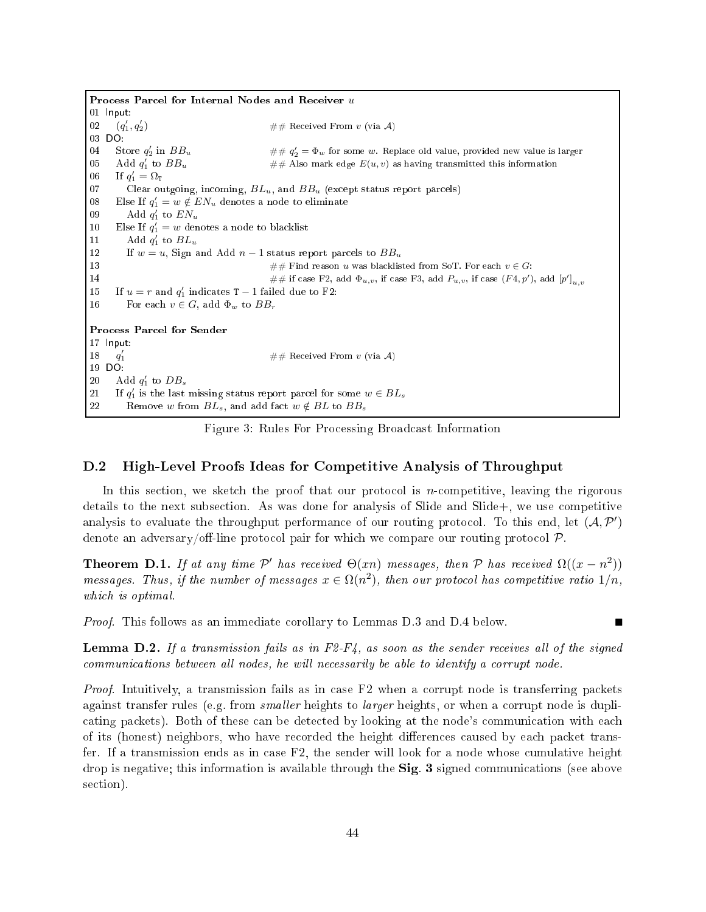Process Parcel for Internal Nodes and Receiver  $\it u$ 01 Input:  $02<sub>l</sub>$  $y'_1, q'_2$ ## Received From v (via A) 03 DO: 04 Store  $q_2'$  in  $BB_u$  ##  $q$  $\mathcal{Q}'_2 = \Phi_w$  for some w. Replace old value, provided new value is larger  $05$  Add  $q_1'$  $#$  Also mark edge  $E(u, v)$  as having transmitted this information 06 If  $q'_1 = \Omega_{\text{T}}$ 07 Clear outgoing, incoming,  $BL_u$ , and  $BB_u$  (except status report parcels) 08 Else If  $q_1' = w \notin EN_u$  denotes a node to eliminate 09 Add  $q'_1$  to  $EN_u$ 10 Else If  $q'_1 = w$  denotes a node to blacklist 11 Add  $q'_1$  to  $BL_u$ 12 If  $w = u$ , Sign and Add  $n - 1$  status report parcels to  $BB_u$ 13  $\#\#\text{ Find reason } u$  was blacklisted from SoT. For each  $v \in G$ : 14  $\# \#$  if case F2, add  $\Phi_{u,v}$ , if case F3, add  $P_{u,v}$ , if case  $(F4,p'),$  add  $[p']_{u,v}$ 15 If  $u = r$  and  $q'_1$  indicates T – 1 failed due to F2: 16 For each  $v \in G$ , add  $\Phi_w$  to  $BB_r$ 17 Input: 18  $q'_1$  $\#\#\text{ Received From }v \text{ (via } \mathcal{A})$ 19 DO: 20 Add  $q'_1$  to  $DB_s$ 21 If  $q'_1$  is the last missing status report parcel for some  $w \in BL_s$ 22 Remove w from  $BL_s$ , and add fact  $w \notin BL$  to  $BB_s$ 

Figure 3: Rules For Processing Broadcast Information

#### $D.2$ High-Level Proofs Ideas for Competitive Analysis of Throughput

In this section, we sketch the proof that our protocol is *n*-competitive, leaving the rigorous details to the next subsection. As was done for analysis of Slide and Slide+, we use competitive analysis to evaluate the throughput performance of our routing protocol. To this end, let  $(A, \mathcal{P}')$ denote an adversary/off-line protocol pair for which we compare our routing protocol  $\mathcal{P}$ .

**Theorem D.1.** If at any time  $\mathcal{P}'$  has received  $\Theta(xn)$  messages, then  $\mathcal{P}$  has received  $\Omega((x-n^2))$ messages. Thus, if the number of messages  $x \in \Omega(n^2)$ , then our protocol has competitive ratio  $1/n$ , which is optimal.

Proof. This follows as an immediate corollary to Lemmas D.3 and D.4 below.

**Lemma D.2.** If a transmission fails as in  $F2-F4$ , as soon as the sender receives all of the signed communications between all nodes, he will necessarily be able to identify a corrupt node.

*Proof.* Intuitively, a transmission fails as in case  $F2$  when a corrupt node is transferring packets against transfer rules (e.g. from *smaller* heights to *larger* heights, or when a corrupt node is duplicating packets). Both of these can be detected by looking at the node's communication with each of its (honest) neighbors, who have recorded the height differences caused by each packet transfer. If a transmission ends as in case F2, the sender will look for a node whose cumulative height drop is negative; this information is available through the  $\text{Sig.}$  3 signed communications (see above section).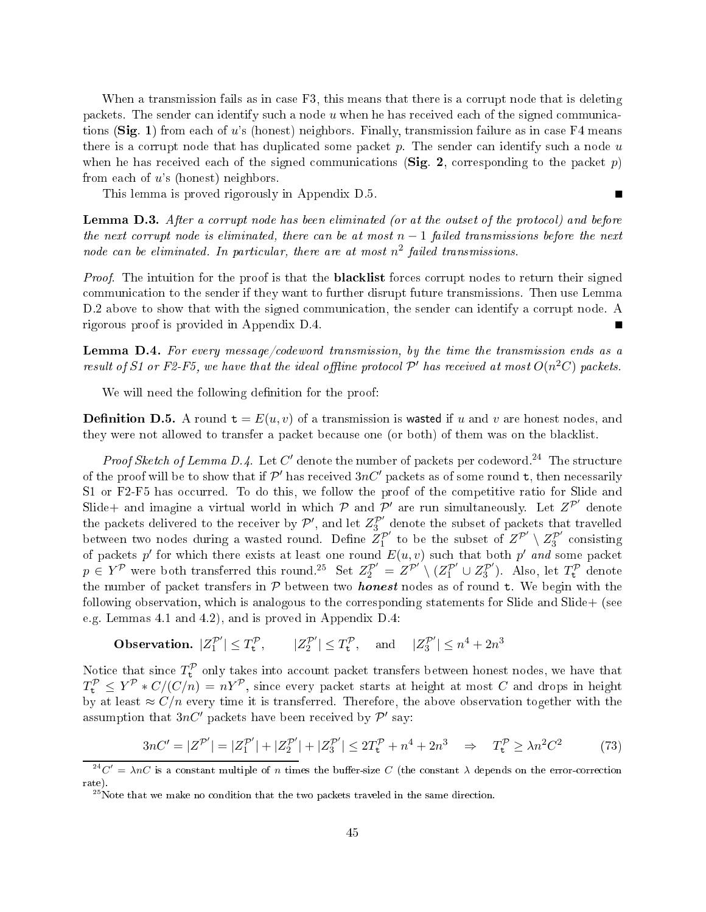When a transmission fails as in case F3, this means that there is a corrupt node that is deleting packets. The sender can identify such a node  $u$  when he has received each of the signed communications (Sig. 1) from each of u's (honest) neighbors. Finally, transmission failure as in case  $F4$  means there is a corrupt node that has duplicated some packet  $p$ . The sender can identify such a node  $u$ when he has received each of the signed communications (Sig. 2, corresponding to the packet  $p$ ) from each of  $u$ 's (honest) neighbors.

This lemma is proved rigorously in Appendix D.5.

Lemma D.3. After a corrupt node has been eliminated (or at the outset of the protocol) and before the next corrupt node is eliminated, there can be at most  $n-1$  failed transmissions before the next node can be eliminated. In particular, there are at most  $n^2$  failed transmissions.

Proof. The intuition for the proof is that the **blacklist** forces corrupt nodes to return their signed communication to the sender if they want to further disrupt future transmissions. Then use Lemma D.2 above to show that with the signed communication, the sender can identify a corrupt node. A rigorous proof is provided in Appendix D.4.

Lemma D.4. For every message/codeword transmission, by the time the transmission ends as a result of S1 or F2-F5, we have that the ideal offline protocol  $\mathcal{P}'$  has received at most  $O(n^2C)$  packets.

We will need the following definition for the proof:

**Definition D.5.** A round  $\mathbf{t} = E(u, v)$  of a transmission is wasted if u and v are honest nodes, and they were not allowed to transfer a packet because one (or both) of them was on the blacklist.

*Proof Sketch of Lemma D.4.* Let  $C'$  denote the number of packets per codeword.<sup>24</sup> The structure of the proof will be to show that if  $\mathcal{P}'$  has received  $3nC'$  packets as of some round  ${\tt t},$  then necessarily S1 or F2-F5 has occurred. To do this, we follow the proof of the competitive ratio for Slide and Slide + and imagine a virtual world in which  $P$  and  $P'$  are run simultaneously. Let  $Z^{P'}$ the packets delivered to the receiver by  $\mathcal{P}'$ , and let  $Z_3^{\mathcal{P}'}$  denote the subset of packets that travelled between two nodes during a wasted round. Define  $Z_1^{p'}$  to be the subset of  $Z^{p'} \setminus Z_3^{p'}$  consisting of packets p' for which there exists at least one round  $E(u, v)$  such that both p' and some packet  $p \in Y^{\mathcal{P}}$  were both transferred this round.<sup>25</sup> Set  $Z_2^{\mathcal{P}'} = Z^{\mathcal{P}'} \setminus (Z_1^{\mathcal{P}'} \cup Z_3^{\mathcal{P}'})$ . Also, let  $T_t^$ the number of packet transfers in  $P$  between two **honest** nodes as of round  $t$ . We begin with the following observation, which is analogous to the corresponding statements for Slide and Slide+ (see e.g. Lemmas 4.1 and 4.2), and is proved in Appendix D.4:

**Observation.** 
$$
|Z_1^{\mathcal{P}'}| \leq T_t^{\mathcal{P}}, \qquad |Z_2^{\mathcal{P}'}| \leq T_t^{\mathcal{P}}, \quad \text{and} \quad |Z_3^{\mathcal{P}'}| \leq n^4 + 2n^3
$$

Notice that since  $T_{\mathbf{t}}^{\mathcal{P}}$  only takes into account packet transfers between honest nodes, we have that  $T_{\mathbf{t}}^{\mathcal{P}} \leq Y^{\mathcal{P}} * C/(C/n) = nY^{\mathcal{P}},$  since every packet starts at height at most  $C$  and drops in height by at least  $\approx C/n$  every time it is transferred. Therefore, the above observation together with the assumption that  $3nC'$  packets have been received by  $\mathcal{P}'$  say:

$$
3nC' = |Z^{\mathcal{P}'}| = |Z_1^{\mathcal{P}'}| + |Z_2^{\mathcal{P}'}| + |Z_3^{\mathcal{P}'}| \le 2T_t^{\mathcal{P}} + n^4 + 2n^3 \quad \Rightarrow \quad T_t^{\mathcal{P}} \ge \lambda n^2 C^2 \tag{73}
$$

 $e^{24}C'=\lambda nC$  is a constant multiple of  $n$  times the buffer-size  $C$  (the constant  $\lambda$  depends on the error-correction rate).

 $^{25}$ Note that we make no condition that the two packets traveled in the same direction.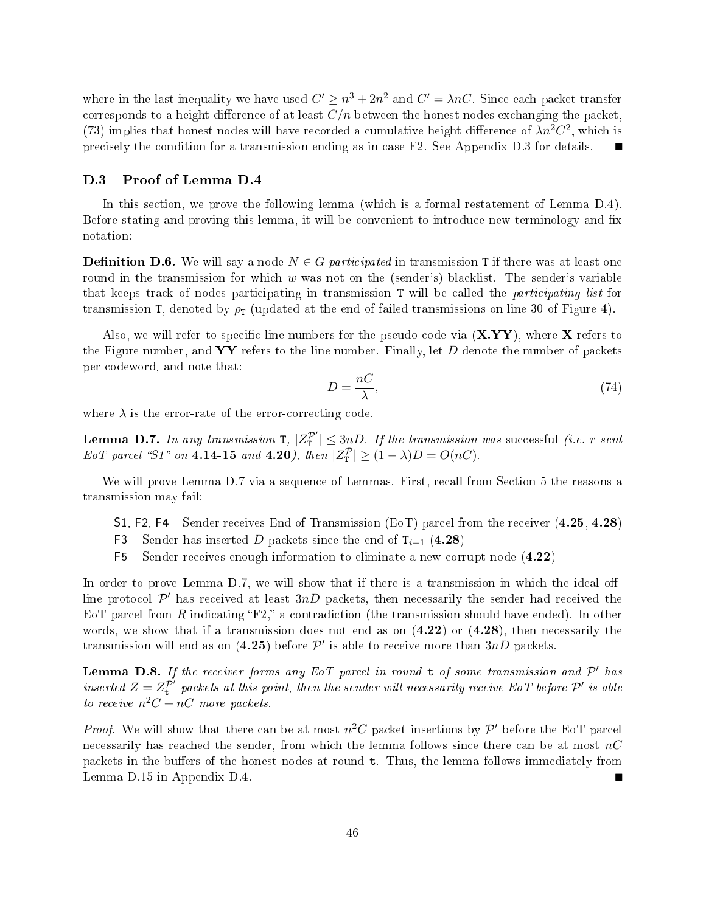where in the last inequality we have used  $C' \ge n^3 + 2n^2$  and  $C' = \lambda nC$ . Since each packet transfer corresponds to a height difference of at least  $C/n$  between the honest nodes exchanging the packet. (73) implies that honest nodes will have recorded a cumulative height difference of  $\lambda n^2 C^2$ , which is precisely the condition for a transmission ending as in case F2. See Appendix D.3 for details.

# D.3 Proof of Lemma D.4

In this section, we prove the following lemma (which is a formal restatement of Lemma D.4). Before stating and proving this lemma, it will be convenient to introduce new terminology and fix notation:

**Definition D.6.** We will say a node  $N \in G$  participated in transmission T if there was at least one round in the transmission for which  $w$  was not on the (sender's) blacklist. The sender's variable that keeps track of nodes participating in transmission T will be called the participating list for transmission T, denoted by  $\rho_T$  (updated at the end of failed transmissions on line 30 of Figure 4).

Also, we will refer to specific line numbers for the pseudo-code via  $(X.YY)$ , where X refers to the Figure number, and  $YY$  refers to the line number. Finally, let  $D$  denote the number of packets per codeword, and note that:

$$
D = \frac{nC}{\lambda},\tag{74}
$$

where  $\lambda$  is the error-rate of the error-correcting code.

**Lemma D.7.** In any transmission T,  $|Z_1^{\mathcal{P}'}| \leq 3nD$ . If the transmission was successful (i.e. r sent EoT parcel "S1" on 4.14-15 and 4.20), then  $|Z_{\rm T}^{\mathcal{P}}| \geq (1 - \lambda)D = O(nC)$ .

We will prove Lemma D.7 via a sequence of Lemmas. First, recall from Section 5 the reasons a transmission may fail:

- S1, F2, F4 Sender receives End of Transmission (EoT) parcel from the receiver (4.25, 4.28)
- F3 Sender has inserted D packets since the end of  $T_{i-1}$  (4.28)
- F<sub>5</sub> Sender receives enough information to eliminate a new corrupt node  $(4.22)$

In order to prove Lemma D.7, we will show that if there is a transmission in which the ideal offline protocol  $\mathcal{P}'$  has received at least  $3nD$  packets, then necessarily the sender had received the EoT parcel from R indicating "F2," a contradiction (the transmission should have ended). In other words, we show that if a transmission does not end as on  $(4.22)$  or  $(4.28)$ , then necessarily the transmission will end as on  $(4.25)$  before  $\mathcal{P}'$  is able to receive more than  $3nD$  packets.

**Lemma D.8.** If the receiver forms any EoT parcel in round  $t$  of some transmission and  $P'$  has inserted  $Z = Z_t^{p'}$  packets at this point, then the sender will necessarily receive EoT before  $\mathcal{P}'$  is able to receive  $n^2C + nC$  more packets.

*Proof.* We will show that there can be at most  $n^2C$  packet insertions by  $\mathcal{P}'$  before the EoT parcel necessarily has reached the sender, from which the lemma follows since there can be at most  $nC$ packets in the buffers of the honest nodes at round  $t$ . Thus, the lemma follows immediately from Lemma D.15 in Appendix D.4.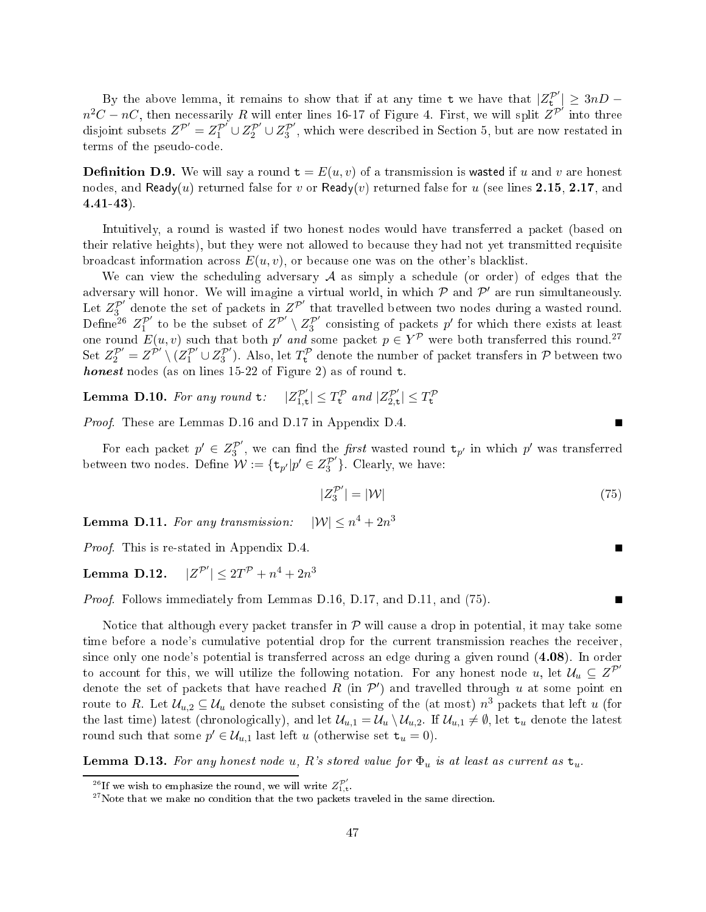By the above lemma, it remains to show that if at any time  $\tau$  we have that  $|Z_{\tau}^{\mathcal{P}}| \geq 3nD - \tau$  $n^2C-nC$ , then necessarily R will enter lines 16-17 of Figure 4. First, we will split  $Z^{\mathcal{P}^{\prime}}$  into three disjoint subsets  $Z^{p'} = Z_1^{p'} \cup Z_2^{p'} \cup Z_3^{p'}$ , which were described in Section 5, but are now restated in terms of the pseudo-code.

**Definition D.9.** We will say a round  $\mathbf{t} = E(u, v)$  of a transmission is wasted if u and v are honest nodes, and Ready(u) returned false for v or Ready(v) returned false for u (see lines 2.15, 2.17, and  $4.41 - 43$ ).

Intuitively, a round is wasted if two honest nodes would have transferred a packet (based on their relative heights), but they were not allowed to because they had not yet transmitted requisite broadcast information across  $E(u, v)$ , or because one was on the other's blacklist.

We can view the scheduling adversary  $\mathcal A$  as simply a schedule (or order) of edges that the adversary will honor. We will imagine a virtual world, in which  $P$  and  $P'$ Let  $Z_3^{p'}$  denote the set of packets in  $Z^{p'}$  that travelled between two nodes during a wasted round.<br>Define<sup>26</sup>  $Z_1^{p'}$  to be the subset of  $Z^{p'} \setminus Z_3^{p'}$  consisting of packets p' for which there exists at least<br>one Set  $Z_2^{\mathcal{P}'} = Z^{\mathcal{P}'} \setminus (Z_1^{\mathcal{P}'} \cup Z_3^{\mathcal{P}'})$ . Also, let  $T_t^{\mathcal{P}}$  denote the number of packet transfers in  $\mathcal{P}$  between two *honest* nodes (as on lines 15-22 of Figure 2) as of round  $t$ .

Lemma D.10. For any round  $t$ :  $|Z_{1,t}^{\mathcal{P}'}| \leq T_{t}^{\mathcal{P}}$  and  $|Z_{2,t}^{\mathcal{P}'}| \leq T_{t}^{\mathcal{P}}$ 

Proof. These are Lemmas D.16 and D.17 in Appendix D.4.

For each packet  $p' \in Z_3^{\mathcal{P}'}$ , we can find the *first* wasted round  $\mathbf{t}_{p'}$  in which  $p'$  was transferred between two nodes. Define  $\mathcal{W} := {\mathbf{t}_{p'}} | p' \in Z_3^{\mathcal{P}'}$ . Clearly, we have:

$$
|Z_3^{\mathcal{P}'}| = |\mathcal{W}| \tag{75}
$$

 ${\rm \bf Lemma ~D.11.}$  For any transmission:  $|{\cal W}|\leq n^4+2n^3$ 

Proof. This is re-stated in Appendix D.4.

 $Lemma D.12.$  $\mathcal{P}' \leq 2T^{\mathcal{P}} + n^4 + 2n^3$ 

Proof. Follows immediately from Lemmas D.16, D.17, and D.11, and (75).

Notice that although every packet transfer in  $\mathcal P$  will cause a drop in potential, it may take some time before a node's cumulative potential drop for the current transmission reaches the receiver, since only one node's potential is transferred across an edge during a given round (4.08). In order to account for this, we will utilize the following notation. For any honest node u, let  $\mathcal{U}_u \subseteq Z^{p'}$ denote the set of packets that have reached R (in  $\mathcal{P}'$ ) and travelled through u at some point en route to R. Let  $\mathcal{U}_{u,2}\subseteq\mathcal{U}_u$  denote the subset consisting of the (at most)  $n^3$  packets that left  $u$  (for the last time) latest (chronologically), and let  $\mathcal{U}_{u,1} = \mathcal{U}_u \setminus \mathcal{U}_{u,2}$ . If  $\mathcal{U}_{u,1} \neq \emptyset$ , let  $\mathbf{t}_u$  denote the latest round such that some  $p' \in \mathcal{U}_{u,1}$  last left u (otherwise set  $t_u = 0$ ).

**Lemma D.13.** For any honest node u, R's stored value for  $\Phi_u$  is at least as current as  $\mathbf{t}_u$ .

 $^{26}\mathrm{If}$  we wish to emphasize the round, we will write  $Z^{P'}_{1,\mathbf{t}}$ .

 $27$ Note that we make no condition that the two packets traveled in the same direction.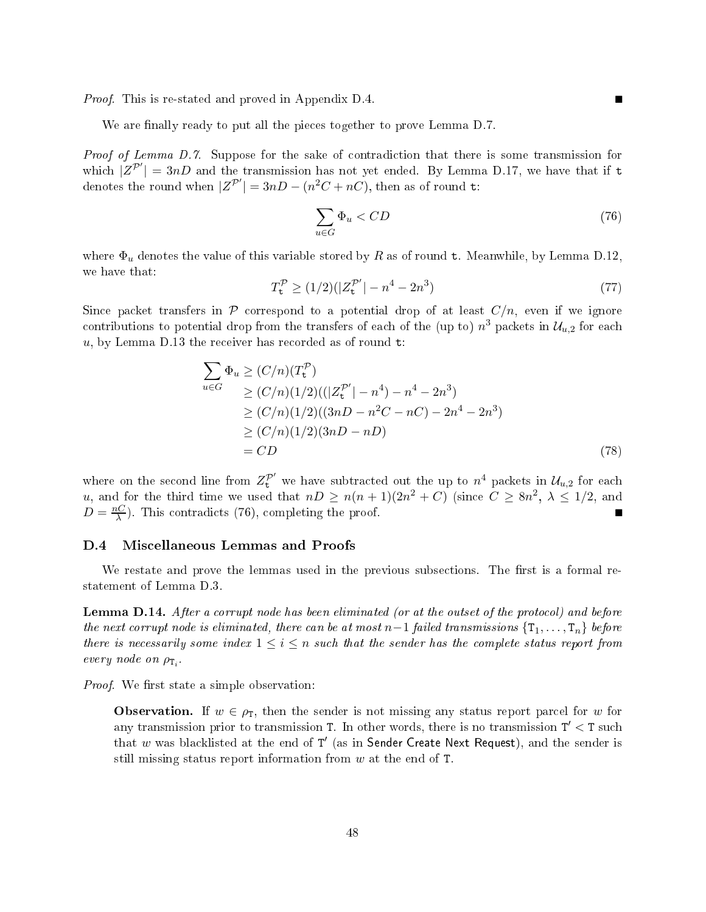Proof. This is re-stated and proved in Appendix D.4.

We are finally ready to put all the pieces together to prove Lemma D.7.

Proof of Lemma D.7. Suppose for the sake of contradiction that there is some transmission for which  $|Z^{p'}|=3nD$  and the transmission has not yet ended. By Lemma D.17, we have that if t denotes the round when  $|Z^{\mathcal{P}'}| = 3nD - (n^2C + nC)$ , then as of round t:

$$
\sum_{u \in G} \Phi_u < CD \tag{76}
$$

where  $\Phi_u$  denotes the value of this variable stored by R as of round t. Meanwhile, by Lemma D.12. we have that:

$$
T_{\mathbf{t}}^{\mathcal{P}} \ge (1/2)(|Z_{\mathbf{t}}^{\mathcal{P}'}| - n^4 - 2n^3)
$$
\n(77)

Since packet transfers in  $\mathcal P$  correspond to a potential drop of at least  $C/n$ , even if we ignore contributions to potential drop from the transfers of each of the (up to)  $n^3$  packets in  $\mathcal{U}_{u,2}$  for each  $u$ , by Lemma D.13 the receiver has recorded as of round  $t$ :

$$
\sum_{u \in G} \Phi_u \ge (C/n)(T_t^{\mathcal{P}})
$$
\n
$$
\ge (C/n)(1/2)((|Z_t^{\mathcal{P}'}| - n^4) - n^4 - 2n^3)
$$
\n
$$
\ge (C/n)(1/2)((3nD - n^2C - nC) - 2n^4 - 2n^3)
$$
\n
$$
\ge (C/n)(1/2)(3nD - nD)
$$
\n
$$
= CD
$$
\n(78)

where on the second line from  $Z_t^{\mathcal{P}'}$  we have subtracted out the up to  $n^4$  packets in  $\mathcal{U}_{u,2}$  for each u, and for the third time we used that  $nD \ge n(n+1)(2n^2+C)$  (since  $C \ge 8n^2$ ,  $\lambda \le 1/2$ , and  $D = \frac{nC}{\lambda}$  $\frac{\partial C}{\partial \lambda}$ . This contradicts (76), completing the proof.

#### D.4 Miscellaneous Lemmas and Proofs

We restate and prove the lemmas used in the previous subsections. The first is a formal restatement of Lemma D.3.

Lemma D.14. After a corrupt node has been eliminated (or at the outset of the protocol) and before the next corrupt node is eliminated, there can be at most n–1 failed transmissions  $\{T_1, \ldots, T_n\}$  before there is necessarily some index  $1 \leq i \leq n$  such that the sender has the complete status report from every node on  $\rho_{\text{T}_i}$ .

*Proof.* We first state a simple observation:

**Observation.** If  $w \in \rho_T$ , then the sender is not missing any status report parcel for w for any transmission prior to transmission T. In other words, there is no transmission  $T' < T$  such that  $w$  was blacklisted at the end of  $T'$  (as in Sender Create Next Request), and the sender is still missing status report information from  $w$  at the end of  $T$ .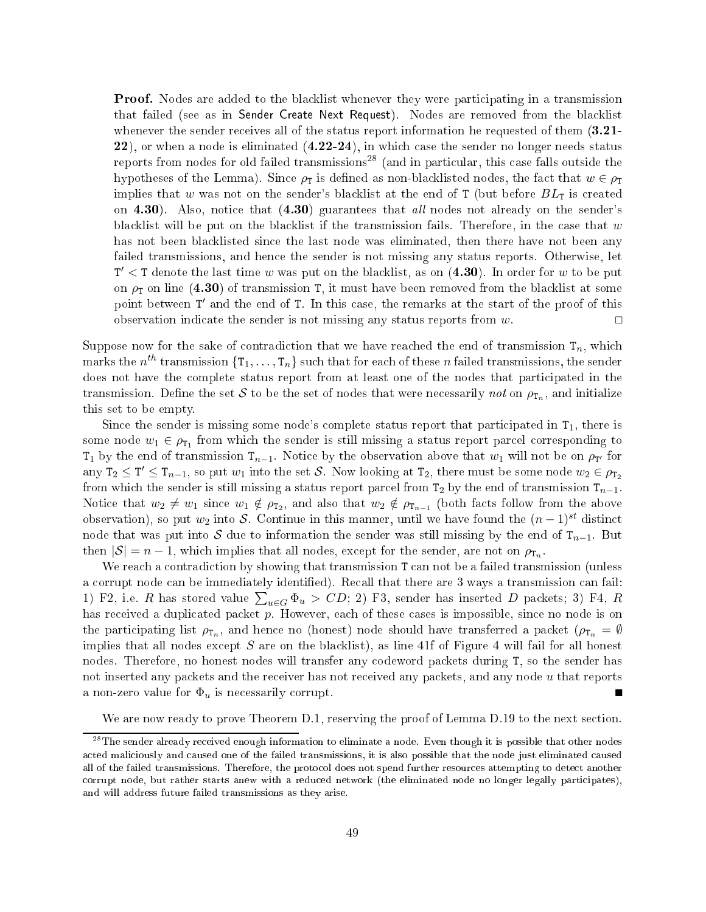Proof. Nodes are added to the blacklist whenever they were participating in a transmission that failed (see as in Sender Create Next Request). Nodes are removed from the blacklist whenever the sender receives all of the status report information he requested of them  $(3.21$ 22), or when a node is eliminated (4.22-24), in which case the sender no longer needs status reports from nodes for old failed transmissions<sup>28</sup> (and in particular, this case falls outside the hypotheses of the Lemma). Since  $\rho_T$  is defined as non-blacklisted nodes, the fact that  $w \in \rho_T$ implies that w was not on the sender's blacklist at the end of T (but before  $BL<sub>T</sub>$  is created on 4.30). Also, notice that  $(4.30)$  guarantees that *all* nodes not already on the sender's blacklist will be put on the blacklist if the transmission fails. Therefore, in the case that  $w$ has not been blacklisted since the last node was eliminated, then there have not been any failed transmissions, and hence the sender is not missing any status reports. Otherwise, let  $T' < T$  denote the last time w was put on the blacklist, as on  $(4.30)$ . In order for w to be put on  $\rho_T$  on line (4.30) of transmission T, it must have been removed from the blacklist at some point between  $T'$  and the end of  $T$ . In this case, the remarks at the start of the proof of this observation indicate the sender is not missing any status reports from  $w$ .

Suppose now for the sake of contradiction that we have reached the end of transmission  $T_n$ , which marks the  $n^{th}$  transmission  $\{ {\tt T}_1, \ldots, {\tt T}_n \}$  such that for each of these  $n$  failed transmissions, the sender does not have the complete status report from at least one of the nodes that participated in the transmission. Define the set  $S$  to be the set of nodes that were necessarily not on  $\rho_{\texttt{T}_n}$ , and initialize this set to be empty.

Since the sender is missing some node's complete status report that participated in  $T_1$ , there is some node  $w_1 \in \rho_{\texttt{T}_1}$  from which the sender is still missing a status report parcel corresponding to T<sub>1</sub> by the end of transmission  $T_{n-1}$ . Notice by the observation above that  $w_1$  will not be on  $\rho_{T'}$  for any  $T_2 \leq T' \leq T_{n-1}$ , so put  $w_1$  into the set S. Now looking at  $T_2$ , there must be some node  $w_2 \in \rho_{T_2}$ from which the sender is still missing a status report parcel from  $T_2$  by the end of transmission  $T_{n-1}$ . Notice that  $w_2 \neq w_1$  since  $w_1 \notin \rho_{\mathsf{T}_2}$ , and also that  $w_2 \notin \rho_{\mathsf{T}_{n-1}}$  (both facts follow from the above observation), so put  $w_2$  into S. Continue in this manner, until we have found the  $(n-1)^{st}$  distinct node that was put into S due to information the sender was still missing by the end of  $T_{n-1}$ . But then  $|S| = n - 1$ , which implies that all nodes, except for the sender, are not on  $\rho_{\text{T}_n}$ .

We reach a contradiction by showing that transmission T can not be <sup>a</sup> failed transmission (unless a corrupt node can be immediately identified). Recall that there are 3 ways a transmission can fail: 1) F2, i.e. R has stored value  $\sum_{u\in G} \Phi_u > CD$ ; 2) F3, sender has inserted D packets; 3) F4, R has received a duplicated packet p. However, each of these cases is impossible, since no node is on the participating list  $\rho_{\texttt T_n}$ , and hence no (honest) node should have transferred a packet ( $\rho_{\texttt T_n} = \emptyset$ implies that all nodes except  $S$  are on the blacklist), as line 41f of Figure 4 will fail for all honest nodes. Therefore, no honest nodes will transfer any codeword packets during T, so the sender has not inserted any packets and the receiver has not received any packets, and any node  $u$  that reports a non-zero value for  $\Phi_u$  is necessarily corrupt.

We are now ready to prove Theorem D.1, reserving the proof of Lemma D.19 to the next section.

 $^{28}$ The sender already received enough information to eliminate a node. Even though it is possible that other nodes acted maliciously and caused one of the failed transmissions, it is also possible that the node just eliminated caused all of the failed transmissions. Therefore, the protocol does not spend further resources attempting to detect another corrupt node, but rather starts anew with a reduced network (the eliminated node no longer legally participates), and will address future failed transmissions as they arise.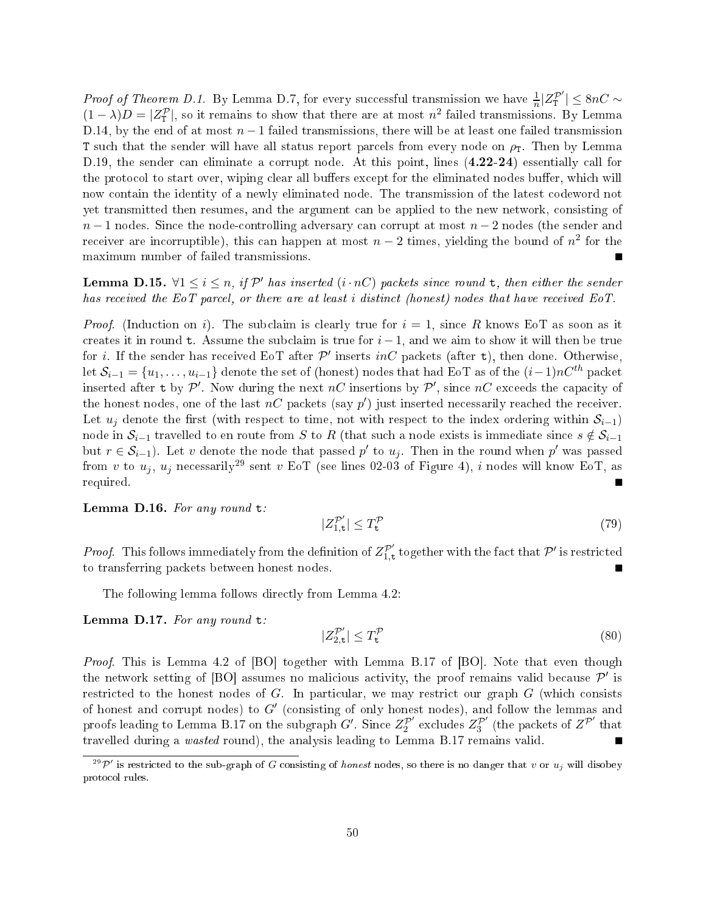*Proof of Theorem D.1.* By Lemma D.7, for every successful transmission we have  $\frac{1}{n}|Z_T^{p'}|\leq 8nC\sim$  $(1 - \lambda)D = |Z_{\rm T}^{\mathcal{P}}|$ , so it remains to show that there are at most  $n^2$  failed transmissions. By Lemma D.14, by the end of at most  $n-1$  failed transmissions, there will be at least one failed transmission T such that the sender will have all status report parcels from every node on  $\rho_T$ . Then by Lemma D.19, the sender can eliminate a corrupt node. At this point, lines  $(4.22-24)$  essentially call for the protocol to start over, wiping clear all buffers except for the eliminated nodes buffer, which will now contain the identity of a newly eliminated node. The transmission of the latest codeword not yet transmitted then resumes, and the argument can be applied to the new network, consisting of  $n-1$  nodes. Since the node-controlling adversary can corrupt at most  $n-2$  nodes (the sender and receiver are incorruptible), this can happen at most  $n-2$  times, yielding the bound of  $n^2$  for the maximum number of failed transmissions.

**Lemma D.15.**  $\forall 1 \leq i \leq n$ , if  $\mathcal{P}'$  has inserted  $(i \cdot nC)$  packets since round  $t$ , then either the sender has received the EoT parcel, or there are at least *i* distinct (honest) nodes that have received EoT.

*Proof.* (Induction on i). The subclaim is clearly true for  $i = 1$ , since R knows EoT as soon as it creates it in round t. Assume the subclaim is true for  $i-1$ , and we aim to show it will then be true for *i*. If the sender has received EoT after  $\mathcal{P}'$  inserts *inC* packets (after **t**), then done. Otherwise, let  $S_{i-1} = \{u_1, \ldots, u_{i-1}\}\$ denote the set of (honest) nodes that had EoT as of the  $(i-1)nC^{th}$  packet inserted after t by  $\mathcal{P}'$ . Now during the next nC insertions by  $\mathcal{P}'$ , since nC exceeds the capacity of the honest nodes, one of the last  $nC$  packets (say  $p'$ ) just inserted necessarily reached the receiver. Let  $u_i$  denote the first (with respect to time, not with respect to the index ordering within  $S_{i-1}$ ) node in  $S_{i-1}$  travelled to en route from S to R (that such a node exists is immediate since  $s \notin S_{i-1}$ but  $r \in \mathcal{S}_{i-1}$ ). Let v denote the node that passed  $p'$  to  $u_j$ . Then in the round when  $p'$  was passed from v to  $u_i$ ,  $u_j$  necessarily<sup>29</sup> sent v EoT (see lines 02-03 of Figure 4), i nodes will know EoT, as required. The contract of the contract of the contract of the contract of the contract of the contract of the contract of the contract of the contract of the contract of the contract of the contract of the contract of the

Lemma D.16. For any round t:

$$
|Z_{1,t}^{\mathcal{P}'}| \le T_t^{\mathcal{P}} \tag{79}
$$

*Proof.* This follows immediately from the definition of  $Z_{1,t}^{\mathcal{P}'}$  together with the fact that  $\mathcal{P}'$  is restricted to transferring packets between honest nodes.

The following lemma follows directly from Lemma 4.2:

Lemma D.17. For any round t:

$$
|Z_{2,\mathbf{t}}^{\mathcal{P}'}| \le T_{\mathbf{t}}^{\mathcal{P}} \tag{80}
$$

Proof. This is Lemma 4.2 of [BO] together with Lemma B.17 of [BO]. Note that even though the network setting of [BO] assumes no malicious activity, the proof remains valid because  $\mathcal{P}'$  is restricted to the honest nodes of  $G$ . In particular, we may restrict our graph  $G$  (which consists of honest and corrupt nodes) to  $G'$  (consisting of only honest nodes), and follow the lemmas and proofs leading to Lemma B.17 on the subgraph  $G'$ . Since  $Z_2^{\mathcal{P}'}$  excludes  $Z_3^{\mathcal{P}'}$  (the packets of  $Z^{\mathcal{P}'}$  that travelled during a *wasted* round), the analysis leading to Lemma B.17 remains valid.

 $^{29}{\cal P'}$  is restricted to the sub-graph of  $G$  consisting of *honest* nodes, so there is no danger that  $v$  or  $u_j$  will disobey protocol rules.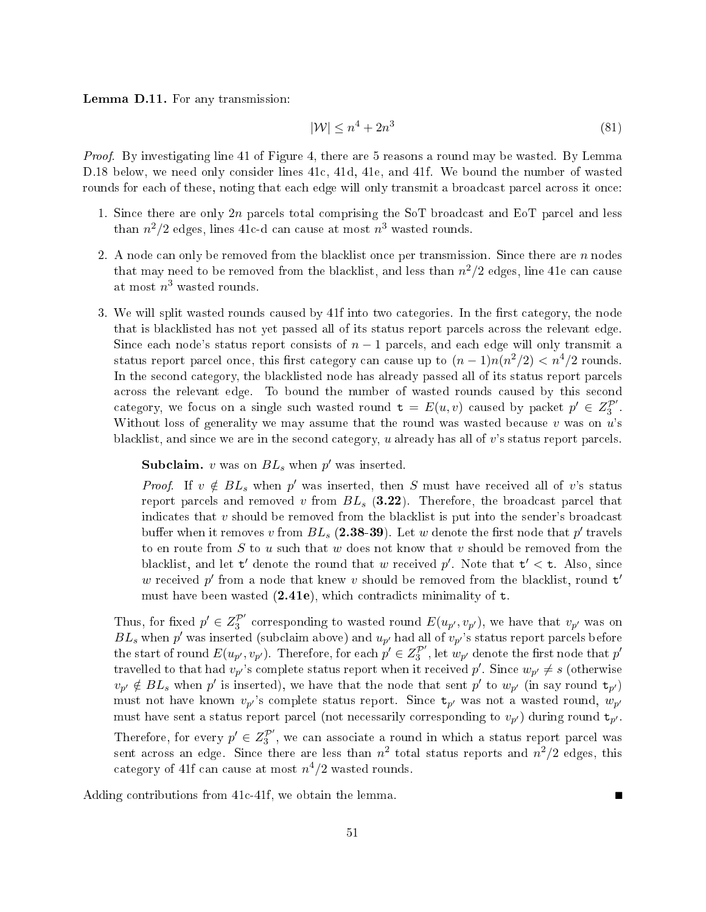Lemma D.11. For any transmission:

$$
|\mathcal{W}| \le n^4 + 2n^3 \tag{81}
$$

Proof. By investigating line 41 of Figure 4, there are 5 reasons a round may be wasted. By Lemma D.18 below, we need only consider lines 41c, 41d, 41e, and 41f. We bound the number of wasted rounds for each of these, noting that each edge will only transmit a broadcast parcel across it once:

- 1. Since there are only  $2n$  parcels total comprising the SoT broadcast and EoT parcel and less than  $n^2/2$  edges, lines 41c-d can cause at most  $n^3$  wasted rounds.
- 2. A node can only be removed from the blacklist once per transmission. Since there are  $n$  nodes that may need to be removed from the blacklist, and less than  $n^2/2$  edges, line 41e can cause at most  $n^3$  wasted rounds.
- 3. We will split wasted rounds caused by 41f into two categories. In the first category, the node that is blacklisted has not yet passed all of its status report parcels across the relevant edge. Since each node's status report consists of  $n-1$  parcels, and each edge will only transmit a status report parcel once, this first category can cause up to  $(n-1)n(n^2/2) < n^4/2$  rounds. In the second category, the blacklisted node has already passed all of its status report parcels across the relevant edge. To bound the number of wasted rounds caused by this second category, we focus on a single such wasted round  $\mathbf{t} = E(u, v)$  caused by packet  $p' \in Z_3^{\mathcal{P}}$ . Without loss of generality we may assume that the round was wasted because  $v$  was on  $u$ 's blacklist, and since we are in the second category,  $u$  already has all of  $v$ 's status report parcels.

**Subclaim.**  $v$  was on  $BL_s$  when  $p'$  was inserted.

*Proof.* If  $v \notin BL_s$  when  $p'$  was inserted, then S must have received all of v's status report parcels and removed v from  $BL<sub>s</sub>$  (3.22). Therefore, the broadcast parcel that indicates that  $v$  should be removed from the blacklist is put into the sender's broadcast buffer when it removes  $v$  from  $BL_s$  (2.38-39). Let  $w$  denote the first node that  $p^\prime$  travels to en route from  $S$  to  $u$  such that  $w$  does not know that  $v$  should be removed from the blacklist, and let  $t'$  denote the round that w received p'. Note that  $t' < t$ . Also, since w received  $p'$  from a node that knew v should be removed from the blacklist, round  $t'$ must have been wasted  $(2.41e)$ , which contradicts minimality of  $t$ .

Thus, for fixed  $p' \in Z_3^{\mathcal{P}'}$  corresponding to wasted round  $E(u_{p'}, v_{p'})$ , we have that  $v_{p'}$  was on  $BL_s$  when  $p'$  was inserted (subclaim above) and  $u_{p'}$  had all of  $v_{p'}$ 's status report parcels before the start of round  $E(u_{p'}, v_{p'})$ . Therefore, for each  $p' \in Z_3^{\mathcal{P}'}$ , let  $w_{p'}$  denote the first node that  $p'$ travelled to that had  $v_{p'}$ 's complete status report when it received  $p'$ . Since  $w_{p'} \neq s$  (otherwise  $v_{p'} \notin BL_s$  when p' is inserted), we have that the node that sent p' to  $w_{p'}$  (in say round  $\mathbf{t}_{p'}$ ) must not have known  $v_{p'}$ 's complete status report. Since  $t_{p'}$  was not a wasted round,  $w_{p'}$ must have sent a status report parcel (not necessarily corresponding to  $v_{p'}$ ) during round  $t_{p'}$ . Therefore, for every  $p' \in Z_3^{\mathcal{P}'}$ , we can associate a round in which a status report parcel was sent across an edge. Since there are less than  $n^2$  total status reports and  $n^2/2$  edges, this category of 41f can cause at most  $n^4/2$  wasted rounds.

Adding contributions from 41c-41f, we obtain the lemma.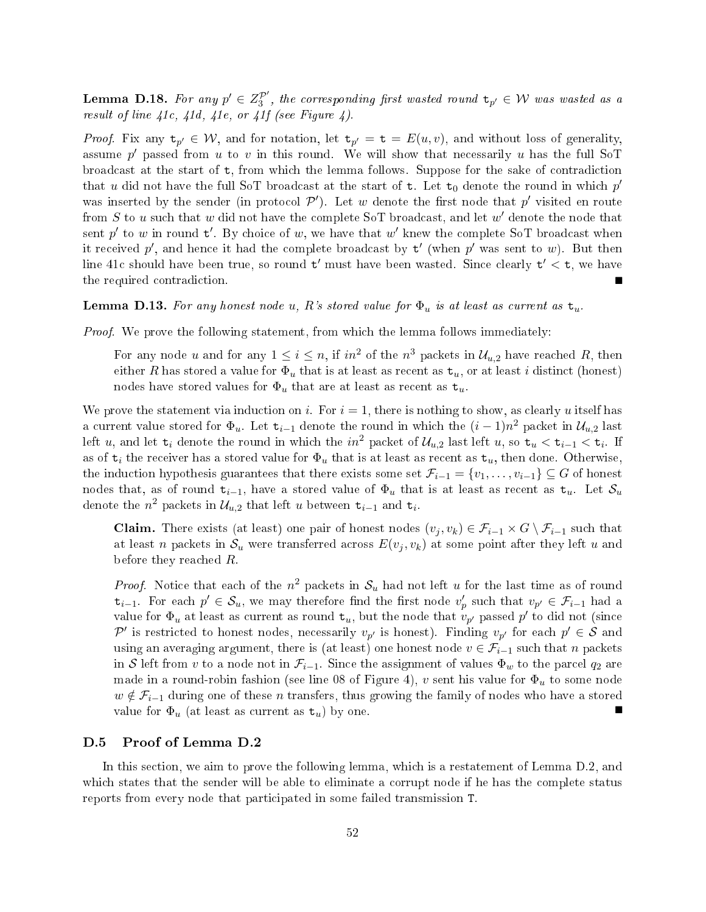**Lemma D.18.** For any  $p' \in Z_3^{\mathcal{P}'}$ , the corresponding first wasted round  $\mathbf{t}_{p'} \in \mathcal{W}$  was wasted as a result of line  $41c$ ,  $41d$ ,  $41e$ , or  $41f$  (see Figure 4).

*Proof.* Fix any  $t_{p'} \in W$ , and for notation, let  $t_{p'} = t = E(u, v)$ , and without loss of generality, assume  $p'$  passed from u to v in this round. We will show that necessarily u has the full SoT broadcast at the start of t, from which the lemma follows. Suppose for the sake of contradiction that u did not have the full SoT broadcast at the start of  $t$ . Let  $t_0$  denote the round in which  $p'$ was inserted by the sender (in protocol  $\mathcal{P}'$ ). Let w denote the first node that  $p'$  visited en route from  $S$  to  $u$  such that  $w$  did not have the complete SoT broadcast, and let  $w'$  denote the node that sent p' to w in round  $t'$ . By choice of w, we have that w' knew the complete SoT broadcast when it received  $p'$ , and hence it had the complete broadcast by  $t'$  (when  $p'$  was sent to  $w$ ). But then line 41c should have been true, so round  $t'$  must have been wasted. Since clearly  $t' < t$ , we have the required contradiction.

**Lemma D.13.** For any honest node u, R's stored value for  $\Phi_u$  is at least as current as  $t_u$ .

Proof. We prove the following statement, from which the lemma follows immediately:

For any node u and for any  $1 \leq i \leq n$ , if  $in^2$  of the  $n^3$  packets in  $\mathcal{U}_{u,2}$  have reached R, then either R has stored a value for  $\Phi_u$  that is at least as recent as  $t_u$ , or at least i distinct (honest) nodes have stored values for  $\Phi_u$  that are at least as recent as  $\mathbf{t}_u$ .

We prove the statement via induction on i. For  $i = 1$ , there is nothing to show, as clearly u itself has a current value stored for  $\Phi_u$ . Let  $\texttt{t}_{i-1}$  denote the round in which the  $(i-1)n^2$  packet in  $\mathcal{U}_{u,2}$  last left u, and let  $t_i$  denote the round in which the  $in^2$  packet of  $\mathcal{U}_{u,2}$  last left u, so  $t_u < t_{i-1} < t_i$ . If as of  $t_i$  the receiver has a stored value for  $\Phi_u$  that is at least as recent as  $t_u$ , then done. Otherwise, the induction hypothesis guarantees that there exists some set  $\mathcal{F}_{i-1} = \{v_1, \ldots, v_{i-1}\} \subseteq G$  of honest nodes that, as of round  $t_{i-1}$ , have a stored value of  $\Phi_u$  that is at least as recent as  $t_u$ . Let  $\mathcal{S}_u$ denote the  $n^2$  packets in  $\mathcal{U}_{u,2}$  that left u between  $\mathtt{t}_{i-1}$  and  $\mathtt{t}_{i}$ .

**Claim.** There exists (at least) one pair of honest nodes  $(v_i, v_k) \in \mathcal{F}_{i-1} \times G \setminus \mathcal{F}_{i-1}$  such that at least n packets in  $\mathcal{S}_u$  were transferred across  $E(v_i, v_k)$  at some point after they left u and before they reached R.

*Proof.* Notice that each of the  $n^2$  packets in  $S_u$  had not left u for the last time as of round  $t_{i-1}$ . For each  $p' \in S_u$ , we may therefore find the first node  $v'_p$  such that  $v_{p'} \in \mathcal{F}_{i-1}$  had a value for  $\Phi_u$  at least as current as round  $\mathbf{t}_u$ , but the node that  $v_{p'}$  passed p' to did not (since  $\mathcal{P}'$  is restricted to honest nodes, necessarily  $v_{p'}$  is honest). Finding  $v_{p'}$  for each  $p' \in \mathcal{S}$  and using an averaging argument, there is (at least) one honest node  $v \in \mathcal{F}_{i-1}$  such that n packets in S left from v to a node not in  $\mathcal{F}_{i-1}$ . Since the assignment of values  $\Phi_w$  to the parcel  $q_2$  are made in a round-robin fashion (see line 08 of Figure 4), v sent his value for  $\Phi_u$  to some node  $w \notin \mathcal{F}_{i-1}$  during one of these n transfers, thus growing the family of nodes who have a stored value for  $\Phi_u$  (at least as current as  $t_u$ ) by one.

#### Proof of Lemma D.2  $D.5$

In this section, we aim to prove the following lemma, which is a restatement of Lemma D.2, and which states that the sender will be able to eliminate a corrupt node if he has the complete status reports from every node that participated in some failed transmission T.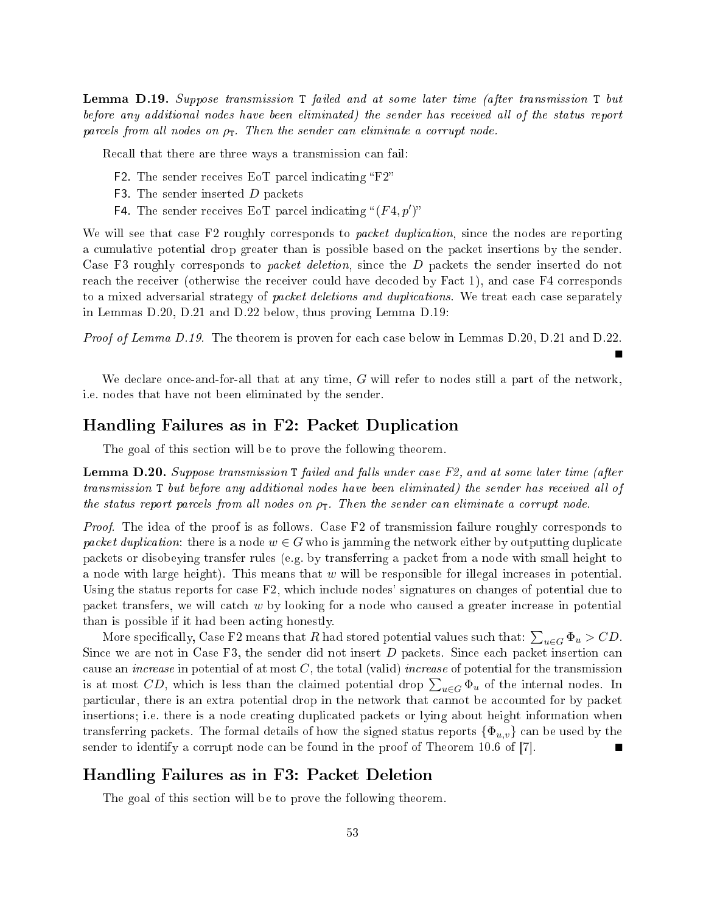Lemma D.19. Suppose transmission T failed and at some later time (after transmission T but before any additional nodes have been eliminated) the sender has received all of the status report parcels from all nodes on  $\rho_T$ . Then the sender can eliminate a corrupt node.

Recall that there are three ways a transmission can fail:

- F2. The sender receives EoT parcel indicating " $F2$ "
- F3. The sender inserted D packets
- F4. The sender receives EoT parcel indicating " $(F4, p')$ "

We will see that case F2 roughly corresponds to *packet duplication*, since the nodes are reporting a cumulative potential drop greater than is possible based on the packet insertions by the sender. Case F3 roughly corresponds to *packet deletion*, since the D packets the sender inserted do not reach the receiver (otherwise the receiver could have decoded by Fact 1), and case F4 corresponds to a mixed adversarial strategy of packet deletions and duplications. We treat each case separately in Lemmas D.20, D.21 and D.22 below, thus proving Lemma D.19:

Proof of Lemma D.19. The theorem is proven for each case below in Lemmas D.20, D.21 and D.22.

 $\blacksquare$ 

We declare once-and-for-all that at any time,  $G$  will refer to nodes still a part of the network, i.e. nodes that have not been eliminated by the sender.

# Handling Failures as in F2: Packet Duplication

The goal of this section will be to prove the following theorem.

**Lemma D.20.** Suppose transmission  $T$  failed and falls under case  $F2$ , and at some later time (after transmission T but before any additional nodes have been eliminated) the sender has received all of the status report parcels from all nodes on  $\rho_T$ . Then the sender can eliminate a corrupt node.

Proof. The idea of the proof is as follows. Case F2 of transmission failure roughly corresponds to packet duplication: there is a node  $w \in G$  who is jamming the network either by outputting duplicate packets or disobeying transfer rules (e.g. by transferring <sup>a</sup> packet from <sup>a</sup> node with small height to a node with large height). This means that  $w$  will be responsible for illegal increases in potential. Using the status reports for case F2, which include nodes' signatures on changes of potential due to packet transfers, we will catch  $w$  by looking for a node who caused a greater increase in potential than is possible if it had been acting honestly.

More specifically, Case F2 means that  $R$  had stored potential values such that:  $\sum_{u\in G}\Phi_u > CD$ . Since we are not in Case F3, the sender did not insert  $D$  packets. Since each packet insertion can cause an *increase* in potential of at most  $C$ , the total (valid) *increase* of potential for the transmission is at most CD, which is less than the claimed potential drop  $\sum_{u\in G}\Phi_u$  of the internal nodes. In particular, there is an extra potential drop in the network that cannot be accounted for by packet insertions; i.e. there is a node creating duplicated packets or lying about height information when transferring packets. The formal details of how the signed status reports  $\{\Phi_{u,v}\}$  can be used by the sender to identify a corrupt node can be found in the proof of Theorem 10.6 of [7].

# Handling Failures as in F3: Packet Deletion

The goal of this section will be to prove the following theorem.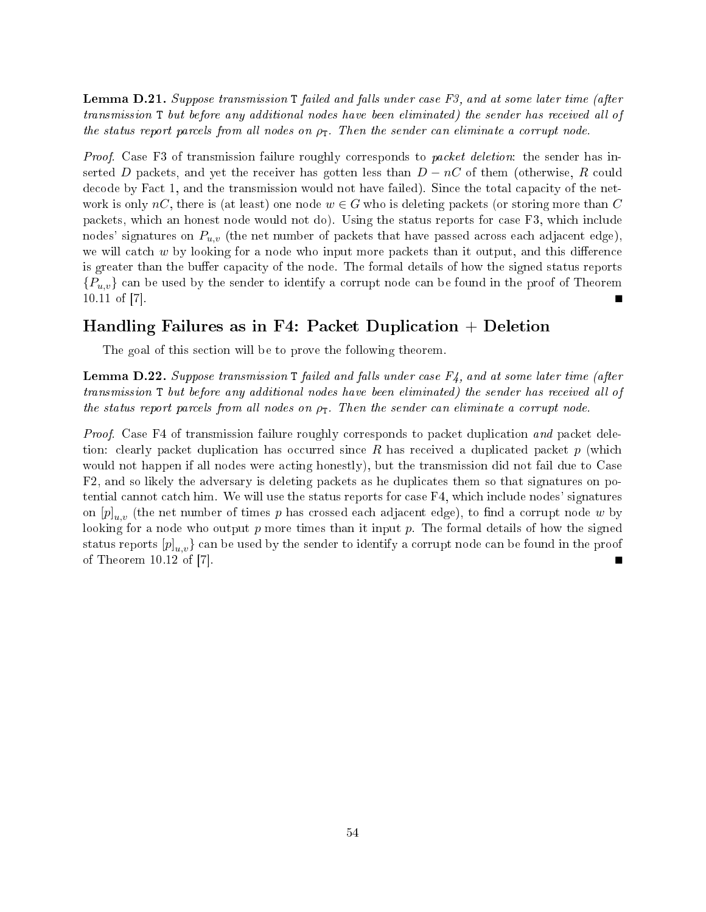**Lemma D.21.** Suppose transmission  $T$  failed and falls under case F3, and at some later time (after transmission T but before any additional nodes have been eliminated) the sender has received all of the status report parcels from all nodes on  $\rho_T$ . Then the sender can eliminate a corrupt node.

Proof. Case F3 of transmission failure roughly corresponds to *packet deletion*: the sender has inserted D packets, and yet the receiver has gotten less than  $D - nC$  of them (otherwise, R could decode by Fact 1, and the transmission would not have failed). Since the total capacity of the network is only nC, there is (at least) one node  $w \in G$  who is deleting packets (or storing more than C packets, which an honest node would not do). Using the status reports for case F3, which include nodes' signatures on  $P_{u,v}$  (the net number of packets that have passed across each adjacent edge). we will catch  $w$  by looking for a node who input more packets than it output, and this difference is greater than the buffer capacity of the node. The formal details of how the signed status reports  ${P_{u,v}}$  can be used by the sender to identify a corrupt node can be found in the proof of Theorem 10.11 of [7].

# Handling Failures as in F4: Packet Duplication  $+$  Deletion

The goal of this section will be to prove the following theorem.

**Lemma D.22.** Suppose transmission T failed and falls under case  $F_4$ , and at some later time (after transmission T but before any additional nodes have been eliminated) the sender has received all of the status report parcels from all nodes on  $\rho_T$ . Then the sender can eliminate a corrupt node.

Proof. Case F4 of transmission failure roughly corresponds to packet duplication and packet deletion: clearly packet duplication has occurred since R has received a duplicated packet  $p$  (which would not happen if all nodes were acting honestly), but the transmission did not fail due to Case F2, and so likely the adversary is deleting packets as he duplicates them so that signatures on potential cannot catch him. We will use the status reports for case F4, which include nodes' signatures on  $[p]_{u,v}$  (the net number of times p has crossed each adjacent edge), to find a corrupt node w by looking for a node who output  $p$  more times than it input  $p$ . The formal details of how the signed status reports  $[p]_{u,v}$  can be used by the sender to identify a corrupt node can be found in the proof of Theorem 10.12 of [7].